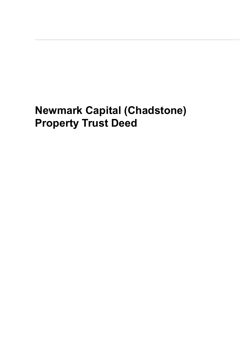# **Newmark Capital (Chadstone) Property Trust Deed**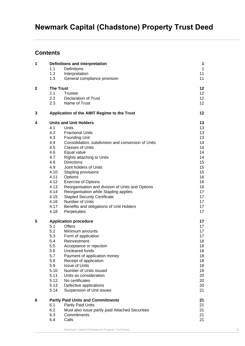## **Contents**

| 1            | Definitions and interpretation | 1                                                  |              |  |
|--------------|--------------------------------|----------------------------------------------------|--------------|--|
|              | 1.1                            | Definitions                                        | $\mathbf{1}$ |  |
|              | 1.2                            | Interpretation                                     | 11           |  |
|              | 1.3                            | General compliance provision                       | 11           |  |
| $\mathbf{2}$ | <b>The Trust</b>               |                                                    | 12           |  |
|              | 2.1                            | Trustee                                            | 12           |  |
|              | 2.2                            | <b>Declaration of Trust</b>                        | 12           |  |
|              | 2.3                            | Name of Trust                                      | 12           |  |
| 3            |                                | Application of the AMIT Regime to the Trust        | 12           |  |
| 4            |                                | <b>Units and Unit Holders</b>                      |              |  |
|              | 4.1                            | Units                                              | 13           |  |
|              | 4.2                            | <b>Fractional Units</b>                            | 13           |  |
|              | 4.3                            | <b>Founding Unit</b>                               | 13           |  |
|              | 4.4                            | Consolidation, subdivision and conversion of Units | 14           |  |
|              | 4.5                            | <b>Classes of Units</b>                            | 14           |  |
|              | 4.6                            | Equal value                                        | 14           |  |
|              | 4.7                            | Rights attaching to Units                          | 14           |  |
|              | 4.8                            | <b>Directions</b>                                  | 15           |  |
|              | 4.9                            | Joint holders of Units                             | 15           |  |
|              | 4.10                           | Stapling provisions                                | 15           |  |
|              | 4.11                           | Options                                            | 16           |  |
|              | 4.12                           | <b>Exercise of Options</b>                         | 16           |  |
|              | 4.13                           | Reorganisation and division of Units and Options   | 16           |  |
|              | 4.14                           | Reorganisation while Stapling applies              | 17           |  |
|              | 4.15                           | <b>Stapled Security Certificate</b>                | 17           |  |
|              | 4.16                           | Number of Units                                    | 17           |  |
|              | 4.17                           | Benefits and obligations of Unit Holders           | 17           |  |
|              | 4.18                           | Perpetuities                                       | 17           |  |
| 5            | <b>Application procedure</b>   |                                                    | 17           |  |
|              | 5.1                            | <b>Offers</b>                                      | 17           |  |
|              | 5.2                            | Minimum amounts                                    | 17           |  |
|              | 5.3                            | Form of application                                | 17           |  |
|              | 5.4                            | Reinvestment                                       | 18           |  |
|              | 5.5                            | Acceptance or rejection                            | 18           |  |
|              | 5.6                            | Uncleared funds                                    | 18           |  |
|              | 5.7                            | Payment of application money                       | 18           |  |
|              | 5.8                            | Receipt of application                             | 18           |  |
|              | 5.9                            | <b>Issue of Units</b>                              | 18           |  |
|              | 5.10                           | Number of Units issued                             | 19           |  |
|              | 5.11                           | Units as consideration                             | 20           |  |
|              | 5.12                           | No certificates                                    | 20           |  |
|              | 5.13                           | Defective applications                             | 20           |  |
|              | 5.14                           | Suspension of Unit issues                          | 21           |  |
| 6            |                                | <b>Partly Paid Units and Commitments</b>           | 21           |  |
|              | 6.1                            | Partly Paid Units                                  | 21           |  |
|              | 6.2                            | Must also issue partly paid Attached Securities    | 21           |  |
|              | 6.3                            | Commitments                                        | 21           |  |
|              | 6.4                            | Calls                                              | 21           |  |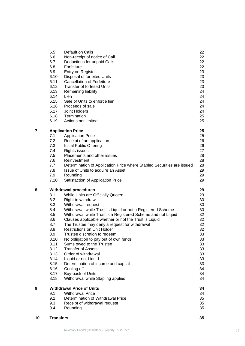| 10 | <b>Transfers</b> |                                                                        | 35 |
|----|------------------|------------------------------------------------------------------------|----|
|    |                  |                                                                        |    |
|    | 9.4              | Rounding                                                               | 35 |
|    | 9.3              | Receipt of withdrawal request                                          | 35 |
|    | 9.2              | Determination of Withdrawal Price                                      | 35 |
|    | 9.1              | <b>Withdrawal Price</b>                                                | 34 |
| 9  |                  | <b>Withdrawal Price of Units</b>                                       | 34 |
|    |                  |                                                                        |    |
|    | 8.18             | Withdrawal while Stapling applies                                      | 34 |
|    | 8.17             | Buy-back of Units                                                      | 34 |
|    | 8.16             | Cooling off                                                            | 34 |
|    | 8.15             | Determination of income and capital                                    | 33 |
|    | 8.14             | Liquid or not Liquid                                                   | 33 |
|    | 8.13             | Order of withdrawal                                                    | 33 |
|    | 8.12             | <b>Transfer of Assets</b>                                              | 33 |
|    | 8.11             | Sums owed to the Trustee                                               | 33 |
|    | 8.10             | No obligation to pay out of own funds                                  | 33 |
|    |                  |                                                                        |    |
|    | 8.9              | Trustee discretion to redeem                                           | 33 |
|    | 8.8              | <b>Restrictions on Unit Holder</b>                                     | 32 |
|    | 8.7              | The Trustee may deny a request for withdrawal                          | 32 |
|    | 8.6              | Clauses applicable whether or not the Trust is Liquid                  | 32 |
|    | 8.5              | Withdrawal while Trust is a Registered Scheme and not Liquid           | 32 |
|    | 8.4              | Withdrawal while Trust is Liquid or not a Registered Scheme            | 30 |
|    | 8.3              | Withdrawal request                                                     | 30 |
|    | 8.2              | Right to withdraw                                                      | 30 |
|    | 8.1              | While Units are Officially Quoted                                      | 29 |
| 8  |                  | <b>Withdrawal procedures</b>                                           | 29 |
|    |                  |                                                                        |    |
|    | 7.10             | Satisfaction of Application Price                                      | 29 |
|    | 7.9              | Rounding                                                               | 29 |
|    | 7.8              | Issue of Units to acquire an Asset                                     | 29 |
|    | 7.7              | Determination of Application Price where Stapled Securities are issued | 28 |
|    | 7.6              | Reinvestment                                                           | 28 |
|    | 7.5              | Placements and other issues                                            | 28 |
|    | 7.4              | <b>Rights issues</b>                                                   | 27 |
|    | 7.3              | Initial Public Offering                                                | 26 |
|    | 7.2              | Receipt of an application                                              | 26 |
|    | 7.1              | <b>Application Price</b>                                               | 25 |
|    |                  | <b>Application Price</b>                                               |    |
| 7  |                  |                                                                        | 25 |
|    | 6.19             | Actions not limited                                                    |    |
|    |                  |                                                                        | 25 |
|    | 6.18             | Termination                                                            | 25 |
|    | 6.17             | Joint Holders                                                          | 24 |
|    | 6.16             | Proceeds of sale                                                       | 24 |
|    | 6.15             | Sale of Units to enforce lien                                          | 24 |
|    | 6.14             | Lien                                                                   | 24 |
|    | 6.13             | Remaining liability                                                    | 24 |
|    | 6.12             | <b>Transfer of forfeited Units</b>                                     | 23 |
|    | 6.11             | <b>Cancellation of Forfeiture</b>                                      | 23 |
|    | 6.10             | Disposal of forfeited Units                                            | 23 |
|    | 6.9              | Entry on Register                                                      | 23 |
|    | 6.8              | Forfeiture                                                             | 22 |
|    | 6.7              | Deductions for unpaid Calls                                            | 22 |
|    | 6.6              | Non-receipt of notice of Call                                          | 22 |
|    | 6.5              | Default on Calls                                                       | 22 |
|    |                  |                                                                        |    |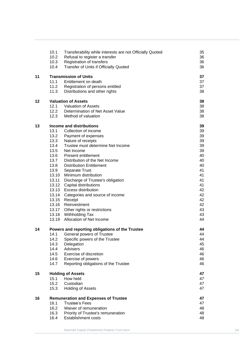|    | 10.1<br>10.2 | Transferability while interests are not Officially Quoted | 35<br>36 |
|----|--------------|-----------------------------------------------------------|----------|
|    |              | Refusal to register a transfer                            |          |
|    | 10.3         | Registration of transfers                                 | 36       |
|    | 10.4         | Transfer of Units if Officially Quoted                    | 36       |
| 11 |              | <b>Transmission of Units</b>                              | 37       |
|    | 11.1         | Entitlement on death                                      | 37       |
|    | 11.2         | Registration of persons entitled                          | 37       |
|    | 11.3         | Distributions and other rights                            | 38       |
|    |              |                                                           |          |
| 12 |              | <b>Valuation of Assets</b>                                | 38       |
|    | 12.1         | <b>Valuation of Assets</b>                                | 38       |
|    | 12.2         | Determination of Net Asset Value                          | 38       |
|    | 12.3         | Method of valuation                                       | 38       |
| 13 |              | <b>Income and distributions</b>                           | 39       |
|    | 13.1         | Collection of income                                      | 39       |
|    | 13.2         | Payment of expenses                                       | 39       |
|    | 13.3         | Nature of receipts                                        | 39       |
|    | 13.4         | Trustee must determine Net Income                         | 39       |
|    | 13.5         | Net Income                                                | 39       |
|    | 13.6         | <b>Present entitlement</b>                                | 40       |
|    | 13.7         | Distribution of the Net Income                            | 40       |
|    | 13.8         | <b>Distribution Entitlement</b>                           | 40       |
|    | 13.9         | Separate Trust                                            | 41       |
|    | 13.10        | Minimum distribution                                      | 41       |
|    | 13.11        | Discharge of Trustee's obligation                         | 41       |
|    |              | 13.12 Capital distributions                               | 41       |
|    |              | 13.13 Excess distribution                                 | 42       |
|    |              |                                                           | 42       |
|    |              | 13.14 Categories and source of income                     |          |
|    | 13.15        | Receipt                                                   | 42       |
|    | 13.16        | Reinvestment                                              | 42       |
|    |              | 13.17 Other rights or restrictions                        | 43       |
|    |              | 13.18 Withholding Tax                                     | 43       |
|    | 13.19        | Allocation of Net Income                                  | 44       |
| 14 |              | Powers and reporting obligations of the Trustee           | 44       |
|    | 14.1         | General powers of Trustee                                 | 44       |
|    | 14.2         | Specific powers of the Trustee                            | 44       |
|    | 14.3         | Delegation                                                | 45       |
|    | 14.4         | Advisers                                                  | 46       |
|    | 14.5         | Exercise of discretion                                    | 46       |
|    | 14.6         | Exercise of powers                                        | 46       |
|    | 14.7         | Reporting obligations of the Trustee                      | 46       |
| 15 |              | <b>Holding of Assets</b>                                  | 47       |
|    | 15.1         | How held                                                  | 47       |
|    | 15.2         | Custodian                                                 | 47       |
|    | 15.3         | <b>Holding of Assets</b>                                  | 47       |
|    |              |                                                           |          |
| 16 |              | <b>Remuneration and Expenses of Trustee</b>               | 47       |
|    | 16.1         | <b>Trustee's Fees</b>                                     | 47       |
|    | 16.2         | Waiver of remuneration                                    | 48       |
|    | 16.3         | Priority of Trustee's remuneration                        | 48       |
|    | 16.4         | Establishment costs                                       | 48       |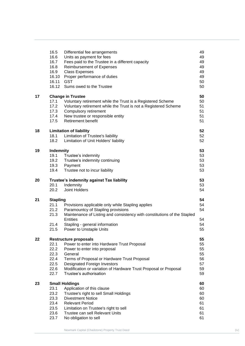|    | 16.5                    | Differential fee arrangements                                                                                  | 49 |
|----|-------------------------|----------------------------------------------------------------------------------------------------------------|----|
|    | 16.6                    | Units as payment for fees                                                                                      | 49 |
|    | 16.7                    | Fees paid to the Trustee in a different capacity                                                               | 49 |
|    | 16.8                    | <b>Reimbursement of Expenses</b>                                                                               | 49 |
|    | 16.9                    | <b>Class Expenses</b>                                                                                          | 49 |
|    | 16.10                   | Proper performance of duties                                                                                   | 49 |
|    | 16.11                   | <b>GST</b>                                                                                                     | 50 |
|    | 16.12                   | Sums owed to the Trustee                                                                                       | 50 |
| 17 |                         | <b>Change in Trustee</b>                                                                                       | 50 |
|    | 17.1                    | Voluntary retirement while the Trust is a Registered Scheme                                                    | 50 |
|    | 17.2                    | Voluntary retirement while the Trust is not a Registered Scheme                                                | 51 |
|    | 17.3                    | Compulsory retirement                                                                                          | 51 |
|    | 17.4                    | New trustee or responsible entity                                                                              | 51 |
|    | 17.5                    | <b>Retirement benefit</b>                                                                                      | 51 |
| 18 |                         | <b>Limitation of liability</b>                                                                                 | 52 |
|    | 18.1                    | Limitation of Trustee's liability                                                                              | 52 |
|    | 18.2                    | Limitation of Unit Holders' liability                                                                          | 52 |
| 19 | <b>Indemnity</b>        |                                                                                                                | 53 |
|    | 19.1                    | Trustee's indemnity                                                                                            | 53 |
|    | 19.2                    | Trustee's indemnity continuing                                                                                 | 53 |
|    | 19.3                    | Payment                                                                                                        | 53 |
|    | 19.4                    | Trustee not to incur liability                                                                                 | 53 |
| 20 |                         | 53                                                                                                             |    |
|    | 20.1                    | Trustee's indemnity against Tax liability<br>Indemnity                                                         | 53 |
|    | 20.2                    | Joint Holders                                                                                                  | 54 |
| 21 |                         |                                                                                                                | 54 |
|    | <b>Stapling</b><br>21.1 |                                                                                                                | 54 |
|    | 21.2                    | Provisions applicable only while Stapling applies                                                              | 54 |
|    | 21.3                    | Paramountcy of Stapling provisions<br>Maintenance of Listing and consistency with constitutions of the Stapled |    |
|    |                         | <b>Entities</b>                                                                                                | 54 |
|    | 21.4                    |                                                                                                                | 54 |
|    |                         | Stapling - general information                                                                                 | 55 |
|    | 21.5                    | Power to Unstaple Units                                                                                        |    |
| 22 |                         | <b>Restructure proposals</b>                                                                                   | 55 |
|    | 22.1                    | Power to enter into Hardware Trust Proposal                                                                    | 55 |
|    | 22.2                    | Power to enter into proposal                                                                                   | 55 |
|    | 22.3                    | General                                                                                                        | 55 |
|    | 22.4                    | Terms of Proposal or Hardware Trust Proposal                                                                   | 56 |
|    | 22.5                    | Designated Foreign Investors                                                                                   | 57 |
|    | 22.6                    | Modification or variation of Hardware Trust Proposal or Proposal                                               | 59 |
|    | 22.7                    | Trustee's authorisation                                                                                        | 59 |
| 23 | <b>Small Holdings</b>   |                                                                                                                | 60 |
|    | 23.1                    | Application of this clause                                                                                     | 60 |
|    | 23.2                    | Trustee's right to sell Small Holdings                                                                         | 60 |
|    | 23.3                    | <b>Divestment Notice</b>                                                                                       | 60 |
|    | 23.4                    | <b>Relevant Period</b>                                                                                         | 61 |
|    | 23.5                    | Limitation on Trustee's right to sell                                                                          | 61 |
|    | 23.6                    | Trustee can sell Relevant Units                                                                                | 61 |
|    | 23.7                    | No obligation to sell                                                                                          | 61 |
|    |                         |                                                                                                                |    |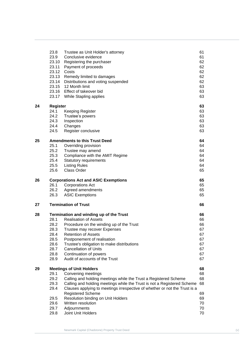|    | 23.8                                    | Trustee as Unit Holder's attorney                                          | 61       |
|----|-----------------------------------------|----------------------------------------------------------------------------|----------|
|    | 23.9                                    | Conclusive evidence                                                        | 61       |
|    | 23.10                                   | Registering the purchaser                                                  | 62       |
|    | 23.11                                   | Payment of proceeds                                                        | 62       |
|    | 23.12                                   | Costs                                                                      | 62       |
|    | 23.13                                   | Remedy limited to damages                                                  | 62       |
|    | 23.14                                   | Distributions and voting suspended                                         | 62       |
|    | 23.15                                   | 12 Month limit                                                             | 63       |
|    | 23.16                                   | Effect of takeover bid                                                     | 63       |
|    | 23.17                                   | While Stapling applies                                                     | 63       |
|    |                                         |                                                                            |          |
| 24 | <b>Register</b>                         |                                                                            | 63       |
|    | 24.1                                    | <b>Keeping Register</b>                                                    | 63       |
|    | 24.2                                    | Trustee's powers                                                           | 63       |
|    | 24.3                                    | Inspection                                                                 | 63       |
|    | 24.4                                    | Changes                                                                    | 63       |
|    | 24.5                                    | Register conclusive                                                        | 63       |
|    |                                         |                                                                            |          |
| 25 |                                         | <b>Amendments to this Trust Deed</b>                                       | 64       |
|    | 25.1                                    | Overriding provision                                                       | 64       |
|    | 25.2                                    | Trustee may amend                                                          | 64       |
|    | 25.3                                    | Compliance with the AMIT Regime                                            | 64       |
|    | 25.4                                    | <b>Statutory requirements</b>                                              | 64       |
|    | 25.5                                    | <b>Listing Rules</b>                                                       | 64       |
|    | 25.6                                    | <b>Class Order</b>                                                         | 65       |
| 26 |                                         |                                                                            |          |
|    | 26.1                                    | <b>Corporations Act and ASIC Exemptions</b>                                | 65<br>65 |
|    |                                         | <b>Corporations Act</b>                                                    |          |
|    | 26.2                                    | Agreed amendments                                                          | 65       |
|    | 26.3                                    | <b>ASIC Exemptions</b>                                                     | 65       |
| 27 |                                         | <b>Termination of Trust</b>                                                | 66       |
| 28 | Termination and winding up of the Trust |                                                                            | 66       |
|    | 28.1                                    | <b>Realisation of Assets</b>                                               | 66       |
|    | 28.2                                    | Procedure on the winding up of the Trust                                   | 66       |
|    | 28.3                                    | Trustee may recover Expenses                                               | 67       |
|    | 28.4                                    | <b>Retention of Assets</b>                                                 | 67       |
|    | 28.5                                    | Postponement of realisation                                                | 67       |
|    | 28.6                                    | Trustee's obligation to make distributions                                 | 67       |
|    | 28.7                                    | <b>Cancellation of Units</b>                                               | 67       |
|    | 28.8                                    | Continuation of powers                                                     | 67       |
|    | 28.9                                    | Audit of accounts of the Trust                                             | 67       |
|    |                                         |                                                                            |          |
| 29 |                                         | <b>Meetings of Unit Holders</b>                                            | 68       |
|    | 29.1                                    | Convening meetings                                                         | 68       |
|    | 29.2                                    | Calling and holding meetings while the Trust a Registered Scheme           | 68       |
|    | 29.3                                    | Calling and holding meetings while the Trust is not a Registered Scheme    | 68       |
|    | 29.4                                    | Clauses applying to meetings irrespective of whether or not the Trust is a |          |
|    |                                         | <b>Registered Scheme</b>                                                   | 69       |
|    | 29.5                                    | Resolution binding on Unit Holders                                         | 69       |
|    | 29.6                                    | Written resolution                                                         | 70       |
|    | 29.7                                    | Adjournments                                                               | 70       |
|    | 29.8                                    | Joint Unit Holders                                                         | 70       |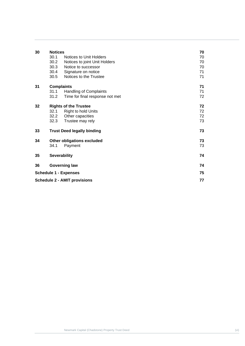| 30                           | <b>Notices</b>                    | 70                                  |    |
|------------------------------|-----------------------------------|-------------------------------------|----|
|                              | 30.1                              | Notices to Unit Holders             | 70 |
|                              | 30.2                              | Notices to joint Unit Holders       | 70 |
|                              | 30.3                              | Notice to successor                 | 70 |
|                              | 30.4                              | Signature on notice                 | 71 |
|                              | 30.5                              | Notices to the Trustee              | 71 |
| 31                           | <b>Complaints</b>                 |                                     | 71 |
|                              | 31.1                              | <b>Handling of Complaints</b>       | 71 |
|                              | 31.2                              | Time for final response not met     | 72 |
| 32                           | <b>Rights of the Trustee</b>      |                                     | 72 |
|                              | 32.1                              | <b>Right to hold Units</b>          | 72 |
|                              | 32.2                              | Other capacities                    | 72 |
|                              | 32.3                              | Trustee may rely                    | 73 |
| 33                           |                                   | <b>Trust Deed legally binding</b>   | 73 |
| 34                           | <b>Other obligations excluded</b> |                                     | 73 |
|                              | 34.1                              | Payment                             | 73 |
| 35                           | <b>Severability</b>               |                                     | 74 |
| 36                           | <b>Governing law</b>              |                                     | 74 |
| <b>Schedule 1 - Expenses</b> |                                   |                                     | 75 |
|                              |                                   | <b>Schedule 2 - AMIT provisions</b> | 77 |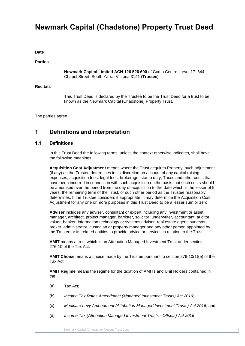## **Newmark Capital (Chadstone) Property Trust Deed**

**Date**

#### **Parties**

**Newmark Capital Limited ACN 126 526 690** of Como Centre, Level 17, 644 Chapel Street, South Yarra, Victoria 3141 (**Trustee)**

#### **Recitals**

This Trust Deed is declared by the Trustee to be the Trust Deed for a trust to be known as the Newmark Capital (Chadstone) Property Trust.

The parties agree

## <span id="page-7-0"></span>**1 Definitions and interpretation**

#### <span id="page-7-1"></span>**1.1 Definitions**

In this Trust Deed the following terms, unless the context otherwise indicates, shall have the following meanings:

**Acquisition Cost Adjustment** means where the Trust acquires Property, such adjustment (if any) as the Trustee determines in its discretion on account of any capital raising expenses, acquisition fees, legal fees, brokerage, stamp duty, Taxes and other costs that have been incurred in connection with such acquisition on the basis that such costs should be amortised over the period from the day of acquisition to the date which is the lesser of 5 years, the remaining term of the Trust, or such other period as the Trustee reasonably determines. If the Trustee considers it appropriate, it may determine the Acquisition Cost Adjustment for any one or more purposes in this Trust Deed to be a lesser sum or zero.

**Adviser** includes any adviser, consultant or expert including any investment or asset manager, architect, project manager, barrister, solicitor, underwriter, accountant, auditor, valuer, banker, information technology or systems adviser, real estate agent, surveyor, broker, administrator, custodian or property manager and any other person appointed by the Trustee or its related entities to provide advice or services in relation to the Trust.

**AMIT** means a trust which is an Attribution Managed Investment Trust under section 276-10 of the Tax Act.

**AMIT Choice** means a choice made by the Trustee pursuant to section 276-10(1)(e) of the Tax Act.

**AMIT Regime** means the regime for the taxation of AMITs and Unit Holders contained in the:

- (a) Tax Act;
- (b) *Income Tax Rates Amendment (Managed Investment Trusts) Act 2016*;
- (c) *Medicare Levy Amendment (Attribution Managed Investment Trusts) Act 2016*; and
- (d) *Income Tax (Attribution Managed Investment Trusts - Offsets) Act 2016*.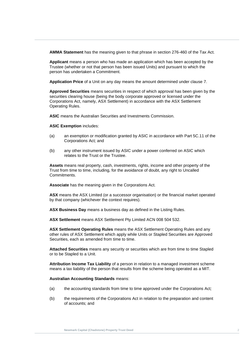**AMMA Statement** has the meaning given to that phrase in section 276-460 of the Tax Act.

**person has undertaken a Commitment.**<br>Analization Prize of a Usit access the magazine and a Ustannia at a decade as 7 **Applicant** means a person who has made an application which has been accepted by the Trustee (whether or not that person has been issued Units) and pursuant to which the

**Application Price** of a Unit on any day means the amount determined under clause [7.](#page-31-2)

**Trust Deed Approved Securities** means securities in respect of which approval has been given by the securities clearing house (being the body corporate approved or licensed under the Corporations Act, namely, ASX Settlement) in accordance with the ASX Settlement Operating Rules.

**ASIC** means the Australian Securities and Investments Commission.

**ASIC Exemption** includes:

- (a) an exemption or modification granted by ASIC in accordance with Part 5C.11 of the Corporations Act*;* and
- (b) any other instrument issued by ASIC under a power conferred on ASIC which relates to the Trust or the Trustee.

**Assets** means real property, cash, investments, rights, income and other property of the Trust from time to time, including, for the avoidance of doubt, any right to Uncalled Commitments.

**Associate** has the meaning given in the Corporations Act*.*

**ASX** means the ASX Limited (or a successor organisation) or the financial market operated by that company (whichever the context requires).

**ASX Business Day** means a business day as defined in the Listing Rules.

**ASX Settlement** means ASX Settlement Pty Limited ACN 008 504 532.

**ASX Settlement Operating Rules** means the ASX Settlement Operating Rules and any other rules of ASX Settlement which apply while Units or Stapled Securities are Approved Securities, each as amended from time to time.

**Attached Securities** means any security or securities which are from time to time Stapled or to be Stapled to a Unit.

**Attribution Income Tax Liability** of a person in relation to a managed investment scheme means a tax liability of the person that results from the scheme being operated as a MIT.

**Australian Accounting Standards** means:

- (a) the accounting standards from time to time approved under the Corporations Act*;*
- (b) the requirements of the Corporations Act in relation to the preparation and content of accounts; and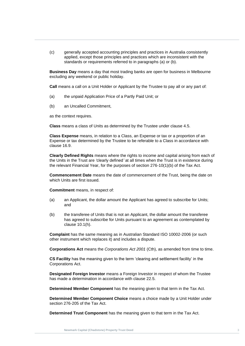(c) generally accepted accounting principles and practices in Australia consistently applied, except those principles and practices which are inconsistent with the standards or requirements referred to in paragraphs (a) or (b).

**Business Day** means a day that most trading banks are open for business in Melbourne<br>excluding any weekend or public holiday. excluding any weekend or public holiday.

**Call** means a call on a Unit Holder or Applicant by the Trustee to pay all or any part of:

- (a) the unpaid Application Price of a Partly Paid Unit; or
- (b) an Uncalled Commitment,

as the context requires.

**Class** means a class of Units as determined by the Trustee under clause [4.5.](#page-20-1)

**Class Expense** means, in relation to a Class, an Expense or tax or a proportion of an Expense or tax determined by the Trustee to be referable to a Class in accordance with clause [16.9.](#page-55-4)

**Clearly Defined Rights** means where the rights to income and capital arising from each of the Units in the Trust are *'*clearly defined*'* at all times when the Trust is in existence during the relevant Financial Year, for the purposes of section 276-10(1)(b) of the Tax Act.

**Commencement Date** means the date of commencement of the Trust, being the date on which Units are first issued.

**Commitment** means, in respect of:

- (a) an Applicant, the dollar amount the Applicant has agreed to subscribe for Units; and
- (b) the transferee of Units that is not an Applicant, the dollar amount the transferee has agreed to subscribe for Units pursuant to an agreement as contemplated by clause [10.1\(h\).](#page-41-5)

**Complaint** has the same meaning as in Australian Standard ISO 10002-2006 (or such other instrument which replaces it) and includes a dispute.

**Corporations Act** means the *Corporations Act 2001* (Cth), as amended from time to time.

**CS Facility** has the meaning given to the term 'clearing and settlement facility' in the Corporations Act.

**Designated Foreign Investor** means a Foreign Investor in respect of whom the Trustee has made a determination in accordance with clause [22.5.](#page-63-0)

**Determined Member Component** has the meaning given to that term in the Tax Act.

**Determined Member Component Choice** means a choice made by a Unit Holder under section 276-205 of the Tax Act.

**Determined Trust Component** has the meaning given to that term in the Tax Act.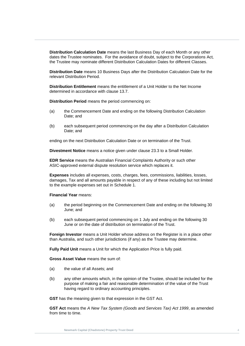**Distribution Calculation Date** means the last Business Day of each Month or any other dates the Trustee nominates. For the avoidance of doubt, subject to the Corporations Act*,*  the Trustee may nominate different Distribution Calculation Dates for different Classes.

**Distribution Date** means 10 Business Days after the Distribution Calculation Date for the<br>relevant Distribution Period. relevant Distribution Period.

**Distribution Entitlement** means the entitlement of a Unit Holder to the Net Income<br>determined in accordance with clause 13.7. determined in accordance with clause [13.7.](#page-46-1)

**Distribution Period** means the period commencing on:

- (a) the Commencement Date and ending on the following Distribution Calculation Date; and
- (b) each subsequent period commencing on the day after a Distribution Calculation Date; and

ending on the next Distribution Calculation Date or on termination of the Trust.

**Divestment Notice** means a notice given under clause [23.3](#page-66-3) to a Small Holder.

**EDR Service** means the Australian Financial Complaints Authority or such other ASIC-approved external dispute resolution service which replaces it.

**Expenses** includes all expenses, costs, charges, fees, commissions, liabilities, losses, damages, Tax and all amounts payable in respect of any of these including but not limited to the example expenses set out in [Schedule 1.](#page-81-0)

#### **Financial Year** means:

- (a) the period beginning on the Commencement Date and ending on the following 30 June; and
- (b) each subsequent period commencing on 1 July and ending on the following 30 June or on the date of distribution on termination of the Trust.

**Foreign Investor** means a Unit Holder whose address on the Register is in a place other than Australia, and such other jurisdictions (if any) as the Trustee may determine.

**Fully Paid Unit** means a Unit for which the Application Price is fully paid.

**Gross Asset Value** means the sum of:

- (a) the value of all Assets; and
- (b) any other amounts which, in the opinion of the Trustee, should be included for the purpose of making a fair and reasonable determination of the value of the Trust having regard to ordinary accounting principles.

**GST** has the meaning given to that expression in the GST Act.

**GST Act** means the *A New Tax System (Goods and Services Tax) Act 1999*, as amended from time to time.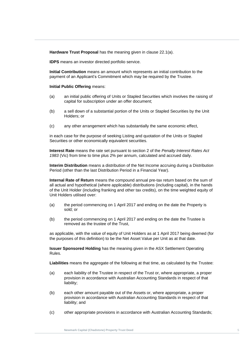**Hardware Trust Proposal** has the meaning given in clause [22.1\(a\).](#page-61-5)

**IDPS** means an investor directed portfolio service.

**Initial Contribution** means an amount which represents an initial contribution to the<br>payment of an Applicant's Commitment which may be required by the Trustee. **Initial Contribution** means an amount which represents an initial contribution to the

## **Initial Public Offering means:**

- (a) an initial public offering of Units or Stapled Securities which involves the raising of capital for subscription under an offer document;
- (b) a sell down of a substantial portion of the Units or Stapled Securities by the Unit Holders; or
- (c) any other arrangement which has substantially the same economic effect,

in each case for the purpose of seeking Listing and quotation of the Units or Stapled Securities or other economically equivalent securities.

**Interest Rate** means the rate set pursuant to section 2 of the *Penalty Interest Rates Act 1983* (Vic) from time to time plus 2% per annum, calculated and accrued daily.

**Interim Distribution** means a distribution of the Net Income accruing during a Distribution Period (other than the last Distribution Period in a Financial Year).

**Internal Rate of Return** means the compound annual pre-tax return based on the sum of all actual and hypothetical (where applicable) distributions (including capital), in the hands of the Unit Holder (including franking and other tax credits), on the time weighted equity of Unit Holders utilised over:

- (a) the period commencing on 1 April 2017 and ending on the date the Property is sold; or
- (b) the period commencing on 1 April 2017 and ending on the date the Trustee is removed as the trustee of the Trust,

as applicable, with the value of equity of Unit Holders as at 1 April 2017 being deemed (for the purposes of this definition) to be the Net Asset Value per Unit as at that date.

**Issuer Sponsored Holding** has the meaning given in the ASX Settlement Operating Rules.

**Liabilities** means the aggregate of the following at that time, as calculated by the Trustee:

- (a) each liability of the Trustee in respect of the Trust or, where appropriate, a proper provision in accordance with Australian Accounting Standards in respect of that liability;
- (b) each other amount payable out of the Assets or, where appropriate, a proper provision in accordance with Australian Accounting Standards in respect of that liability; and
- (c) other appropriate provisions in accordance with Australian Accounting Standards;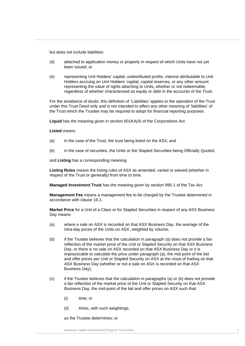but does not include liabilities:

- (d) attached to application money or property in respect of which Units have not yet been issued; or
- (e) representing Unit Holders' capital, undistributed profits, interest attributable to Unit Trust Deepending to Unit Deepend, Deptending to Units, whether or not redeemable,<br>
regardless of whether characterised as equity or debt in the accounts of the Trust. Holders accruing on Unit Holders' capital, capital reserves, or any other amount representing the value of rights attaching to Units, whether or not redeemable,

For the avoidance of doubt, this definition of *'*Liabilities*'* applies to the operation of the Trust under this Trust Deed only and is not intended to affect any other meaning of *'*liabilities*'* of the Trust which the Trustee may be required to adopt for financial reporting purposes.

**Liquid** has the meaning given in section 601KA(4) of the Corporations Act.

**Listed** means:

- (a) in the case of the Trust, the trust being listed on the ASX; and
- (b) in the case of securities, the Units or the Stapled Securities being Officially Quoted,

and **Listing** has a corresponding meaning.

**Listing Rules** means the listing rules of ASX as amended, varied or waived (whether in respect of the Trust or generally) from time to time.

**Managed Investment Trust** has the meaning given by section 995-1 of the Tax Act.

**Management Fee** means a management fee to be charged by the Trustee determined in accordance with clause [16.1.](#page-53-5)

**Market Price** for a Unit of a Class or for Stapled Securities in respect of any ASX Business Day means:

- (a) where a sale on ASX is recorded on that ASX Business Day, the average of the intra-day prices of the Units on ASX, weighted by volume;
- (b) if the Trustee believes that the calculation in paragraph (a) does not provide a fair reflection of the market price of the Unit or Stapled Security on that ASX Business Day, or there is no sale on ASX recorded on that ASX Business Day or it is impracticable to calculate the price under paragraph (a), the mid point of the bid and offer prices per Unit or Stapled Security on ASX at the close of trading on that ASX Business Day (whether or not a sale on ASX is recorded on that ASX Business Day);
- (c) if the Trustee believes that the calculation in paragraphs (a) or (b) does not provide a fair reflection of the market price of the Unit or Stapled Security on that ASX Business Day, the mid-point of the bid and offer prices on ASX such that:
	- (i) time; or
	- (ii) times, with such weightings,

as the Trustee determines; or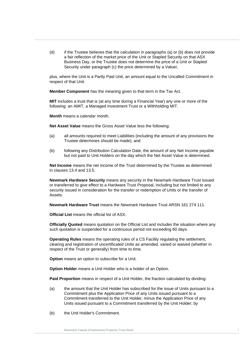(d) if the Trustee believes that the calculation in paragraphs (a) or (b) does not provide a fair reflection of the market price of the Unit or Stapled Security on that ASX Business Day, or the Trustee does not determine the price of a Unit or Stapled Security under paragraph (c) the price determined by a Valuer,

plus, where the Unit is a Partly Paid Unit, an amount equal to the Uncalled Commitment in respect of that Unit.

**Trust Deed Member Component** has the meaning given to that term in the Tax Act.

**MIT** includes a trust that is (at any time during a Financial Year) any one or more of the following: an AMIT, a Managed Investment Trust or a Withholding MIT.

**Month** means a calendar month.

**Net Asset Value** means the Gross Asset Value less the following:

- (a) all amounts required to meet Liabilities (including the amount of any provisions the Trustee determines should be made); and
- (b) following any Distribution Calculation Date, the amount of any Net Income payable but not paid to Unit Holders on the day which the Net Asset Value is determined.

**Net Income** means the net income of the Trust determined by the Trustee as determined in clauses [13.4](#page-45-4) and [13.5.](#page-45-5)

**Newmark Hardware Security** means any security in the Newmark Hardware Trust issued or transferred to give effect to a Hardware Trust Proposal, including but not limited to any security issued in consideration for the transfer or redemption of Units or the transfer of Assets.

**Newmark Hardware Trust** means the Newmark Hardware Trust ARSN 161 274 111.

**Official List** means the official list of ASX.

**Officially Quoted** means quotation on the Official List and includes the situation where any such quotation is suspended for a continuous period not exceeding 60 days.

**Operating Rules** means the operating rules of a CS Facility regulating the settlement, clearing and registration of uncertificated Units as amended, varied or waived (whether in respect of the Trust or generally) from time to time.

**Option** means an option to subscribe for a Unit.

**Option Holder** means a Unit Holder who is a holder of an Option.

**Paid Proportion** means in respect of a Unit Holder, the fraction calculated by dividing:

- (a) the amount that the Unit Holder has subscribed for the issue of Units pursuant to a Commitment plus the Application Price of any Units issued pursuant to a Commitment transferred to the Unit Holder, minus the Application Price of any Units issued pursuant to a Commitment transferred by the Unit Holder; by
- (b) the Unit Holder's Commitment.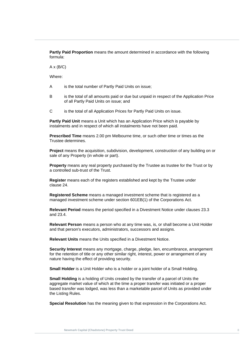**Partly Paid Proportion** means the amount determined in accordance with the following formula:

 $A \times (B/C)$ 

**Where:** Where:

- A is the total number of Partly Paid Units on issue;
	- B is the total of all amounts paid or due but unpaid in respect of the Application Price of all Partly Paid Units on issue; and
	- C is the total of all Application Prices for Partly Paid Units on issue.

**Partly Paid Unit** means a Unit which has an Application Price which is payable by instalments and in respect of which all instalments have not been paid.

**Prescribed Time** means 2.00 pm Melbourne time, or such other time or times as the Trustee determines.

**Project** means the acquisition, subdivision, development, construction of any building on or sale of any Property (in whole or part).

**Property** means any real property purchased by the Trustee as trustee for the Trust or by a controlled sub-trust of the Trust.

**Register** means each of the registers established and kept by the Trustee under clause [24.](#page-69-3)

**Registered Scheme** means a managed investment scheme that is registered as a managed investment scheme under section 601EB(1) of the Corporations Act*.*

**Relevant Period** means the period specified in a Divestment Notice under clauses [23.3](#page-66-3) and [23.4.](#page-67-0)

**Relevant Person** means a person who at any time was, is, or shall become a Unit Holder and that person's executors, administrators, successors and assigns.

**Relevant Units** means the Units specified in a Divestment Notice.

**Security Interest** means any mortgage, charge, pledge, lien, encumbrance, arrangement for the retention of title or any other similar right, interest, power or arrangement of any nature having the effect of providing security.

**Small Holder** is a Unit Holder who is a holder or a joint holder of a Small Holding.

**Small Holding** is a holding of Units created by the transfer of a parcel of Units the aggregate market value of which at the time a proper transfer was initiated or a proper based transfer was lodged, was less than a marketable parcel of Units as provided under the Listing Rules.

**Special Resolution** has the meaning given to that expression in the Corporations Act.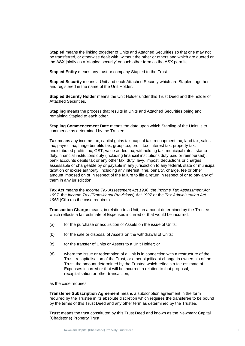**Stapled** means the linking together of Units and Attached Securities so that one may not be transferred, or otherwise dealt with, without the other or others and which are quoted on the ASX jointly as a 'stapled security' or such other term as the ASX permits.

**Stapled Entity** means any trust or company Stapled to the Trust.<br> **Charled Breasting angles of Little and and Attached Departies of Little and Other Hampth** 

**Trust Deed** and registered in the name of the Unit Holder. **Stapled Security** means a Unit and each Attached Security which are Stapled together

**Stapled Security Holder** means the Unit Holder under this Trust Deed and the holder of Attached Securities.

**Stapling** means the process that results in Units and Attached Securities being and remaining Stapled to each other.

**Stapling Commencement Date** means the date upon which Stapling of the Units is to commence as determined by the Trustee.

**Tax** means any income tax, capital gains tax, capital tax, recoupment tax, land tax, sales tax, payroll tax, fringe benefits tax, group tax, profit tax, interest tax, property tax, undistributed profits tax, GST, value added tax, withholding tax, municipal rates, stamp duty, financial institutions duty (including financial institutions duty paid or reimbursed), bank accounts debits tax or any other tax, duty, levy, impost, deductions or charges assessable or chargeable by or payable in any jurisdiction to any federal, state or municipal taxation or excise authority, including any interest, fine, penalty, charge, fee or other amount imposed on or in respect of the failure to file a return in respect of or to pay any of them in any jurisdiction.

**Tax Act** means the *Income Tax Assessment Act 1936*, the *Income Tax Assessment Act 1997,* the *Income Tax (Transitional Provisions) Act 1997* or the *Tax Administration Act 1953* (Cth) (as the case requires).

**Transaction Charge** means, in relation to a Unit, an amount determined by the Trustee which reflects a fair estimate of Expenses incurred or that would be incurred:

- (a) for the purchase or acquisition of Assets on the issue of Units;
- (b) for the sale or disposal of Assets on the withdrawal of Units;
- (c) for the transfer of Units or Assets to a Unit Holder; or
- (d) where the issue or redemption of a Unit is in connection with a restructure of the Trust, recapitalisation of the Trust, or other significant change in ownership of the Trust, the amount determined by the Trustee which reflects a fair estimate of Expenses incurred or that will be incurred in relation to that proposal, recapitalisation or other transaction,

as the case requires.

**Transferee Subscription Agreement** means a subscription agreement in the form required by the Trustee in its absolute discretion which requires the transferee to be bound by the terms of this Trust Deed and any other term as determined by the Trustee.

**Trust** means the trust constituted by this Trust Deed and known as the Newmark Capital (Chadstone) Property Trust.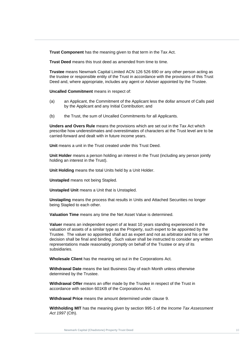**Trust Component** has the meaning given to that term in the Tax Act.

**Trust Deed** means this trust deed as amended from time to time.

**Trustee** means Newmark Capital Limited ACN 126 526 690 or any other person acting as<br>the trustee or responsible entity of the Trust in accordance with the provisions of this Trust **Trustee** means Newmark Capital Limited ACN 126 526 690 or any other person acting as Deed and, where appropriate, includes any agent or Adviser appointed by the Trustee.

**Trust Deed Uncalled Commitment** means in respect of:

- (a) an Applicant, the Commitment of the Applicant less the dollar amount of Calls paid by the Applicant and any Initial Contribution; and
- (b) the Trust, the sum of Uncalled Commitments for all Applicants.

**Unders and Overs Rule** means the provisions which are set out in the Tax Act which prescribe how underestimates and overestimates of characters at the Trust level are to be carried-forward and dealt with in future income years.

**Unit** means a unit in the Trust created under this Trust Deed.

**Unit Holder** means a person holding an interest in the Trust (including any person jointly holding an interest in the Trust).

**Unit Holding** means the total Units held by a Unit Holder.

**Unstapled** means not being Stapled.

**Unstapled Unit** means a Unit that is Unstapled.

**Unstapling** means the process that results in Units and Attached Securities no longer being Stapled to each other.

**Valuation Time** means any time the Net Asset Value is determined.

**Valuer** means an independent expert of at least 10 years standing experienced in the valuation of assets of a similar type as the Property, such expert to be appointed by the Trustee. The valuer so appointed shall act as expert and not as arbitrator and his or her decision shall be final and binding. Such valuer shall be instructed to consider any written representations made reasonably promptly on behalf of the Trustee or any of its subsidiaries.

**Wholesale Client** has the meaning set out in the Corporations Act.

**Withdrawal Date** means the last Business Day of each Month unless otherwise determined by the Trustee.

**Withdrawal Offer** means an offer made by the Trustee in respect of the Trust in accordance with section 601KB of the Corporations Act*.*

**Withdrawal Price** means the amount determined under clause [9.](#page-40-3)

**Withholding MIT** has the meaning given by section 995-1 of the *Income Tax Assessment Act 1997* (Cth).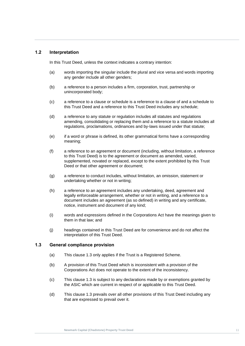#### <span id="page-17-0"></span>**1.2 Interpretation**

In this Trust Deed, unless the context indicates a contrary intention:

- (a) words importing the singular include the plural and vice versa and words importing<br>any gender include all other genders; any gender include all other genders;
- (b) a reference to a person includes a firm, corporation, trust, partnership or unincorporated body; unincorporated body;
	- (c) a reference to a clause or schedule is a reference to a clause of and a schedule to this Trust Deed and a reference to this Trust Deed includes any schedule;
	- (d) a reference to any statute or regulation includes all statutes and regulations amending, consolidating or replacing them and a reference to a statute includes all regulations, proclamations, ordinances and by-laws issued under that statute;
	- (e) if a word or phrase is defined, its other grammatical forms have a corresponding meaning;
	- (f) a reference to an agreement or document (including, without limitation, a reference to this Trust Deed) is to the agreement or document as amended, varied, supplemented, novated or replaced, except to the extent prohibited by this Trust Deed or that other agreement or document;
	- (g) a reference to conduct includes, without limitation, an omission, statement or undertaking whether or not in writing;
	- (h) a reference to an agreement includes any undertaking, deed, agreement and legally enforceable arrangement, whether or not in writing, and a reference to a document includes an agreement (as so defined) in writing and any certificate, notice, instrument and document of any kind;
	- (i) words and expressions defined in the Corporations Act have the meanings given to them in that law; and
	- (j) headings contained in this Trust Deed are for convenience and do not affect the interpretation of this Trust Deed.

#### <span id="page-17-1"></span>**1.3 General compliance provision**

- (a) This clause [1.3](#page-17-1) only applies if the Trust is a Registered Scheme.
- (b) A provision of this Trust Deed which is inconsistent with a provision of the Corporations Act does not operate to the extent of the inconsistency.
- (c) This clause [1.3](#page-17-1) is subject to any declarations made by or exemptions granted by the ASIC which are current in respect of or applicable to this Trust Deed.
- (d) This clause [1.3](#page-17-1) prevails over all other provisions of this Trust Deed including any that are expressed to prevail over it.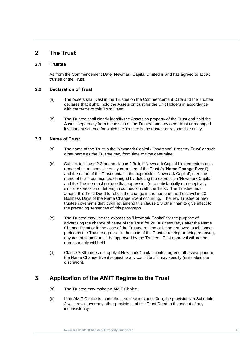## <span id="page-18-0"></span>**2 The Trust**

#### <span id="page-18-1"></span>**2.1 Trustee**

As from the Commencement Date, Newmark Capital Limited is and has agreed to act as<br>trustee of the Trust. trustee of the Trust.

## <span id="page-18-2"></span>**Trust Deed 2.2 Declaration of Trust**

- (a) The Assets shall vest in the Trustee on the Commencement Date and the Trustee declares that it shall hold the Assets on trust for the Unit Holders in accordance with the terms of this Trust Deed.
- (b) The Trustee shall clearly identify the Assets as property of the Trust and hold the Assets separately from the assets of the Trustee and any other trust or managed investment scheme for which the Trustee is the trustee or responsible entity.

#### <span id="page-18-3"></span>**2.3 Name of Trust**

- (a) The name of the Trust is the 'Newmark Capital (Chadstone) Property Trust' or such other name as the Trustee may from time to time determine.
- <span id="page-18-7"></span>(b) Subject to clause  $2.3(c)$  and clause  $2.3(d)$ , if Newmark Capital Limited retires or is removed as responsible entity or trustee of the Trust (a '**Name Change Event**'), and the name of the Trust contains the expression 'Newmark Capital', then the name of the Trust must be changed by deleting the expression 'Newmark Capital' and the Trustee must not use that expression (or a substantially or deceptively similar expression or letters) in connection with the Trust. The Trustee must amend this Trust Deed to reflect the change in the name of the Trust within 20 Business Days of the Name Change Event occurring. The new Trustee or new trustee covenants that it will not amend this clause [2.3](#page-18-3) other than to give effect to the preceding sentences of this paragraph.
- <span id="page-18-5"></span>(c) The Trustee may use the expression 'Newmark Capital' for the purpose of advertising the change of name of the Trust for 20 Business Days after the Name Change Event or in the case of the Trustee retiring or being removed, such longer period as the Trustee agrees. In the case of the Trustee retiring or being removed, any advertisement must be approved by the Trustee. That approval will not be unreasonably withheld.
- <span id="page-18-6"></span>(d) Clause [2.3\(b\)](#page-18-7) does not apply if Newmark Capital Limited agrees otherwise prior to the Name Change Event subject to any conditions it may specify (in its absolute discretion).

## <span id="page-18-4"></span>**3 Application of the AMIT Regime to the Trust**

- (a) The Trustee may make an AMIT Choice.
- (b) If an AMIT Choice is made then, subject to clause [3\(c\),](#page-19-4) the provisions in [Schedule](#page-83-0)  [2](#page-83-0) will prevail over any other provisions of this Trust Deed to the extent of any inconsistency.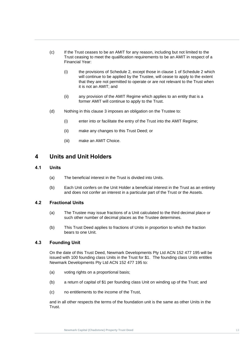- <span id="page-19-4"></span>(c) If the Trust ceases to be an AMIT for any reason, including but not limited to the Trust ceasing to meet the qualification requirements to be an AMIT in respect of a Financial Year:
- (i) the provisio[n](#page-83-1)s of Schedule 2, except those in clause 1 of Schedule 2 which<br>will continue to be applied by the Trustee, will cease to apply to the extent the contract of the contract of the contract of the contract of the contract of the contract of the contract of the contract of the contract of the contract of the contract of the contract of the contract of the contract o (i) the provisions of [Schedule 2,](#page-83-0) except those in clause 1 of Schedule 2 which that they are not permitted to operate or are not relevant to the Trust when it is not an AMIT; and
	- (ii) any provision of the AMIT Regime which applies to an entity that is a former AMIT will continue to apply to the Trust.
	- (d) Nothing in this clause 3 imposes an obligation on the Trustee to:
		- (i) enter into or facilitate the entry of the Trust into the AMIT Regime;
		- (ii) make any changes to this Trust Deed; or
		- (iii) make an AMIT Choice.

### <span id="page-19-0"></span>**4 Units and Unit Holders**

#### <span id="page-19-1"></span>**4.1 Units**

- (a) The beneficial interest in the Trust is divided into Units.
- (b) Each Unit confers on the Unit Holder a beneficial interest in the Trust as an entirety and does not confer an interest in a particular part of the Trust or the Assets.

#### <span id="page-19-2"></span>**4.2 Fractional Units**

- (a) The Trustee may issue fractions of a Unit calculated to the third decimal place or such other number of decimal places as the Trustee determines.
- (b) This Trust Deed applies to fractions of Units in proportion to which the fraction bears to one Unit.

#### <span id="page-19-3"></span>**4.3 Founding Unit**

On the date of this Trust Deed, Newmark Developments Pty Ltd ACN 152 477 195 will be issued with 100 founding class Units in the Trust for \$1. The founding class Units entitles Newmark Developments Pty Ltd ACN 152 477 195 to:

- (a) voting rights on a proportional basis;
- (b) a return of capital of \$1 per founding class Unit on winding up of the Trust; and
- (c) no entitlements to the income of the Trust,

and in all other respects the terms of the foundation unit is the same as other Units in the Trust.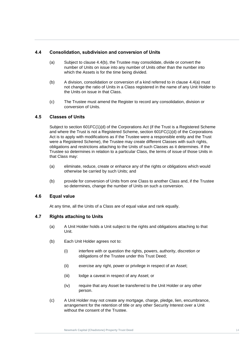#### <span id="page-20-0"></span>**4.4 Consolidation, subdivision and conversion of Units**

- <span id="page-20-5"></span>which the Assets is for the time being divided.<br> **Example 2008** (a) Subject to clause [4.4\(b\),](#page-20-4) the Trustee may consolidate, divide or convert the number of Units on issue into any number of Units other than the number into
- <span id="page-20-4"></span>Trust Definition, consolidation of conversion of a kind ference to in classe 4.4(a) mast<br>not change the ratio of Units in a Class registered in the name of any Unit Holder to<br>the Units on issue in that Class. (b) A division, consolidation or conversion of a kind referred to in clause [4.4\(a\)](#page-20-5) must the Units on issue in that Class.
	- (c) The Trustee must amend the Register to record any consolidation, division or conversion of Units.

#### <span id="page-20-1"></span>**4.5 Classes of Units**

Subject to section 601FC(1)(d) of the Corporations Act (if the Trust is a Registered Scheme and where the Trust is not a Registered Scheme, section 601FC(1)(d) of the Corporations Act is to apply with modifications as if the Trustee were a responsible entity and the Trust were a Registered Scheme), the Trustee may create different Classes with such rights, obligations and restrictions attaching to the Units of such Classes as it determines. If the Trustee so determines in relation to a particular Class, the terms of issue of those Units in that Class may:

- (a) eliminate, reduce, create or enhance any of the rights or obligations which would otherwise be carried by such Units; and
- (b) provide for conversion of Units from one Class to another Class and, if the Trustee so determines, change the number of Units on such a conversion.

#### <span id="page-20-2"></span>**4.6 Equal value**

At any time, all the Units of a Class are of equal value and rank equally.

#### <span id="page-20-3"></span>**4.7 Rights attaching to Units**

- (a) A Unit Holder holds a Unit subject to the rights and obligations attaching to that Unit.
- (b) Each Unit Holder agrees not to:
	- (i) interfere with or question the rights, powers, authority, discretion or obligations of the Trustee under this Trust Deed;
	- (ii) exercise any right, power or privilege in respect of an Asset;
	- (iii) lodge a caveat in respect of any Asset; or
	- (iv) require that any Asset be transferred to the Unit Holder or any other person.
- (c) A Unit Holder may not create any mortgage, charge, pledge, lien, encumbrance, arrangement for the retention of title or any other Security Interest over a Unit without the consent of the Trustee.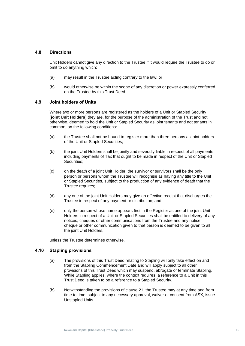#### <span id="page-21-0"></span>**4.8 Directions**

Unit Holders cannot give any direction to the Trustee if it would require the Trustee to do or omit to do anything which:

- (a) may result in the Trustee acting contrary to the law; or
- (b) would otherwise be within the sco<sub>l</sub><br>on the Trustee by this Trust Deed. (b) would otherwise be within the scope of any discretion or power expressly conferred

#### <span id="page-21-1"></span>**4.9 Joint holders of Units**

Where two or more persons are registered as the holders of a Unit or Stapled Security (**joint Unit Holders**) they are, for the purpose of the administration of the Trust and not otherwise, deemed to hold the Unit or Stapled Security as joint tenants and not tenants in common, on the following conditions:

- (a) the Trustee shall not be bound to register more than three persons as joint holders of the Unit or Stapled Securities;
- (b) the joint Unit Holders shall be jointly and severally liable in respect of all payments including payments of Tax that ought to be made in respect of the Unit or Stapled Securities;
- (c) on the death of a joint Unit Holder, the survivor or survivors shall be the only person or persons whom the Trustee will recognise as having any title to the Unit or Stapled Securities, subject to the production of any evidence of death that the Trustee requires;
- (d) any one of the joint Unit Holders may give an effective receipt that discharges the Trustee in respect of any payment or distribution; and
- (e) only the person whose name appears first in the Register as one of the joint Unit Holders in respect of a Unit or Stapled Securities shall be entitled to delivery of any notices, cheques or other communications from the Trustee and any notice, cheque or other communication given to that person is deemed to be given to all the joint Unit Holders,

unless the Trustee determines otherwise.

#### <span id="page-21-2"></span>**4.10 Stapling provisions**

- (a) The provisions of this Trust Deed relating to Stapling will only take effect on and from the Stapling Commencement Date and will apply subject to all other provisions of this Trust Deed which may suspend, abrogate or terminate Stapling. While Stapling applies, where the context requires, a reference to a Unit in this Trust Deed is taken to be a reference to a Stapled Security.
- (b) Notwithstanding the provisions of clause [21,](#page-60-1) the Trustee may at any time and from time to time, subject to any necessary approval, waiver or consent from ASX, issue Unstapled Units.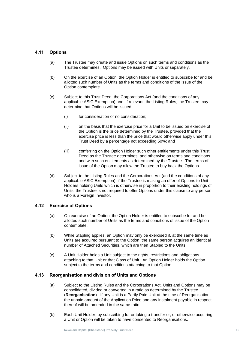#### <span id="page-22-0"></span>**4.11 Options**

- (a) The Trustee may create and issue Options on such terms and conditions as the Trustee determines. Options may be issued with Units or separately.
- (b) On the exercise of an Option, the Option Holder is entitled to subscribe for and be **Trust Deed** Option contemplate. allotted such number of Units as the terms and conditions of the issue of the
	- (c) Subject to this Trust Deed, the Corporations Act (and the conditions of any applicable ASIC Exemption) and, if relevant, the Listing Rules, the Trustee may determine that Options will be issued:
		- (i) for consideration or no consideration;
		- (ii) on the basis that the exercise price for a Unit to be issued on exercise of the Option is the price determined by the Trustee, provided that the exercise price is less than the price that would otherwise apply under this Trust Deed by a percentage not exceeding 50%; and
		- (iii) conferring on the Option Holder such other entitlements under this Trust Deed as the Trustee determines, and otherwise on terms and conditions and with such entitlements as determined by the Trustee. The terms of issue of the Option may allow the Trustee to buy back the Options.
	- (d) Subject to the Listing Rules and the Corporations Act (and the conditions of any applicable ASIC Exemption), if the Trustee is making an offer of Options to Unit Holders holding Units which is otherwise in proportion to their existing holdings of Units, the Trustee is not required to offer Options under this clause to any person who is a Foreign Investor.

#### <span id="page-22-1"></span>**4.12 Exercise of Options**

- (a) On exercise of an Option, the Option Holder is entitled to subscribe for and be allotted such number of Units as the terms and conditions of issue of the Option contemplate.
- (b) While Stapling applies, an Option may only be exercised if, at the same time as Units are acquired pursuant to the Option, the same person acquires an identical number of Attached Securities, which are then Stapled to the Units.
- (c) A Unit Holder holds a Unit subject to the rights, restrictions and obligations attaching to that Unit or that Class of Unit. An Option Holder holds the Option subject to the terms and conditions attaching to that Option.

#### <span id="page-22-2"></span>**4.13 Reorganisation and division of Units and Options**

- (a) Subject to the Listing Rules and the Corporations Act, Units and Options may be consolidated, divided or converted in a ratio as determined by the Trustee (**Reorganisation**). If any Unit is a Partly Paid Unit at the time of Reorganisation the unpaid amount of the Application Price and any instalment payable in respect thereof will be amended in the same ratio.
- (b) Each Unit Holder, by subscribing for or taking a transfer or, or otherwise acquiring, a Unit or Option will be taken to have consented to Reorganisations.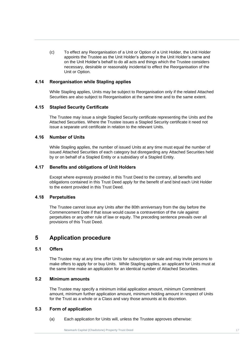**New Service Capital Capital Capital Capital Capital Capital Capital Capital Capital Capital Capital Capital Capital Capital Capital Capital Capital Capital Capital Capital Capital Capital Capital Capital Capital Capital C** (c) To effect any Reorganisation of a Unit or Option of a Unit Holder, the Unit Holder appoints the Trustee as the Unit Holder's attorney in the Unit Holder's name and on the Unit Holder's behalf to do all acts and things which the Trustee considers necessary, desirable or reasonably incidental to effect the Reorganisation of the Unit or Option.

#### <span id="page-23-0"></span>**4.14 Reorganisation while Stapling applies**

**Trust Trust gameation will beeping applies**<br>While Stapling applies, Units may be subject to Reorganisation only if the related Attached Securities are also subject to Reorganisation at the same time and to the same extent.

#### <span id="page-23-1"></span>**4.15 Stapled Security Certificate**

The Trustee may issue a single Stapled Security certificate representing the Units and the Attached Securities. Where the Trustee issues a Stapled Security certificate it need not issue a separate unit certificate in relation to the relevant Units.

#### <span id="page-23-2"></span>**4.16 Number of Units**

While Stapling applies, the number of issued Units at any time must equal the number of issued Attached Securities of each category but disregarding any Attached Securities held by or on behalf of a Stapled Entity or a subsidiary of a Stapled Entity.

#### <span id="page-23-3"></span>**4.17 Benefits and obligations of Unit Holders**

Except where expressly provided in this Trust Deed to the contrary, all benefits and obligations contained in this Trust Deed apply for the benefit of and bind each Unit Holder to the extent provided in this Trust Deed.

#### <span id="page-23-4"></span>**4.18 Perpetuities**

The Trustee cannot issue any Units after the 80th anniversary from the day before the Commencement Date if that issue would cause a contravention of the rule against perpetuities or any other rule of law or equity. The preceding sentence prevails over all provisions of this Trust Deed.

## <span id="page-23-5"></span>**5 Application procedure**

#### <span id="page-23-6"></span>**5.1 Offers**

The Trustee may at any time offer Units for subscription or sale and may invite persons to make offers to apply for or buy Units. While Stapling applies, an applicant for Units must at the same time make an application for an identical number of Attached Securities.

#### <span id="page-23-7"></span>**5.2 Minimum amounts**

The Trustee may specify a minimum initial application amount, minimum Commitment amount, minimum further application amount, minimum holding amount in respect of Units for the Trust as a whole or a Class and vary those amounts at its discretion.

#### <span id="page-23-8"></span>**5.3 Form of application**

(a) Each application for Units will, unless the Trustee approves otherwise: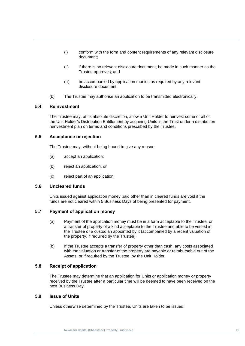- (i) conform with the form and content requirements of any relevant disclosure document;
- **Trustee approves; and<br>
Contract Capital Languis Contract is a contract of the contract of the contract of the contract of the contract of the contract of the contract of the contract of the contract of the contract of the** (ii) if there is no relevant disclosure document, be made in such manner as the Trustee approves; and
- **Trust Deep**<br> **Trust** disclos (iii) be accompanied by application monies as required by any relevant disclosure document.
	- (b) The Trustee may authorise an application to be transmitted electronically.

#### <span id="page-24-0"></span>**5.4 Reinvestment**

The Trustee may, at its absolute discretion, allow a Unit Holder to reinvest some or all of the Unit Holder's Distribution Entitlement by acquiring Units in the Trust under a distribution reinvestment plan on terms and conditions prescribed by the Trustee.

#### <span id="page-24-1"></span>**5.5 Acceptance or rejection**

The Trustee may, without being bound to give any reason:

- (a) accept an application;
- (b) reject an application; or
- (c) reject part of an application.

#### <span id="page-24-2"></span>**5.6 Uncleared funds**

Units issued against application money paid other than in cleared funds are void if the funds are not cleared within 5 Business Days of being presented for payment.

#### <span id="page-24-3"></span>**5.7 Payment of application money**

- (a) Payment of the application money must be in a form acceptable to the Trustee, or a transfer of property of a kind acceptable to the Trustee and able to be vested in the Trustee or a custodian appointed by it (accompanied by a recent valuation of the property, if required by the Trustee).
- (b) If the Trustee accepts a transfer of property other than cash, any costs associated with the valuation or transfer of the property are payable or reimbursable out of the Assets, or if required by the Trustee, by the Unit Holder.

#### <span id="page-24-4"></span>**5.8 Receipt of application**

The Trustee may determine that an application for Units or application money or property received by the Trustee after a particular time will be deemed to have been received on the next Business Day.

#### <span id="page-24-5"></span>**5.9 Issue of Units**

Unless otherwise determined by the Trustee, Units are taken to be issued: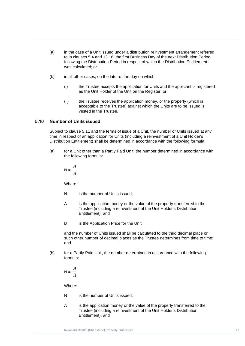- (a) in the case of a Unit issued under a distribution reinvestment arrangement referred to in clauses [5.4](#page-24-0) and [13.16,](#page-48-3) the first Business Day of the next Distribution Period following the Distribution Period in respect of which the Distribution Entitlement was calculated; or
- (b) in all other cases, on the later of the day on which:
- (i) the Trust departured to the Trust<br>as the (i) the Trustee accepts the application for Units and the applicant is registered as the Unit Holder of the Unit on the Register; or
	- (ii) the Trustee receives the application money, or the property (which is acceptable to the Trustee) against which the Units are to be issued is vested in the Trustee.

#### <span id="page-25-0"></span>**5.10 Number of Units issued**

Subject to clause [5.11](#page-26-0) and the terms of issue of a Unit, the number of Units issued at any time in respect of an application for Units (including a reinvestment of a Unit Holder's Distribution Entitlement) shall be determined in accordance with the following formula:

<span id="page-25-1"></span>(a) for a Unit other than a Partly Paid Unit, the number determined in accordance with the following formula:

$$
N = \frac{A}{B}
$$

Where:

- N is the number of Units issued;
- A is the application money or the value of the property transferred to the Trustee (including a reinvestment of the Unit Holder's Distribution Entitlement); and
- B is the Application Price for the Unit,

and the number of Units issued shall be calculated to the third decimal place or such other number of decimal places as the Trustee determines from time to time; and

(b) for a Partly Paid Unit, the number determined in accordance with the following formula:

$$
N = \frac{A}{B}
$$

Where:

- N is the number of Units issued;
- A is the application money or the value of the property transferred to the Trustee (including a reinvestment of the Unit Holder's Distribution Entitlement); and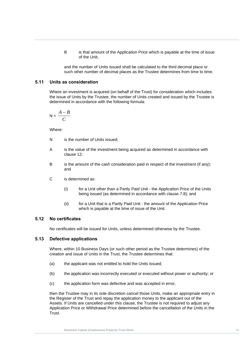B is that amount of the Application Price which is payable at the time of issue of the Unit,

**Newmark Capital (Chadstone) Property**  such other number of decimal places as the Trustee determines from time to time. and the number of Units issued shall be calculated to the third decimal place or

#### <span id="page-26-0"></span>**5.11 Units as consideration**

**Trust Deed** Where an investment is acquired (on behalf of the Trust) for consideration which includes the issue of Units by the Trustee, the number of Units created and issued by the Trustee is determined in accordance with the following formula:

$$
N = \frac{A - B}{C}
$$

Where:

- N is the number of Units issued:
- A is the value of the investment being acquired as determined in accordance with clause 12;
- B is the amount of the cash consideration paid in respect of the investment (if any); and
- C is determined as:
	- (i) for a Unit other than a Partly Paid Unit the Application Price of the Units being issued (as determined in accordance with clause [7.8\)](#page-35-0); and
	- (ii) for a Unit that is a Partly Paid Unit the amount of the Application Price which is payable at the time of issue of the Unit.

#### <span id="page-26-1"></span>**5.12 No certificates**

No certificates will be issued for Units, unless determined otherwise by the Trustee.

#### <span id="page-26-2"></span>**5.13 Defective applications**

Where, within 10 Business Days (or such other period as the Trustee determines) of the creation and issue of Units in the Trust, the Trustee determines that:

- (a) the applicant was not entitled to hold the Units issued;
- (b) the application was incorrectly executed or executed without power or authority; or
- (c) the application form was defective and was accepted in error,

then the Trustee may in its sole discretion cancel those Units, make an appropriate entry in the Register of the Trust and repay the application money to the applicant out of the Assets. If Units are cancelled under this clause, the Trustee is not required to adjust any Application Price or Withdrawal Price determined before the cancellation of the Units in the Trust.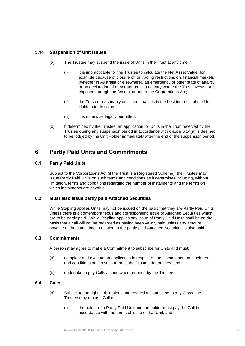#### <span id="page-27-0"></span>**5.14 Suspension of Unit issues**

- (a) The Trustee may suspend the issue of Units in the Trust at any time if:
- <span id="page-27-6"></span>(i) it is impracticable for the Trustee to calculate the Net Asset Value, for<br>example because of closure of, or trading restrictions on, financial markets which<br>or on **c**<br>exposi (i) it is impracticable for the Trustee to calculate the Net Asset Value, for (whether in Australia or elsewhere), an emergency or other state of affairs, or on declaration of a moratorium in a country where the Trust invests, or is exposed through the Assets, or under the Corporations Act;
	- (ii) the Trustee reasonably considers that it is in the best interests of the Unit Holders to do so; or
	- (iii) it is otherwise legally permitted.
	- (b) If determined by the Trustee, an application for Units in the Trust received by the Trustee during any suspension period in accordance with clause [5.14\(a\)](#page-27-6) is deemed to be lodged by the Unit Holder immediately after the end of the suspension period.

## <span id="page-27-1"></span>**6 Partly Paid Units and Commitments**

#### <span id="page-27-2"></span>**6.1 Partly Paid Units**

Subject to the Corporations Act (if the Trust is a Registered Scheme), the Trustee may issue Partly Paid Units on such terms and conditions as it determines including, without limitation, terms and conditions regarding the number of instalments and the terms on which instalments are payable.

#### <span id="page-27-3"></span>**6.2 Must also issue partly paid Attached Securities**

While Stapling applies Units may not be issued on the basis that they are Partly Paid Units unless there is a contemporaneous and corresponding issue of Attached Securities which are to be partly paid. While Stapling applies any issue of Partly Paid Units shall be on the basis that a call will not be regarded as having been validly paid unless any amount payable at the same time in relation to the partly paid Attached Securities is also paid.

#### <span id="page-27-4"></span>**6.3 Commitments**

A person may agree to make a Commitment to subscribe for Units and must:

- (a) complete and execute an application in respect of the Commitment on such terms and conditions and in such form as the Trustee determines; and
- (b) undertake to pay Calls as and when required by the Trustee.

#### <span id="page-27-5"></span>**6.4 Calls**

- (a) Subject to the rights, obligations and restrictions attaching to any Class, the Trustee may make a Call on:
	- (i) the holder of a Partly Paid Unit and the holder must pay the Call in accordance with the terms of issue of that Unit; and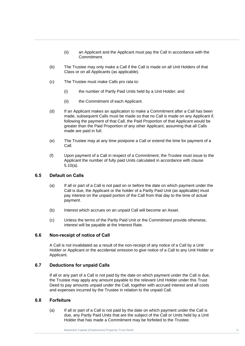- (ii) an Applicant and the Applicant must pay the Call in accordance with the Commitment.
- Class or on all Applicants (as applicable).<br>
Class or on all Applicants (as applicable). (b) The Trustee may only make a Call if the Call is made on all Unit Holders of that
	- (c) The Trustee must make Calls pro rata to:
- (i) the number of the contract of the contract of the contract of the contract of the contract of the contract of the contract of the contract of the contract of the contract of the contract of the contract of the contract (i) the number of Partly Paid Units held by a Unit Holder; and
	- (ii) the Commitment of each Applicant.
	- (d) If an Applicant makes an application to make a Commitment after a Call has been made, subsequent Calls must be made so that no Call is made on any Applicant if, following the payment of that Call, the Paid Proportion of that Applicant would be greater than the Paid Proportion of any other Applicant, assuming that all Calls made are paid in full.
	- (e) The Trustee may at any time postpone a Call or extend the time for payment of a Call.
	- (f) Upon payment of a Call in respect of a Commitment, the Trustee must issue to the Applicant the number of fully paid Units calculated in accordance with clause [5.10\(a\).](#page-25-1)

#### <span id="page-28-0"></span>**6.5 Default on Calls**

- (a) If all or part of a Call is not paid on or before the date on which payment under the Call is due, the Applicant or the holder of a Partly Paid Unit (as applicable) must pay interest on the unpaid portion of the Call from that day to the time of actual payment.
- (b) Interest which accrues on an unpaid Call will become an Asset.
- (c) Unless the terms of the Partly Paid Unit or the Commitment provide otherwise, interest will be payable at the Interest Rate.

#### <span id="page-28-1"></span>**6.6 Non-receipt of notice of Call**

A Call is not invalidated as a result of the non-receipt of any notice of a Call by a Unit Holder or Applicant or the accidental omission to give notice of a Call to any Unit Holder or Applicant.

#### <span id="page-28-2"></span>**6.7 Deductions for unpaid Calls**

If all or any part of a Call is not paid by the date on which payment under the Call is due, the Trustee may apply any amount payable to the relevant Unit Holder under this Trust Deed to pay amounts unpaid under the Call, together with accrued interest and all costs and expenses incurred by the Trustee in relation to the unpaid Call.

#### <span id="page-28-3"></span>**6.8 Forfeiture**

(a) If all or part of a Call is not paid by the date on which payment under the Call is due, any Partly Paid Units that are the subject of the Call or Units held by a Unit Holder that has made a Commitment may be forfeited to the Trustee.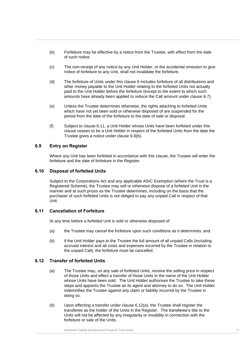- (b) Forfeiture may be effective by a notice from the Trustee, with effect from the date of such notice.
- <span id="page-29-4"></span>notice of forfeiture to any Unit, shall not invalidate the forfeiture.<br>
Any **Property is a set of the international conduct of the forteit and full list in the same of the same of the same of the same of the same of the sa** (c) The non-receipt of any notice by any Unit Holder, or the accidental omission to give
- Trust Deed in the Unit Holder relating to the forfeited Units not actual<br>paid to the Unit Holder before the forfeiture (except to the extent to which such (d) The forfeiture of Units under this clause [6](#page-27-1) includes forfeiture of all distributions and other money payable to the Unit Holder relating to the forfeited Units not actually amounts have already been applied to reduce the Call amount under clause [6.7\)](#page-28-2).
	- (e) Unless the Trustee determines otherwise, the rights attaching to forfeited Units which have not yet been sold or otherwise disposed of are suspended for the period from the date of the forfeiture to the date of sale or disposal.
	- (f) Subject to clause [6.11,](#page-29-2) a Unit Holder whose Units have been forfeited under this clause ceases to be a Unit Holder in respect of the forfeited Units from the date the Trustee gives a notice under clause [6.8\(b\).](#page-29-4)

#### <span id="page-29-0"></span>**6.9 Entry on Register**

Where any Unit has been forfeited in accordance with this clause, the Trustee will enter the forfeiture and the date of forfeiture in the Register.

#### <span id="page-29-1"></span>**6.10 Disposal of forfeited Units**

Subject to the Corporations Act and any applicable ASIC Exemption (where the Trust is a Registered Scheme), the Trustee may sell or otherwise dispose of a forfeited Unit in the manner and at such prices as the Trustee determines, including on the basis that the purchaser of such forfeited Units is not obliged to pay any unpaid Call in respect of that Unit.

#### <span id="page-29-2"></span>**6.11 Cancellation of Forfeiture**

At any time before a forfeited Unit is sold or otherwise disposed of:

- (a) the Trustee may cancel the forfeiture upon such conditions as it determines; and
- (b) if the Unit Holder pays to the Trustee the full amount of all unpaid Calls (including accrued interest and all costs and expenses incurred by the Trustee in relation to the unpaid Call), the forfeiture must be cancelled.

#### <span id="page-29-5"></span><span id="page-29-3"></span>**6.12 Transfer of forfeited Units**

- (a) The Trustee may, on any sale of forfeited Units, receive the selling price in respect of those Units and effect a transfer of those Units in the name of the Unit Holder whose Units have been sold. The Unit Holder authorises the Trustee to take these steps and appoints the Trustee as its agent and attorney to do so. The Unit Holder indemnifies the Trustee against any claim or liability incurred by the Trustee in doing so.
- (b) Upon effecting a transfer under clause [6.12](#page-29-3)[\(a\),](#page-29-5) the Trustee shall register the transferee as the holder of the Units in the Register. The transferee's title to the Units will not be affected by any irregularity or invalidity in connection with the forfeiture or sale of the Units.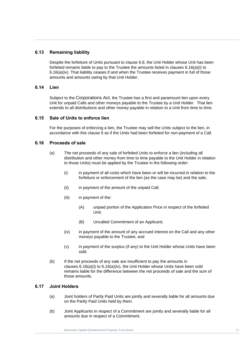#### <span id="page-30-0"></span>**6.13 Remaining liability**

6.16(a)(iv). That liability ceases if and when the Trustee receives payment in full of those<br>amounts and amounts owing by that Unit Holder. Despite the forfeiture of Units pursuant to clause [6.8,](#page-28-3) the Unit Holder whose Unit has been forfeited remains liable to pay to the Trustee the amounts listed in clauses 6.16(a)(i) to amounts and amounts owing by that Unit Holder.

#### <span id="page-30-1"></span>**6.14** Lien **6.14 Lien**

Subject to the Corporations Act*,* the Trustee has a first and paramount lien upon every Unit for unpaid Calls and other moneys payable to the Trustee by a Unit Holder. That lien extends to all distributions and other money payable in relation to a Unit from time to time.

#### <span id="page-30-2"></span>**6.15 Sale of Units to enforce lien**

For the purposes of enforcing a lien, the Trustee may sell the Units subject to the lien, in accordance with this clause [6](#page-27-1) as if the Units had been forfeited for non-payment of a Call.

#### <span id="page-30-3"></span>**6.16 Proceeds of sale**

- <span id="page-30-5"></span>(a) The net proceeds of any sale of forfeited Units to enforce a lien (including all distribution and other money from time to time payable to the Unit Holder in relation to those Units) must be applied by the Trustee in the following order:
	- (i) in payment of all costs which have been or will be incurred in relation to the forfeiture or enforcement of the lien (as the case may be) and the sale;
	- (ii) in payment of the amount of the unpaid Call:
	- (iii) in payment of the:
		- (A) unpaid portion of the Application Price in respect of the forfeited Unit;
		- (B) Uncalled Commitment of an Applicant;
	- (iv) in payment of the amount of any accrued interest on the Call and any other moneys payable to the Trustee; and
	- (v) in payment of the surplus (if any) to the Unit Holder whose Units have been sold.
- <span id="page-30-6"></span>(b) If the net proceeds of any sale are insufficient to pay the amounts in clauses  $6.16(a)(i)$  to  $6.16(a)(iv)$ , the Unit Holder whose Units have been sold remains liable for the difference between the net proceeds of sale and the sum of those amounts.

#### <span id="page-30-4"></span>**6.17 Joint Holders**

- (a) Joint holders of Partly Paid Units are jointly and severally liable for all amounts due on the Partly Paid Units held by them.
- (b) Joint Applicants in respect of a Commitment are jointly and severally liable for all amounts due in respect of a Commitment.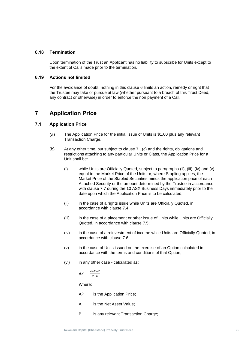#### <span id="page-31-0"></span>**6.18 Termination**

Upon termination of the Trust an Applicant has no liability to subscribe for Units except to the extent of Calls made prior to the termination.

#### <span id="page-31-1"></span>**New Mark Capital Capital Capital Capital Capital Capital Capital Capital Capital Capital Capital Capital Capital 6.19 Actions not limited**

For the avoidance of doubt, nothing in this clause [6](#page-27-1) limits an action, remedy or right that<br>the Trustee may take or pursue at law (whether pursuant to a breach of this Trust Deed. the Trustee may take or pursue at law (whether pursuant to a breach of this Trust Deed, any contract or otherwise) in order to enforce the non payment of a Call.

## <span id="page-31-2"></span>**7 Application Price**

#### <span id="page-31-3"></span>**7.1 Application Price**

- The Application Price for the initial issue of Units is \$1.00 plus any relevant  $(a)$ Transaction Charge.
- <span id="page-31-9"></span><span id="page-31-8"></span><span id="page-31-4"></span>(b) At any other time, but subject to clause [7.1](#page-31-3)[\(c\)](#page-32-2) and the rights, obligations and restrictions attaching to any particular Units or Class, the Application Price for a Unit shall be:
	- (i) while Units are Officially Quoted, subject to paragraphs [\(ii\),](#page-31-4) [\(iii\),](#page-31-5) [\(iv\)](#page-31-6) and [\(v\),](#page-31-7) equal to the Market Price of the Units or, where Stapling applies, the Market Price of the Stapled Securities minus the application price of each Attached Security or the amount determined by the Trustee in accordance with clause [7.7](#page-34-2) during the 10 ASX Business Days immediately prior to the date upon which the Application Price is to be calculated;
	- (ii) in the case of a rights issue while Units are Officially Quoted, in accordance with clause [7.4;](#page-33-0)
	- (iii) in the case of a placement or other issue of Units while Units are Officially Quoted, in accordance with clause [7.5;](#page-34-0)
	- (iv) in the case of a reinvestment of income while Units are Officially Quoted, in accordance with clause [7.6;](#page-34-1)
	- (v) in the case of Units issued on the exercise of an Option calculated in accordance with the terms and conditions of that Option;
	- (vi) in any other case calculated as:

<span id="page-31-10"></span><span id="page-31-7"></span><span id="page-31-6"></span><span id="page-31-5"></span>
$$
AP = \frac{A+B+C}{D+E}
$$

Where:

- AP is the Application Price;
- A is the Net Asset Value;
- B is any relevant Transaction Charge;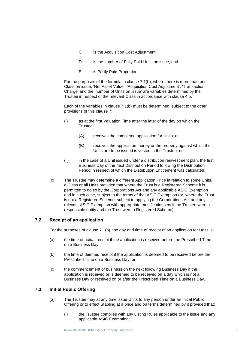- C is the Acquisition Cost Adjustment;
- D is the number of Fully Paid Units on issue; and
- E is Partly Paid Proportion.

**New Second Capital Conduct Capital Proportion.**<br> **E** *Charles a conserved* by *Charles by Capital* Capital Conduct Capital Capital Capital Capital Capital Capital Capital Capital Capital Capital Capital Capital Capital Ca Class on issue, 'Net Asset Value', 'Acquisition Cost Adjustment', 'Transaction<br>Charge' and the 'number of Units on issue' are variables determined by the For the purposes of the formula in clause [7.1](#page-31-3)[\(b\),](#page-31-8) where there is more than one Class on issue, 'Net Asset Value', 'Acquisition Cost Adjustment', 'Transaction Trustee in respect of the relevant Class in accordance with clause [4.5.](#page-20-1)

> Each of the variables in clause [7.1](#page-31-3)[\(b\)](#page-31-8) must be determined, subject to the other provisions of this clause [7:](#page-31-2)

- (i) as at the first Valuation Time after the later of the day on which the Trustee:
	- (A) receives the completed application for Units; or
	- (B) receives the application money or the property against which the Units are to be issued is vested in the Trustee; or
- (ii) in the case of a Unit issued under a distribution reinvestment plan, the first Business Day of the next Distribution Period following the Distribution Period in respect of which the Distribution Entitlement was calculated.
- <span id="page-32-2"></span>(c) The Trustee may determine a different Application Price in relation to some Units, a Class or all Units provided that where the Trust is a Registered Scheme it is permitted to do so by the Corporations Act and any applicable ASIC Exemption and in such case, subject to the terms of that ASIC Exemption (or, where the Trust is not a Registered Scheme, subject to applying the Corporations Act and any relevant ASIC Exemption with appropriate modifications as if the Trustee were a responsible entity and the Trust were a Registered Scheme).

#### <span id="page-32-0"></span>**7.2 Receipt of an application**

For the purposes of clause [7.1\(b\),](#page-31-8) the day and time of receipt of an application for Units is:

- (a) the time of actual receipt if the application is received before the Prescribed Time on a Business Day;
- (b) the time of deemed receipt if the application is deemed to be received before the Prescribed Time on a Business Day; or
- (c) the commencement of business on the next following Business Day if the application is received or is deemed to be received on a day which is not a Business Day or received on or after the Prescribed Time on a Business Day.

#### <span id="page-32-1"></span>**7.3 Initial Public Offering**

- (a) The Trustee may at any time issue Units to any person under an Initial Public Offering or to effect Stapling at a price and on terms determined by it provided that:
	- (i) the Trustee complies with any Listing Rules applicable to the issue and any applicable ASIC Exemption;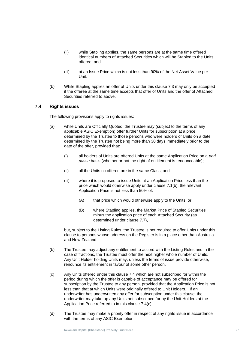- (ii) while Stapling applies, the same persons are at the same time offered identical numbers of Attached Securities which will be Stapled to the Units offered; and
- (iii) at an Issue Price which is not less than 90% of the Net Asset Value per<br>Unit. Unit.
- (b) While Stapling applies an offer of Units under this clause 7.3 may only be accepted<br>if the offeree at the same time accepts that offer of Units and the offer of Attached (b) While Stapling applies an offer of Units under this clause [7.3](#page-32-1) may only be accepted Securities referred to above.

#### <span id="page-33-0"></span>**7.4 Rights issues**

The following provisions apply to rights issues:

- (a) while Units are Officially Quoted, the Trustee may (subject to the terms of any applicable ASIC Exemption) offer further Units for subscription at a price determined by the Trustee to those persons who were holders of Units on a date determined by the Trustee not being more than 30 days immediately prior to the date of the offer, provided that:
	- (i) all holders of Units are offered Units at the same Application Price on a *pari passu* basis (whether or not the right of entitlement is renounceable);
	- (ii) all the Units so offered are in the same Class; and
	- (iii) where it is proposed to issue Units at an Application Price less than the price which would otherwise apply under clause [7.1\(b\),](#page-31-9) the relevant Application Price is not less than 50% of:
		- (A) that price which would otherwise apply to the Units; or
		- (B) where Stapling applies, the Market Price of Stapled Securities minus the application price of each Attached Security (as determined under clause [7.7\)](#page-34-2),

but, subject to the Listing Rules, the Trustee is not required to offer Units under this clause to persons whose address on the Register is in a place other than Australia and New Zealand.

- (b) The Trustee may adjust any entitlement to accord with the Listing Rules and in the case of fractions, the Trustee must offer the next higher whole number of Units. Any Unit Holder holding Units may, unless the terms of issue provide otherwise, renounce its entitlement in favour of some other person.
- <span id="page-33-1"></span>(c) Any Units offered under this clause [7.4](#page-33-0) which are not subscribed for within the period during which the offer is capable of acceptance may be offered for subscription by the Trustee to any person, provided that the Application Price is not less than that at which Units were originally offered to Unit Holders. If an underwriter has underwritten any offer for subscription under this clause, the underwriter may take up any Units not subscribed for by the Unit Holders at the Application Price referred to in this clause [7.4](#page-33-0)[\(c\).](#page-33-1)
- (d) The Trustee may make a priority offer in respect of any rights issue in accordance with the terms of any ASIC Exemption.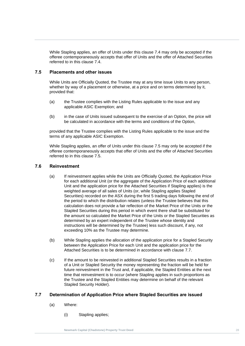While Stapling applies, an offer of Units under this clause [7.4](#page-33-0) may only be accepted if the offeree contemporaneously accepts that offer of Units and the offer of Attached Securities referred to in this clause [7.4.](#page-33-0)

### <span id="page-34-0"></span>**New Mark Capital Capital Capital Capital Capital Capital Capital Capital Capital Capital Capital Capital Capital Capital Capital Capital Capital Capital Capital Capital Capital Capital Capital Capital Capital Capital Capi 7.5 Placements and other issues**

while only at onlotally stacted, the Trastee may at any time issue only of any perset<br>whether by way of a placement or otherwise, at a price and on terms determined by it,<br>provided that: While Units are Officially Quoted, the Trustee may at any time issue Units to any person, provided that:

- (a) the Trustee complies with the Listing Rules applicable to the issue and any applicable ASIC Exemption; and
- (b) in the case of Units issued subsequent to the exercise of an Option, the price will be calculated in accordance with the terms and conditions of the Option,

provided that the Trustee complies with the Listing Rules applicable to the issue and the terms of any applicable ASIC Exemption.

While Stapling applies, an offer of Units under this clause [7.5](#page-34-0) may only be accepted if the offeree contemporaneously accepts that offer of Units and the offer of Attached Securities referred to in this clause [7.5.](#page-34-0)

#### <span id="page-34-1"></span>**7.6 Reinvestment**

- (a) If reinvestment applies while the Units are Officially Quoted, the Application Price for each additional Unit (or the aggregate of the Application Price of each additional Unit and the application price for the Attached Securities if Stapling applies) is the weighted average of all sales of Units (or, while Stapling applies Stapled Securities) recorded on the ASX during the first 5 trading days following the end of the period to which the distribution relates (unless the Trustee believes that this calculation does not provide a fair reflection of the Market Price of the Units or the Stapled Securities during this period in which event there shall be substituted for the amount so calculated the Market Price of the Units or the Stapled Securities as determined by an expert independent of the Trustee whose identity and instructions will be determined by the Trustee) less such discount, if any, not exceeding 10% as the Trustee may determine.
- (b) While Stapling applies the allocation of the application price for a Stapled Security between the Application Price for each Unit and the application price for the Attached Securities is to be determined in accordance with clause [7.7.](#page-34-2)
- (c) If the amount to be reinvested in additional Stapled Securities results in a fraction of a Unit or Stapled Security the money representing the fraction will be held for future reinvestment in the Trust and, if applicable, the Stapled Entities at the next time that reinvestment is to occur (where Stapling applies in such proportions as the Trustee and the Stapled Entities may determine on behalf of the relevant Stapled Security Holder).

#### <span id="page-34-2"></span>**7.7 Determination of Application Price where Stapled Securities are issued**

- (a) Where:
	- (i) Stapling applies;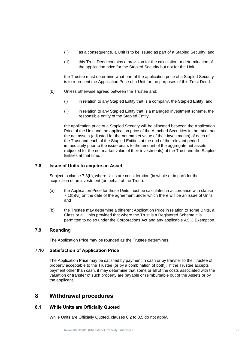- (ii) as a consequence, a Unit is to be issued as part of a Stapled Security; and
- (iii) this Trust Deed contains a provision for the calculation or determination of the application price for the Stapled Security but not for the Unit,

the Trustee must determine what part of the application price of a Stapled Security<br>in the Trustee must determine what part of the application price of a Stapled Security is to represent the Application Price of a Unit for the purposes of this Trust Deed.

- **Trust Deedle Incorporation**<br>
(b) Unless otherwise agreed between the Trustee and:
	- (i) in relation to any Stapled Entity that is a company, the Stapled Entity; and
	- (ii) in relation to any Stapled Entity that is a managed investment scheme, the responsible entity of the Stapled Entity,

the application price of a Stapled Security will be allocated between the Application Price of the Unit and the application price of the Attached Securities in the ratio that the net assets (adjusted for the net market value of their investments) of each of the Trust and each of the Stapled Entities at the end of the relevant period immediately prior to the issue bears to the amount of the aggregate net assets (adjusted for the net market value of their investments) of the Trust and the Stapled Entities at that time.

#### <span id="page-35-0"></span>**7.8 Issue of Units to acquire an Asset**

Subject to clause [7.8](#page-35-0)[\(b\),](#page-35-5) where Units are consideration (in whole or in part) for the acquisition of an investment (on behalf of the Trust):

- (a) the Application Price for those Units must be calculated in accordance with clause [7.1\(b\)\(vi\)](#page-31-10) on the date of the agreement under which there will be an issue of Units; and
- <span id="page-35-5"></span>(b) the Trustee may determine a different Application Price in relation to some Units, a Class or all Units provided that where the Trust is a Registered Scheme it is permitted to do so under the Corporations Act and any applicable ASIC Exemption.

#### <span id="page-35-1"></span>**7.9 Rounding**

The Application Price may be rounded as the Trustee determines.

#### <span id="page-35-2"></span>**7.10 Satisfaction of Application Price**

The Application Price may be satisfied by payment in cash or by transfer to the Trustee of property acceptable to the Trustee (or by a combination of both). If the Trustee accepts payment other than cash, it may determine that some or all of the costs associated with the valuation or transfer of such property are payable or reimbursable out of the Assets or by the applicant.

### <span id="page-35-3"></span>**8 Withdrawal procedures**

#### <span id="page-35-4"></span>**8.1 While Units are Officially Quoted**

While Units are Officially Quoted, clauses [8.2](#page-36-0) to [8.5](#page-38-0) do not apply.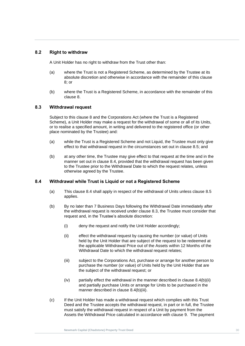## **8.2 Right to withdraw**

A Unit Holder has no right to withdraw from the Trust other than:

- (a) where the Trust is not a Registered Scheme, as determined by the Trustee at its<br>absolute discretion and otherwise in accordance with the remainder of this clause (a) where the Trust is not a Registered Scheme, as determined by the Trustee at its 8; or
- ی<br>(b) where the Trust is a Registered Scheme, in accordance with the remainder of this clause [8.](#page-35-0)

## <span id="page-36-1"></span>**8.3 Withdrawal request**

Subject to this clause [8](#page-35-0) and the Corporations Act (where the Trust is a Registered Scheme), a Unit Holder may make a request for the withdrawal of some or all of its Units, or to realise a specified amount, in writing and delivered to the registered office (or other place nominated by the Trustee) and:

- (a) while the Trust is a Registered Scheme and not Liquid, the Trustee must only give effect to that withdrawal request in the circumstances set out in clause [8.5;](#page-38-0) and
- (b) at any other time, the Trustee may give effect to that request at the time and in the manner set out in clause [8.4,](#page-36-0) provided that the withdrawal request has been given to the Trustee prior to the Withdrawal Date to which the request relates, unless otherwise agreed by the Trustee.

## <span id="page-36-0"></span>**8.4 Withdrawal while Trust is Liquid or not a Registered Scheme**

- (a) This clause [8.4](#page-36-0) shall apply in respect of the withdrawal of Units unless clause [8.5](#page-38-0) applies.
- <span id="page-36-2"></span>(b) By no later than 7 Business Days following the Withdrawal Date immediately after the withdrawal request is received under clause [8.3,](#page-36-1) the Trustee must consider that request and, in the Trustee's absolute discretion:
	- (i) deny the request and notify the Unit Holder accordingly;
	- (ii) effect the withdrawal request by causing the number (or value) of Units held by the Unit Holder that are subject of the request to be redeemed at the applicable Withdrawal Price out of the Assets within 12 Months of the Withdrawal Date to which the withdrawal request relates;
	- (iii) subject to the Corporations Act*,* purchase or arrange for another person to purchase the number (or value) of Units held by the Unit Holder that are the subject of the withdrawal request; or
	- $(iv)$  partially effect the withdrawal in the manner described in clause  $8.4(b)$ (ii) and partially purchase Units or arrange for Units to be purchased in the manner described in clause [8.4\(b\)\(iii\).](#page-36-3)
- <span id="page-36-4"></span><span id="page-36-3"></span>(c) If the Unit Holder has made a withdrawal request which complies with this Trust Deed and the Trustee accepts the withdrawal request, in part or in full, the Trustee must satisfy the withdrawal request in respect of a Unit by payment from the Assets the Withdrawal Price calculated in accordance with clause [9.](#page-40-0) The payment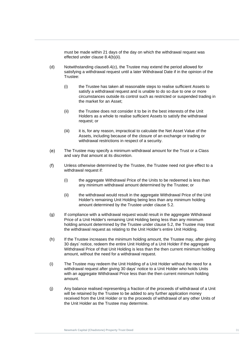must be made within 21 days of the day on which the withdrawal request was effected under clause [8.4\(b\)\(ii\).](#page-36-2)

- <span id="page-37-0"></span>satisfying a withdrawal request until a later Withdrawal Date if in the opinion of the<br>Trustee: (d) Notwithstanding claus[e8.4](#page-36-0)[\(c\),](#page-36-4) the Trustee may extend the period allowed for Trustee:
- (i) the Tru<br>satisfy (i) the Trustee has taken all reasonable steps to realise sufficient Assets to satisfy a withdrawal request and is unable to do so due to one or more circumstances outside its control such as restricted or suspended trading in the market for an Asset;
	- (ii) the Trustee does not consider it to be in the best interests of the Unit Holders as a whole to realise sufficient Assets to satisfy the withdrawal request; or
	- (iii) it is, for any reason, impractical to calculate the Net Asset Value of the Assets, including because of the closure of an exchange or trading or withdrawal restrictions in respect of a security.
	- $(e)$ The Trustee may specify a minimum withdrawal amount for the Trust or a Class and vary that amount at its discretion.
	- Unless otherwise determined by the Trustee, the Trustee need not give effect to a  $(f)$ withdrawal request if:
		- (i) the aggregate Withdrawal Price of the Units to be redeemed is less than any minimum withdrawal amount determined by the Trustee; or
		- (ii) the withdrawal would result in the aggregate Withdrawal Price of the Unit Holder's remaining Unit Holding being less than any minimum holding amount determined by the Trustee under clause [5.2.](#page-23-0)
	- (g) If compliance with a withdrawal request would result in the aggregate Withdrawal Price of a Unit Holder's remaining Unit Holding being less than any minimum holding amount determined by the Trustee under clause [5.2,](#page-23-0) the Trustee may treat the withdrawal request as relating to the Unit Holder's entire Unit Holding.
	- (h) If the Trustee increases the minimum holding amount, the Trustee may, after giving 30 days' notice, redeem the entire Unit Holding of a Unit Holder if the aggregate Withdrawal Price of that Unit Holding is less than the then current minimum holding amount, without the need for a withdrawal request.
	- (i) The Trustee may redeem the Unit Holding of a Unit Holder without the need for a withdrawal request after giving 30 days' notice to a Unit Holder who holds Units with an aggregate Withdrawal Price less than the then current minimum holding amount.
	- (j) Any balance realised representing a fraction of the proceeds of withdrawal of a Unit will be retained by the Trustee to be added to any further application money received from the Unit Holder or to the proceeds of withdrawal of any other Units of the Unit Holder as the Trustee may determine.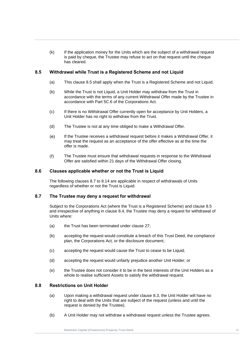(k) If the application money for the Units which are the subject of a withdrawal request is paid by cheque, the Trustee may refuse to act on that request until the cheque has cleared.

## <span id="page-38-0"></span>**Newmark Capital (Chadstone) Property 8.5 Withdrawal while Trust is a Registered Scheme and not Liquid**

- (a) This clause 8.5 shall apply when the Trust is a Registered Scheme and not Liquid.
- (a) This statist bis shall apply when the Trust is a registere[d](#page-38-0) beheme and he<br>(b) While the Trust is not Liquid, a Unit Holder may withdraw from the Trust in accordance with the terms of any current Withdrawal Offer made by the Trustee in accordance with Part 5C.6 of the Corporations Act.
	- (c) If there is no Withdrawal Offer currently open for acceptance by Unit Holders, a Unit Holder has no right to withdraw from the Trust.
	- (d) The Trustee is not at any time obliged to make a Withdrawal Offer.
	- If the Trustee receives a withdrawal request before it makes a Withdrawal Offer, it (e) may treat the request as an acceptance of the offer effective as at the time the offer is made.
	- $(f)$ The Trustee must ensure that withdrawal requests in response to the Withdrawal Offer are satisfied within 21 days of the Withdrawal Offer closing.

### **8.6 Clauses applicable whether or not the Trust is Liquid**

The following clauses [8.7](#page-38-1) to [8.14](#page-39-0) are applicable in respect of withdrawals of Units regardless of whether or not the Trust is Liquid.

## <span id="page-38-1"></span>**8.7 The Trustee may deny a request for withdrawal**

Subject to the Corporations Act (where the Trust is a Registered Scheme) and clause [8.5](#page-38-0) and irrespective of anything in clause [8.4,](#page-36-0) the Trustee may deny a request for withdrawal of Units where:

- (a) the Trust has been terminated under clause [27;](#page-72-0)
- (b) accepting the request would constitute a breach of this Trust Deed, the compliance plan, the Corporations Act*,* or the disclosure document;
- (c) accepting the request would cause the Trust to cease to be Liquid;
- (d) accepting the request would unfairly prejudice another Unit Holder; or
- (e) the Trustee does not consider it to be in the best interests of the Unit Holders as a whole to realise sufficient Assets to satisfy the withdrawal request.

## **8.8 Restrictions on Unit Holder**

- (a) Upon making a withdrawal request under clause [8.3,](#page-36-1) the Unit Holder will have no right to deal with the Units that are subject of the request (unless and until the request is denied by the Trustee).
- (b) A Unit Holder may not withdraw a withdrawal request unless the Trustee agrees.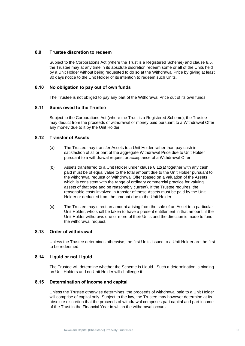## **8.9 Trustee discretion to redeem**

by a Unit Holder without being requested to do so at the Withdrawal Price by giving at least<br>30 days notice to the Unit Holder of its intention to redeem such Units. Subject to the Corporations Act (where the Trust is a Registered Scheme) and clause [8.5,](#page-38-0) the Trustee may at any time in its absolute discretion redeem some or all of the Units held 30 days notice to the Unit Holder of its intention to redeem such Units.

## **Trust Deed 8.10 No obligation to pay out of own funds**

The Trustee is not obliged to pay any part of the Withdrawal Price out of its own funds.

## **8.11 Sums owed to the Trustee**

Subject to the Corporations Act (where the Trust is a Registered Scheme), the Trustee may deduct from the proceeds of withdrawal or money paid pursuant to a Withdrawal Offer any money due to it by the Unit Holder.

## <span id="page-39-1"></span>**8.12 Transfer of Assets**

- (a) The Trustee may transfer Assets to a Unit Holder rather than pay cash in satisfaction of all or part of the aggregate Withdrawal Price due to Unit Holder pursuant to a withdrawal request or acceptance of a Withdrawal Offer.
- (b) Assets transferred to a Unit Holder under clause [8.12\(a\)](#page-39-1) together with any cash paid must be of equal value to the total amount due to the Unit Holder pursuant to the withdrawal request or Withdrawal Offer (based on a valuation of the Assets which is consistent with the range of ordinary commercial practice for valuing assets of that type and be reasonably current). If the Trustee requires, the reasonable costs involved in transfer of these Assets must be paid by the Unit Holder or deducted from the amount due to the Unit Holder.
- <span id="page-39-2"></span>(c) The Trustee may direct an amount arising from the sale of an Asset to a particular Unit Holder, who shall be taken to have a present entitlement in that amount, if the Unit Holder withdraws one or more of their Units and the direction is made to fund the withdrawal request.

## **8.13 Order of withdrawal**

Unless the Trustee determines otherwise, the first Units issued to a Unit Holder are the first to be redeemed.

## <span id="page-39-0"></span>**8.14 Liquid or not Liquid**

The Trustee will determine whether the Scheme is Liquid. Such a determination is binding on Unit Holders and no Unit Holder will challenge it.

## **8.15 Determination of income and capital**

Unless the Trustee otherwise determines, the proceeds of withdrawal paid to a Unit Holder will comprise of capital only. Subject to the law, the Trustee may however determine at its absolute discretion that the proceeds of withdrawal comprises part capital and part income of the Trust in the Financial Year in which the withdrawal occurs.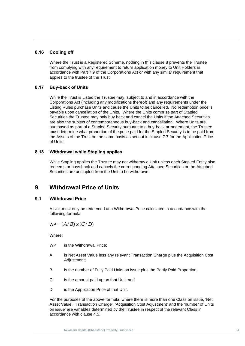## **8.16 Cooling off**

accordance with Part 7.9 of the Corporations Act or with any similar requirement that<br>applies to the trustee of the Trust. Where the Trust is a Registered Scheme, nothing in this clause [8](#page-35-0) prevents the Trustee from complying with any requirement to return application money to Unit Holders in applies to the trustee of the Trust.

## **Trust Deed 8.17 Buy-back of Units**

While the Trust is Listed the Trustee may, subject to and in accordance with the Corporations Act (including any modifications thereof) and any requirements under the Listing Rules purchase Units and cause the Units to be cancelled. No redemption price is payable upon cancellation of the Units. Where the Units comprise part of Stapled Securities the Trustee may only buy back and cancel the Units if the Attached Securities are also the subject of contemporaneous buy-back and cancellation. Where Units are purchased as part of a Stapled Security pursuant to a buy-back arrangement, the Trustee must determine what proportion of the price paid for the Stapled Security is to be paid from the Assets of the Trust on the same basis as set out in clause [7.7](#page-34-0) for the Application Price of Units.

## **8.18 Withdrawal while Stapling applies**

While Stapling applies the Trustee may not withdraw a Unit unless each Stapled Entity also redeems or buys back and cancels the corresponding Attached Securities or the Attached Securities are unstapled from the Unit to be withdrawn.

## <span id="page-40-0"></span>**9 Withdrawal Price of Units**

## <span id="page-40-1"></span>**9.1 Withdrawal Price**

A Unit must only be redeemed at a Withdrawal Price calculated in accordance with the following formula:

WP = (*A*/ *B*) *<sup>x</sup>* (*C*/ *D*)

Where:

- WP is the Withdrawal Price;
- A is Net Asset Value less any relevant Transaction Charge plus the Acquisition Cost Adjustment;
- B is the number of Fully Paid Units on issue plus the Partly Paid Proportion;
- C is the amount paid up on that Unit; and
- D is the Application Price of that Unit.

For the purposes of the above formula, where there is more than one Class on issue, 'Net Asset Value', 'Transaction Charge', 'Acquisition Cost Adjustment' and the 'number of Units on issue' are variables determined by the Trustee in respect of the relevant Class in accordance with clause [4.5.](#page-20-0)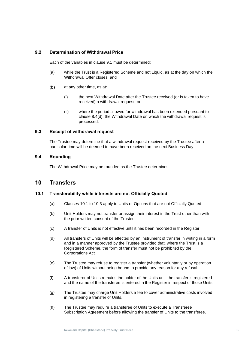## **9.2 Determination of Withdrawal Price**

Each of the variables in clause [9.1](#page-40-1) must be determined:

- (a) while the Trust is a Registered Scheme and not Liquid, as at the day on which the<br>Withdrawal Offer closes; and Withdrawal Offer closes; and
- (b) at any other time, as at:
	- (i) the next Withdrawal Date after the Trustee received (or is taken to have received) a withdrawal request; or
	- (ii) where the period allowed for withdrawal has been extended pursuant to clause [8.4\(d\),](#page-37-0) the Withdrawal Date on which the withdrawal request is processed.

## **9.3 Receipt of withdrawal request**

The Trustee may determine that a withdrawal request received by the Trustee after a particular time will be deemed to have been received on the next Business Day.

## **9.4 Rounding**

The Withdrawal Price may be rounded as the Trustee determines.

## <span id="page-41-1"></span>**10 Transfers**

## <span id="page-41-0"></span>**10.1 Transferability while interests are not Officially Quoted**

- (a) Clauses [10.1](#page-41-0) to [10.3](#page-42-0) apply to Units or Options that are not Officially Quoted.
- (b) Unit Holders may not transfer or assign their interest in the Trust other than with the prior written consent of the Trustee.
- (c) A transfer of Units is not effective until it has been recorded in the Register.
- (d) All transfers of Units will be effected by an instrument of transfer in writing in a form and in a manner approved by the Trustee provided that, where the Trust is a Registered Scheme, the form of transfer must not be prohibited by the Corporations Act*.*
- (e) The Trustee may refuse to register a transfer (whether voluntarily or by operation of law) of Units without being bound to provide any reason for any refusal.
- (f) A transferor of Units remains the holder of the Units until the transfer is registered and the name of the transferee is entered in the Register in respect of those Units.
- (g) The Trustee may charge Unit Holders a fee to cover administrative costs involved in registering a transfer of Units.
- (h) The Trustee may require a transferee of Units to execute a Transferee Subscription Agreement before allowing the transfer of Units to the transferee.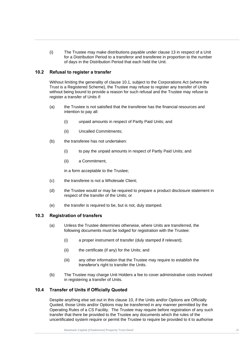(i) The Trustee may make distributions payable under clause [13](#page-45-0) in respect of a Unit for a Distribution Period to a transferor and transferee in proportion to the number of days in the Distribution Period that each held the Unit.

## **Newmark Capital (Chadstone) Property 10.2 Refusal to register a transfer**

Trust is a Registered Scheme), the Trustee may refuse to register any transfer of Units<br>without being bound to provide a reason for such refusal and the Trustee may refuse to Without limiting the generality of clause [10.1,](#page-41-0) subject to the Corporations Act (where the Trust is a Registered Scheme), the Trustee may refuse to register any transfer of Units register a transfer of Units if:

- (a) the Trustee is not satisfied that the transferee has the financial resources and intention to pay all:
	- (i) unpaid amounts in respect of Partly Paid Units; and
	- (ii) Uncalled Commitments;
- (b) the transferee has not undertaken:
	- (i) to pay the unpaid amounts in respect of Partly Paid Units; and
	- (ii) a Commitment,

in a form acceptable to the Trustee;

- (c) the transferee is not a Wholesale Client;
- (d) the Trustee would or may be required to prepare a product disclosure statement in respect of the transfer of the Units; or
- (e) the transfer is required to be, but is not, duly stamped.

## <span id="page-42-0"></span>**10.3 Registration of transfers**

- (a) Unless the Trustee determines otherwise, where Units are transferred, the following documents must be lodged for registration with the Trustee:
	- (i) a proper instrument of transfer (duly stamped if relevant);
	- (ii) the certificate (if any) for the Units; and
	- (iii) any other information that the Trustee may require to establish the transferor's right to transfer the Units.
- (b) The Trustee may charge Unit Holders a fee to cover administrative costs involved in registering a transfer of Units.

## <span id="page-42-1"></span>**10.4 Transfer of Units if Officially Quoted**

Despite anything else set out in this clause [10,](#page-41-1) if the Units and/or Options are Officially Quoted, those Units and/or Options may be transferred in any manner permitted by the Operating Rules of a CS Facility. The Trustee may require before registration of any such transfer that there be provided to the Trustee any documents which the rules of the uncertificated system require or permit the Trustee to require be provided to it to authorise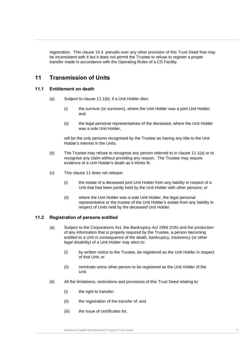registration. This clause [10.4](#page-42-1) prevails over any other provision of this Trust Deed that may be inconsistent with it but it does not permit the Trustee to refuse to register a proper transfer made in accordance with the Operating Rules of a CS Facility.

## <span id="page-43-2"></span>**Newmark Capital (Chadstone) Property 11 Transmission of Units**

## <span id="page-43-1"></span>**Trust Deed 11.1 Entitlement on death**

- (a) Subject to clause [11.1\(b\),](#page-43-0) if a Unit Holder dies:
	- (i) the survivor (or survivors), where the Unit Holder was a joint Unit Holder; and
	- (ii) the legal personal representatives of the deceased, where the Unit Holder was a sole Unit Holder,

will be the only persons recognised by the Trustee as having any title to the Unit Holder's interest in the Units.

- <span id="page-43-0"></span>(b) The Trustee may refuse to recognise any person referred to in clause [11.1\(a\)](#page-43-1) or to recognise any claim without providing any reason. The Trustee may require evidence of a Unit Holder's death as it thinks fit.
- (c) This clause [11](#page-43-2) does not release:
	- (i) the estate of a deceased joint Unit Holder from any liability in respect of a Unit that had been jointly held by the Unit Holder with other persons; or
	- (ii) where the Unit Holder was a sole Unit Holder, the legal personal representative or the trustee of the Unit Holder's estate from any liability in respect of Units held by the deceased Unit Holder.

## **11.2 Registration of persons entitled**

- (a) Subject to the Corporations Act*,* the *Bankruptcy Act 1966* (Cth) and the production of any information that is properly required by the Trustee, a person becoming entitled to a Unit in consequence of the death, bankruptcy, insolvency (or other legal disability) of a Unit Holder may elect to:
	- (i) by written notice to the Trustee, be registered as the Unit Holder in respect of that Unit; or
	- (ii) nominate some other person to be registered as the Unit Holder of the Unit.
- (b) All the limitations, restrictions and provisions of this Trust Deed relating to:
	- (i) the right to transfer;
	- (ii) the registration of the transfer of; and
	- (iii) the issue of certificates for,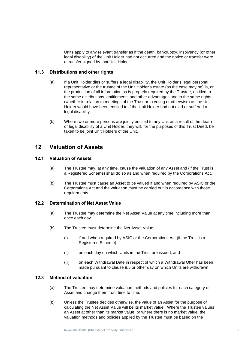Units apply to any relevant transfer as if the death, bankruptcy, insolvency (or other legal disability) of the Unit Holder had not occurred and the notice or transfer were a transfer signed by that Unit Holder.

## **Newmark Capital (Chadstone) Property 11.3 Distributions and other rights**

- Trust Deep Contributed the production of all information as is properly required by the Trustee, entitled to the production of all information as is properly required by the Trustee, entitled to (a) If a Unit Holder dies or suffers a legal disability, the Unit Holder's legal personal representative or the trustee of the Unit Holder's estate (as the case may be) is, on the same distributions, entitlements and other advantages and to the same rights (whether in relation to meetings of the Trust or to voting or otherwise) as the Unit Holder would have been entitled to if the Unit Holder had not died or suffered a legal disability.
	- (b) Where two or more persons are jointly entitled to any Unit as a result of the death or legal disability of a Unit Holder, they will, for the purposes of this Trust Deed, be taken to be joint Unit Holders of the Unit.

## **12 Valuation of Assets**

## **12.1 Valuation of Assets**

- (a) The Trustee may, at any time, cause the valuation of any Asset and (if the Trust is a Registered Scheme) shall do so as and when required by the Corporations Act.
- (b) The Trustee must cause an Asset to be valued if and when required by ASIC or the Corporations Act and the valuation must be carried out in accordance with those requirements.

## **12.2 Determination of Net Asset Value**

- (a) The Trustee may determine the Net Asset Value at any time including more than once each day.
- (b) The Trustee must determine the Net Asset Value:
	- (i) if and when required by ASIC or the Corporations Act (if the Trust is a Registered Scheme);
	- (ii) on each day on which Units in the Trust are issued; and
	- (iii) on each Withdrawal Date in respect of which a Withdrawal Offer has been made pursuant to clause [8.5](#page-38-0) or other day on which Units are withdrawn.

## **12.3 Method of valuation**

- (a) The Trustee may determine valuation methods and policies for each category of Asset and change them from time to time.
- (b) Unless the Trustee decides otherwise, the value of an Asset for the purpose of calculating the Net Asset Value will be its market value. Where the Trustee values an Asset at other than its market value, or where there is no market value, the valuation methods and policies applied by the Trustee must be based on the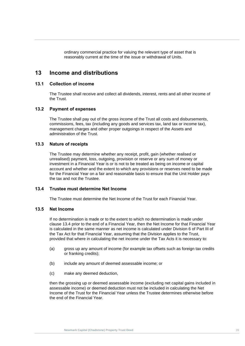ordinary commercial practice for valuing the relevant type of asset that is reasonably current at the time of the issue or withdrawal of Units.

## <span id="page-45-0"></span>**13 Income and distributions Property 2006**

# **13.1 Collection of income**<br>The Trustee shall resear

The Trustee shall receive and collect all dividends, interest, rents and all other income of the Trust.

### **13.2 Payment of expenses**

The Trustee shall pay out of the gross income of the Trust all costs and disbursements, commissions, fees, tax (including any goods and services tax, land tax or income tax), management charges and other proper outgoings in respect of the Assets and administration of the Trust.

#### **13.3 Nature of receipts**

The Trustee may determine whether any receipt, profit, gain (whether realised or unrealised) payment, loss, outgoing, provision or reserve or any sum of money or investment in a Financial Year is or is not to be treated as being on income or capital account and whether and the extent to which any provisions or reserves need to be made for the Financial Year on a fair and reasonable basis to ensure that the Unit Holder pays the tax and not the Trustee.

## <span id="page-45-1"></span>**13.4 Trustee must determine Net Income**

The Trustee must determine the Net Income of the Trust for each Financial Year.

## <span id="page-45-2"></span>**13.5 Net Income**

If no determination is made or to the extent to which no determination is made under clause [13.4](#page-45-1) prior to the end of a Financial Year, then the Net Income for that Financial Year is calculated in the same manner as net income is calculated under Division 6 of Part III of the Tax Act for that Financial Year, assuming that the Division applies to the Trust, provided that where in calculating the net income under the Tax Acts it is necessary to:

- (a) gross up any amount of income (for example tax offsets such as foreign tax credits or franking credits);
- (b) include any amount of deemed assessable income; or
- (c) make any deemed deduction,

then the grossing up or deemed assessable income (excluding net capital gains included in assessable income) or deemed deduction must not be included in calculating the Net Income of the Trust for the Financial Year unless the Trustee determines otherwise before the end of the Financial Year.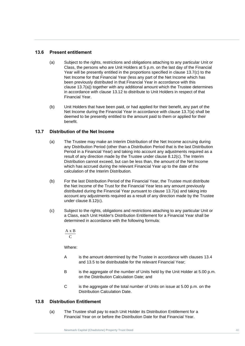## **13.6 Present entitlement**

- Year will be presently entitled in the proportions specified in clause 13.7(c) to the Net Income for that Financial Year (less any part of the Net Income which has **Trust D[eed](#page-46-1)ed**<br>
clause 13.7(a)) together with any additional amount which the Trustee determi<br>
in accordance with clause [13.12](#page-47-0) to distribute to Unit Holders in respect of that (a) Subject to the rights, restrictions and obligations attaching to any particular Unit or Class, the persons who are Unit Holders at 5 p.m. on the last day of the Financial Year will be presently entitled in the proportions specified in clause 13.7(c) to the been previously distributed in that Financial Year in accordance with this clause 13.7(a)) together with any additional amount which the Trustee determines Financial Year.
	- (b) Unit Holders that have been paid, or had applied for their benefit, any part of the Net Income during the Financial Year in accordance with clause [13.7\(a\)](#page-46-1) shall be deemed to be presently entitled to the amount paid to them or applied for their benefit.

## <span id="page-46-1"></span>**13.7 Distribution of the Net Income**

- (a) The Trustee may make an Interim Distribution of the Net Income accruing during any Distribution Period (other than a Distribution Period that is the last Distribution Period in a Financial Year) and taking into account any adjustments required as a result of any direction made by the Trustee under clause [8.12\(c\).](#page-39-2) The Interim Distribution cannot exceed, but can be less than, the amount of the Net Income which has accrued during the relevant Financial Year up to the date of the calculation of the Interim Distribution.
- (b) For the last Distribution Period of the Financial Year, the Trustee must distribute the Net Income of the Trust for the Financial Year less any amount previously distributed during the Financial Year pursuant to clause [13.7\(a\)](#page-46-1) and taking into account any adjustments required as a result of any direction made by the Trustee under clause [8.12\(c\).](#page-39-2)
- <span id="page-46-0"></span>(c) Subject to the rights, obligations and restrictions attaching to any particular Unit or a Class, each Unit Holder's Distribution Entitlement for a Financial Year shall be determined in accordance with the following formula:

 $\mathcal{C}$ A <sup>x</sup> B

Where:

- A is the amount determined by the Trustee in accordance with clauses [13.4](#page-45-1) and [13.5](#page-45-2) to be distributable for the relevant Financial Year;
- B is the aggregate of the number of Units held by the Unit Holder at 5.00 p.m. on the Distribution Calculation Date; and
- C is the aggregate of the total number of Units on issue at 5.00 p.m. on the Distribution Calculation Date.

## <span id="page-46-2"></span>**13.8 Distribution Entitlement**

(a) The Trustee shall pay to each Unit Holder its Distribution Entitlement for a Financial Year on or before the Distribution Date for that Financial Year.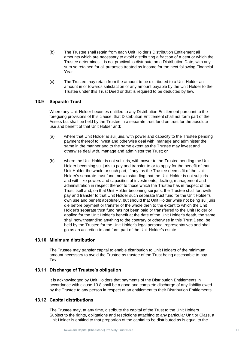- **Near.**<br> **(A) T**ractiones problement is a considerable that the distribution of (b) The Trustee shall retain from each Unit Holder's Distribution Entitlement all amounts which are necessary to avoid distributing a fraction of a cent or which the Trustee determines it is not practical to distribute on a Distribution Date, with any sum so retained for all purposes treated as income for the next following Financial Year.
- The contract of the product of the trust of the Unit Deep amount in or towards satisfaction of any amount payable by the Unit Ho<br>Trustee under this Trust Deed or that is required to be deducted by law. (c) The Trustee may retain from the amount to be distributed to a Unit Holder an amount in or towards satisfaction of any amount payable by the Unit Holder to the

## **13.9 Separate Trust**

Where any Unit Holder becomes entitled to any Distribution Entitlement pursuant to the foregoing provisions of this clause, that Distribution Entitlement shall not form part of the Assets but shall be held by the Trustee in a separate trust fund on trust for the absolute use and benefit of that Unit Holder and:

- (a) where that Unit Holder is sui juris, with power and capacity to the Trustee pending payment thereof to invest and otherwise deal with, manage and administer the same in the manner and to the same extent as the Trustee may invest and otherwise deal with, manage and administer the Trust; or
- (b) where the Unit Holder is not sui juris, with power to the Trustee pending the Unit Holder becoming sui juris to pay and transfer to or to apply for the benefit of that Unit Holder the whole or such part, if any, as the Trustee deems fit of the Unit Holder's separate trust fund, notwithstanding that the Unit Holder is not sui juris and with like powers and capacities of investments, dealing, management and administration in respect thereof to those which the Trustee has in respect of the Trust itself and, on that Unit Holder becoming sui juris, the Trustee shall forthwith pay and transfer to that Unit Holder such separate trust fund for the Unit Holder's own use and benefit absolutely, but should that Unit Holder while not being sui juris die before payment or transfer of the whole then to the extent to which the Unit Holder's separate trust fund has not been paid or transferred to the Unit Holder or applied for the Unit Holder's benefit at the date of the Unit Holder's death, the same shall notwithstanding anything to the contrary or otherwise in this Trust Deed, be held by the Trustee for the Unit Holder's legal personal representatives and shall go as an accretion to and form part of the Unit Holder's estate.

## **13.10 Minimum distribution**

The Trustee may transfer capital to enable distribution to Unit Holders of the minimum amount necessary to avoid the Trustee as trustee of the Trust being assessable to pay Tax.

## **13.11 Discharge of Trustee's obligation**

It is acknowledged by Unit Holders that payments of the Distribution Entitlements in accordance with clause [13.8](#page-46-2) shall be a good and complete discharge of any liability owed by the Trustee to any person in respect of an entitlement to their Distribution Entitlements.

## <span id="page-47-0"></span>**13.12 Capital distributions**

The Trustee may, at any time, distribute the capital of the Trust to the Unit Holders. Subject to the rights, obligations and restrictions attaching to any particular Unit or Class, a Unit Holder is entitled to that proportion of the capital to be distributed as is equal to the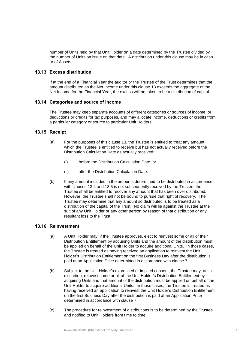number of Units held by that Unit Holder on a date determined by the Trustee divided by the number of Units on issue on that date. A distribution under this clause may be in cash or of Assets.

## **13.13 Excess distribution**

**New Mark Capital Capital Capital Capital Capital Capital Capital Capital Capital Capital Capital Capital Capital**<br>Property and the control capital Capital Capital Capital Capital Capital Capital Capital Capital Capital Ca Trust the end of a Financial Year the duality of the Trustee of the Trust determines that the<br>Amount distributed as the Net Income under this clause 13 exceeds the aggregate of the<br>Net Income for the Financial Year, the ex If at the end of a Financial Year the auditor or the Trustee of the Trust determines that the amount distributed as the Net Income under this clause [13](#page-45-0) exceeds the aggregate of the

## **13.14 Categories and source of income**

The Trustee may keep separate accounts of different categories or sources of income, or deductions or credits for tax purposes, and may allocate income, deductions or credits from a particular category or source to particular Unit Holders.

## **13.15 Receipt**

- (a) For the purposes of this clause [13,](#page-45-0) the Trustee is entitled to treat any amount which the Trustee is entitled to receive but has not actually received before the Distribution Calculation Date as actually received:
	- (i) before the Distribution Calculation Date; or
	- (ii) after the Distribution Calculation Date.
- (b) If any amount included in the amounts determined to be distributed in accordance with clauses [13.4](#page-45-1) and [13.5](#page-45-2) is not subsequently received by the Trustee, the Trustee shall be entitled to recover any amount that has been over distributed. However, the Trustee shall not be bound to pursue that right of recovery. The Trustee may determine that any amount so distributed is to be treated as a distribution of the capital of the Trust. No claim will lie against the Trustee at the suit of any Unit Holder or any other person by reason of that distribution or any resultant loss to the Trust.

## **13.16 Reinvestment**

- (a) A Unit Holder may, if the Trustee approves, elect to reinvest some or all of their Distribution Entitlement by acquiring Units and the amount of the distribution must be applied on behalf of the Unit Holder to acquire additional Units. In those cases, the Trustee is treated as having received an application to reinvest the Unit Holder's Distribution Entitlement on the first Business Day after the distribution is paid at an Application Price determined in accordance with clause [7.](#page-31-0)
- (b) Subject to the Unit Holder's expressed or implied consent, the Trustee may, at its discretion, reinvest some or all of the Unit Holder's Distribution Entitlement by acquiring Units and that amount of the distribution must be applied on behalf of the Unit Holder to acquire additional Units. In those cases, the Trustee is treated as having received an application to reinvest the Unit Holder's Distribution Entitlement on the first Business Day after the distribution is paid at an Application Price determined in accordance with clause [7.](#page-31-0)
- (c) The procedure for reinvestment of distributions is to be determined by the Trustee and notified to Unit Holders from time to time.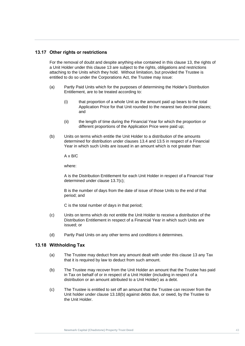## **13.17 Other rights or restrictions**

attaching to the Units which they hold. Without limitation, but provided the Trustee is<br>entitled to do so under the Corporations Act*,* the Trustee may issue: For the removal of doubt and despite anything else contained in this clause [13,](#page-45-0) the rights of a Unit Holder under this clause [13](#page-45-0) are subject to the rights, obligations and restrictions entitled to do so under the Corporations Act*,* the Trustee may issue:

- (a) Partly Paid Units which for the purposes of determining the Holder's Distribution<br>Entitlement, are to be treated according to: Entitlement, are to be treated according to:
	- (i) that proportion of a whole Unit as the amount paid up bears to the total Application Price for that Unit rounded to the nearest two decimal places; and
	- (ii) the length of time during the Financial Year for which the proportion or different proportions of the Application Price were paid up;
	- (b) Units on terms which entitle the Unit Holder to a distribution of the amounts determined for distribution under clauses [13.4](#page-45-1) and [13.5](#page-45-2) in respect of a Financial Year in which such Units are issued in an amount which is not greater than:

 $A \times B/C$ 

where:

A is the Distribution Entitlement for each Unit Holder in respect of a Financial Year determined under clause [13.7\(c\);](#page-46-0)

B is the number of days from the date of issue of those Units to the end of that period; and

C is the total number of days in that period;

- (c) Units on terms which do not entitle the Unit Holder to receive a distribution of the Distribution Entitlement in respect of a Financial Year in which such Units are issued; or
- (d) Partly Paid Units on any other terms and conditions it determines.

#### **13.18 Withholding Tax**

- (a) The Trustee may deduct from any amount dealt with under this clause [13](#page-45-0) any Tax that it is required by law to deduct from such amount.
- <span id="page-49-0"></span>(b) The Trustee may recover from the Unit Holder an amount that the Trustee has paid in Tax on behalf of or in respect of a Unit Holder (including in respect of a distribution or an amount attributed to a Unit Holder) as a debt.
- (c) The Trustee is entitled to set off an amount that the Trustee can recover from the Unit holder under clause [13.18\(b\)](#page-49-0) against debts due, or owed, by the Trustee to the Unit Holder.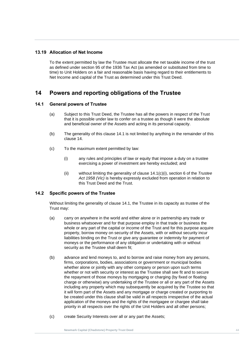## **13.19 Allocation of Net Income**

time) to Unit Holders on a fair and reasonable basis having regard to their entitlements to<br>Net Income and capital of the Trust as determined under this Trust Deed. To the extent permitted by law the Trustee must allocate the net taxable income of the trust as defined under section 95 of the 1936 Tax Act (as amended or substituted from time to Net Income and capital of the Trust as determined under this Trust Deed.

# 14 **Powers and reporting obligations of the Trustee**

## <span id="page-50-0"></span>**14.1 General powers of Trustee**

- (a) Subject to this Trust Deed, the Trustee has all the powers in respect of the Trust that it is possible under law to confer on a trustee as though it were the absolute and beneficial owner of the Assets and acting in its personal capacity.
- (b) The generality of this clause [14.1](#page-50-0) is not limited by anything in the remainder of this clause 14.
- <span id="page-50-1"></span>(c) To the maximum extent permitted by law:
	- (i) any rules and principles of law or equity that impose a duty on a trustee exercising a power of investment are hereby excluded; and
	- (ii) without limiting the generality of clause [14.1\(c\)\(i\),](#page-50-1) section 6 of the *Trustee Act 1958 (Vic)* is hereby expressly excluded from operation in relation to this Trust Deed and the Trust.

## **14.2 Specific powers of the Trustee**

Without limiting the generality of clause [14.1,](#page-50-0) the Trustee in its capacity as trustee of the Trust may:

- (a) carry on anywhere in the world and either alone or in partnership any trade or business whatsoever and for that purpose employ in that trade or business the whole or any part of the capital or income of the Trust and for this purpose acquire property, borrow money on security of the Assets, with or without security incur liabilities binding on the Trust or give any guarantee or indemnity for payment of moneys or the performance of any obligation or undertaking with or without security as the Trustee shall deem fit;
- (b) advance and lend moneys to, and to borrow and raise money from any persons, firms, corporations, bodies, associations or government or municipal bodies whether alone or jointly with any other company or person upon such terms whether or not with security or interest as the Trustee shall see fit and to secure the repayment of those moneys by mortgaging or charging (by fixed or floating charge or otherwise) any undertaking of the Trustee or all or any part of the Assets including any property which may subsequently be acquired by the Trustee so that it will form part of the Assets and any mortgage or charge created or purporting to be created under this clause shall be valid in all respects irrespective of the actual application of the moneys and the rights of the mortgagee or chargee shall take priority in all respects over the rights of the Unit Holders and all other persons;
- (c) create Security Interests over all or any part the Assets;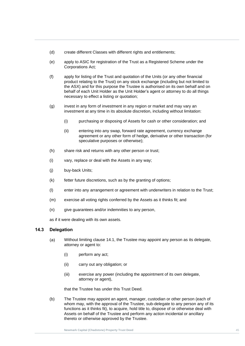- (d) create different Classes with different rights and entitlements;
- (e) apply to ASIC for registration of the Trust as a Registered Scheme under the Corporations Act*;*
- (f) apply for listing of the Trust and quotation of the Units (or any other financial Trust Deed SN, and for this purpose the Trustee is authorised on its own behalf and or<br>behalf of each Unit Holder as the Unit Holder's agent or attorney to do all things product relating to the Trust) on any stock exchange (including but not limited to the ASX) and for this purpose the Trustee is authorised on its own behalf and on necessary to effect a listing or quotation;
	- (g) invest in any form of investment in any region or market and may vary an investment at any time in its absolute discretion, including without limitation:
		- (i) purchasing or disposing of Assets for cash or other consideration; and
		- (ii) entering into any swap, forward rate agreement, currency exchange agreement or any other form of hedge, derivative or other transaction (for speculative purposes or otherwise);
	- (h) share risk and returns with any other person or trust;
	- (i) vary, replace or deal with the Assets in any way;
	- (j) buy-back Units;
	- (k) fetter future discretions, such as by the granting of options;
	- (l) enter into any arrangement or agreement with underwriters in relation to the Trust;
	- (m) exercise all voting rights conferred by the Assets as it thinks fit; and
	- (n) give guarantees and/or indemnities to any person,

as if it were dealing with its own assets.

## <span id="page-51-0"></span>**14.3 Delegation**

- $(a)$ Without limiting clause [14.1,](#page-50-0) the Trustee may appoint any person as its delegate, attorney or agent to:
	- (i) perform any act;
	- (ii) carry out any obligation; or
	- (iii) exercise any power (including the appointment of its own delegate, attorney or agent),

that the Trustee has under this Trust Deed.

<span id="page-51-1"></span>(b) The Trustee may appoint an agent, manager, custodian or other person (each of whom may, with the approval of the Trustee, sub-delegate to any person any of its functions as it thinks fit), to acquire, hold title to, dispose of or otherwise deal with Assets on behalf of the Trustee and perform any action incidental or ancillary thereto or otherwise approved by the Trustee.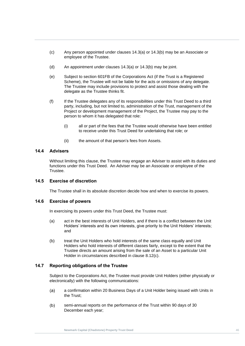- (c) Any person appointed under clauses [14.3\(a\)](#page-51-0) or [14.3\(b\)](#page-51-1) may be an Associate or employee of the Trustee.
- (d) An appointment under clauses [14.3\(a\)](#page-51-0) or 14.3(b) may be joint.
- (e) Subject to section 601FB of the Corporations Act (if the Trust is a Registered<br> **Columnal <sup>T</sup>ruster** <sup>2</sup> But he light for the columna state of the setting of the setting The Trustee may include provision<br>delegate as the Trustee thinks fit. Scheme), the Trustee will not be liable for the acts or omissions of any delegate. The Trustee may include provisions to protect and assist those dealing with the
	- (f) If the Trustee delegates any of its responsibilities under this Trust Deed to a third party, including, but not limited to, administration of the Trust, management of the Project or development management of the Project, the Trustee may pay to the person to whom it has delegated that role:
		- (i) all or part of the fees that the Trustee would otherwise have been entitled to receive under this Trust Deed for undertaking that role; or
		- (ii) the amount of that person's fees from Assets.

## **14.4 Advisers**

Without limiting this clause, the Trustee may engage an Adviser to assist with its duties and functions under this Trust Deed. An Adviser may be an Associate or employee of the Trustee.

## **14.5 Exercise of discretion**

The Trustee shall in its absolute discretion decide how and when to exercise its powers.

## **14.6 Exercise of powers**

In exercising its powers under this Trust Deed, the Trustee must:

- (a) act in the best interests of Unit Holders, and if there is a conflict between the Unit Holders' interests and its own interests, give priority to the Unit Holders' interests; and
- (b) treat the Unit Holders who hold interests of the same class equally and Unit Holders who hold interests of different classes fairly, except to the extent that the Trustee directs an amount arising from the sale of an Asset to a particular Unit Holder in circumstances described in clause [8.12\(c\).](#page-39-2)

## **14.7 Reporting obligations of the Trustee**

Subject to the Corporations Act, the Trustee must provide Unit Holders (either physically or electronically) with the following communications:

- $(a)$ a confirmation within 20 Business Days of a Unit Holder being issued with Units in the Trust;
- $(b)$ semi-annual reports on the performance of the Trust within 90 days of 30 December each year;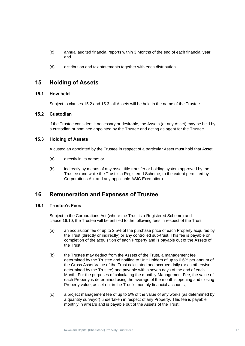- (c) annual audited financial reports within 3 Months of the end of each financial year; and
- (d) distribution and tax statements together with each distribution.

## **Newmark Capital (Chadstone) Property Trust Deed 15 Holding of Assets**

## **15.1 How held**

Subject to clauses [15.2](#page-53-0) and [15.3,](#page-53-1) all Assets will be held in the name of the Trustee.

## <span id="page-53-0"></span>**15.2 Custodian**

If the Trustee considers it necessary or desirable, the Assets (or any Asset) may be held by a custodian or nominee appointed by the Trustee and acting as agent for the Trustee.

## <span id="page-53-1"></span>**15.3 Holding of Assets**

A custodian appointed by the Trustee in respect of a particular Asset must hold that Asset:

- (a) directly in its name; or
- (b) indirectly by means of any asset title transfer or holding system approved by the Trustee (and while the Trust is a Registered Scheme, to the extent permitted by Corporations Act and any applicable ASIC Exemption).

## <span id="page-53-2"></span>**16 Remuneration and Expenses of Trustee**

## **16.1 Trustee's Fees**

Subject to the Corporations Act (where the Trust is a Registered Scheme) and clause [16.10,](#page-55-0) the Trustee will be entitled to the following fees in respect of the Trust:

- (a) an acquisition fee of up to 2.5% of the purchase price of each Property acquired by the Trust (directly or indirectly) or any controlled sub-trust. This fee is payable on completion of the acquisition of each Property and is payable out of the Assets of the Trust;
- (b) the Trustee may deduct from the Assets of the Trust, a management fee determined by the Trustee and notified to Unit Holders of up to 0.6% per annum of the Gross Asset Value of the Trust calculated and accrued daily (or as otherwise determined by the Trustee) and payable within seven days of the end of each Month. For the purposes of calculating the monthly Management Fee, the value of each Property is determined using the average of the month's opening and closing Property value, as set out in the Trust's monthly financial accounts;
- (c) a project management fee of up to 5% of the value of any works (as determined by a quantity surveyor) undertaken in respect of any Property. This fee is payable monthly in arrears and is payable out of the Assets of the Trust;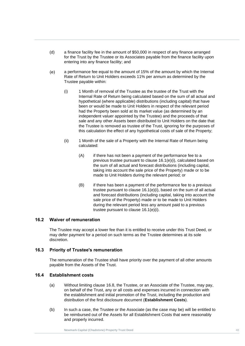- (d) a finance facility fee in the amount of \$50,000 in respect of any finance arranged for the Trust by the Trustee or its Associates payable from the finance facility upon entering into any finance facility; and
- (e) a performance fee equal to the amount of 15% of the amount by which the Internal<br>Rate of Return to Unit Holders exceeds 11% per annum as determined by the a performance fee equal to the amount of 15% of the amount by which the Internal Trustee payable within:
- <span id="page-54-0"></span>(i) 1 Mon (i) 1 Month of removal of the Trustee as the trustee of the Trust with the Internal Rate of Return being calculated based on the sum of all actual and hypothetical (where applicable) distributions (including capital) that have been or would be made to Unit Holders in respect of the relevant period had the Property been sold at its market value (as determined by an independent valuer appointed by the Trustee) and the proceeds of that sale and any other Assets been distributed to Unit Holders on the date that the Trustee is removed as trustee of the Trust, ignoring for the purposes of this calculation the effect of any hypothetical costs of sale of the Property;
	- (ii) 1 Month of the sale of a Property with the Internal Rate of Return being calculated:
		- (A) if there has not been a payment of the performance fee to a previous trustee pursuant to clause [16.1\(e\)\(i\),](#page-54-0) calculated based on the sum of all actual and forecast distributions (including capital, taking into account the sale price of the Property) made or to be made to Unit Holders during the relevant period; or
		- (B) if there has been a payment of the performance fee to a previous trustee pursuant to clause [16.1\(e\)\(i\),](#page-54-0) based on the sum of all actual and forecast distributions (including capital, taking into account the sale price of the Property) made or to be made to Unit Holders during the relevant period less any amount paid to a previous trustee pursuant to clause [16.1\(e\)\(i\).](#page-54-0)

## <span id="page-54-1"></span>**16.2 Waiver of remuneration**

The Trustee may accept a lower fee than it is entitled to receive under this Trust Deed, or may defer payment for a period on such terms as the Trustee determines at its sole discretion.

## **16.3 Priority of Trustee's remuneration**

The remuneration of the Trustee shall have priority over the payment of all other amounts payable from the Assets of the Trust.

#### **16.4 Establishment costs**

- (a) Without limiting clause [16.8,](#page-55-1) the Trustee, or an Associate of the Trustee, may pay, on behalf of the Trust, any or all costs and expenses incurred in connection with the establishment and initial promotion of the Trust, including the production and distribution of the first disclosure document (**Establishment Costs**).
- (b) In such a case, the Trustee or the Associate (as the case may be) will be entitled to be reimbursed out of the Assets for all Establishment Costs that were reasonably and properly incurred.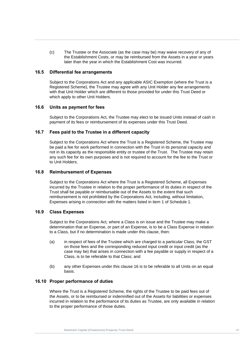(c) The Trustee or the Associate (as the case may be) may waive recovery of any of the Establishment Costs, or may be reimbursed from the Assets in a year or years later than the year in which the Establishment Cost was incurred.

## **Newmark Capital (Chadstone) Property 16.5 Differential fee arrangements**

**Trust Deep Scheme**), the Trustee may agree with any Unit Holder any fee arrangement with that Unit Holder which are different to those provided for under this Trust Deed or Subject to the Corporations Act and any applicable ASIC Exemption (where the Trust is a Registered Scheme), the Trustee may agree with any Unit Holder any fee arrangements which apply to other Unit Holders.

#### **16.6 Units as payment for fees**

Subject to the Corporations Act*,* the Trustee may elect to be issued Units instead of cash in payment of its fees or reimbursement of its expenses under this Trust Deed.

## **16.7 Fees paid to the Trustee in a different capacity**

Subject to the Corporations Act where the Trust is a Registered Scheme, the Trustee may be paid a fee for work performed in connection with the Trust in its personal capacity and not in its capacity as the responsible entity or trustee of the Trust. The Trustee may retain any such fee for its own purposes and is not required to account for the fee to the Trust or to Unit Holders.

## <span id="page-55-1"></span>**16.8 Reimbursement of Expenses**

Subject to the Corporations Act where the Trust is a Registered Scheme, all Expenses incurred by the Trustee in relation to the proper performance of its duties in respect of the Trust shall be payable or reimbursable out of the Assets to the extent that such reimbursement is not prohibited by the Corporations Act*,* including, without limitation, Expenses arising in connection with the matters listed in item 1 of [Schedule 1.](#page-81-0)

## **16.9 Class Expenses**

Subject to the Corporations Act*,* where a Class is on issue and the Trustee may make a determination that an Expense, or part of an Expense, is to be a Class Expense in relation to a Class, but if no determination is made under this clause, then:

- (a) in respect of fees of the Trustee which are charged to a particular Class, the GST on those fees and the corresponding reduced input credit or input credit (as the case may be) that arises in connection with a fee payable or supply in respect of a Class, is to be referable to that Class; and
- (b) any other Expenses under this clause [16](#page-53-2) is to be referable to all Units on an equal basis.

## <span id="page-55-0"></span>**16.10 Proper performance of duties**

Where the Trust is a Registered Scheme, the rights of the Trustee to be paid fees out of the Assets, or to be reimbursed or indemnified out of the Assets for liabilities or expenses incurred in relation to the performance of its duties as Trustee, are only available in relation to the proper performance of those duties.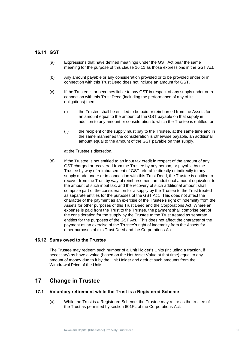## <span id="page-56-0"></span>**16.11 GST**

- (a) Expressions that have defined meanings under the GST Act bear the same meaning for the purpose of this clause 16.11 as those expressions in the GST Act.
- (b) Any amount payable or any consideration provided or to be provided under or in connection with this Trust Deed does not include an amount for GST.
- **Trust Deed deed hot include an amount of SOT.**<br>(c) If the Trustee is or becomes liable to pay GST in respect of any supply under or in connection with this Trust Deed (including the performance of any of its obligations) then:
	- (i) the Trustee shall be entitled to be paid or reimbursed from the Assets for an amount equal to the amount of the GST payable on that supply in addition to any amount or consideration to which the Trustee is entitled; or
	- (ii) the recipient of the supply must pay to the Trustee, at the same time and in the same manner as the consideration is otherwise payable, an additional amount equal to the amount of the GST payable on that supply,

at the Trustee's discretion.

(d) If the Trustee is not entitled to an input tax credit in respect of the amount of any GST charged or recovered from the Trustee by any person, or payable by the Trustee by way of reimbursement of GST referable directly or indirectly to any supply made under or in connection with this Trust Deed, the Trustee is entitled to recover from the Trust by way of reimbursement an additional amount equivalent to the amount of such input tax, and the recovery of such additional amount shall comprise part of the consideration for a supply by the Trustee to the Trust treated as separate entities for the purposes of the GST Act. This does not affect the character of the payment as an exercise of the Trustee's right of indemnity from the Assets for other purposes of this Trust Deed and the Corporations Act. Where an expense is paid from the Trust to the Trustee, the payment shall comprise part of the consideration for the supply by the Trustee to the Trust treated as separate entities for the purposes of the GST Act. This does not affect the character of the payment as an exercise of the Trustee's right of indemnity from the Assets for other purposes of this Trust Deed and the Corporations Act.

#### **16.12 Sums owed to the Trustee**

The Trustee may redeem such number of a Unit Holder's Units (including a fraction, if necessary) as have a value (based on the Net Asset Value at that time) equal to any amount of money due to it by the Unit Holder and deduct such amounts from the Withdrawal Price of the Units.

## **17 Change in Trustee**

## **17.1 Voluntary retirement while the Trust is a Registered Scheme**

(a) While the Trust is a Registered Scheme, the Trustee may retire as the trustee of the Trust as permitted by section 601FL of the Corporations Act*.*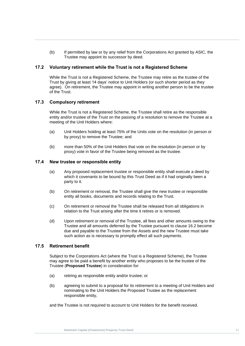(b) If permitted by law or by any relief from the Corporations Act granted by ASIC, the Trustee may appoint its successor by deed.

## **17.2 Voluntary retirement while the Trust is not a Registered Scheme**

While the Trust is not a Registered Scheme, the Trustee may retire as the trustee of the Trust by giving at least 14 days holice to only holice to during another person to be the trustee<br>agree). On retirement, the Trustee may appoint in writing another person to be the trustee<br>of the Trust. Trust by giving at least 14 days' notice to Unit Holders (or such shorter period as they of the Trust.

## **17.3 Compulsory retirement**

While the Trust is not a Registered Scheme, the Trustee shall retire as the responsible entity and/or trustee of the Trust on the passing of a resolution to remove the Trustee at a meeting of the Unit Holders where:

- (a) Unit Holders holding at least 75% of the Units vote on the resolution (in person or by proxy) to remove the Trustee; and
- (b) more than 50% of the Unit Holders that vote on the resolution (in person or by proxy) vote in favor of the Trustee being removed as the trustee.

## **17.4 New trustee or responsible entity**

- (a) Any proposed replacement trustee or responsible entity shall execute a deed by which it covenants to be bound by this Trust Deed as if it had originally been a party to it.
- (b) On retirement or removal, the Trustee shall give the new trustee or responsible entity all books, documents and records relating to the Trust.
- (c) On retirement or removal the Trustee shall be released from all obligations in relation to the Trust arising after the time it retires or is removed.
- (d) Upon retirement or removal of the Trustee, all fees and other amounts owing to the Trustee and all amounts deferred by the Trustee pursuant to clause [16.2](#page-54-1) become due and payable to the Trustee from the Assets and the new Trustee must take such action as is necessary to promptly effect all such payments.

## **17.5 Retirement benefit**

Subject to the Corporations Act (where the Trust is a Registered Scheme), the Trustee may agree to be paid a benefit by another entity who proposes to be the trustee of the Trustee (**Proposed Trustee**) in consideration for:

- (a) retiring as responsible entity and/or trustee; or
- (b) agreeing to submit to a proposal for its retirement to a meeting of Unit Holders and nominating to the Unit Holders the Proposed Trustee as the replacement responsible entity,

and the Trustee is not required to account to Unit Holders for the benefit received.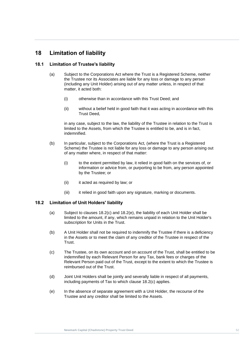## **18 Limitation of liability**

## **18.1 Limitation of Trustee's liability**

- (a) Subject to the Corporations Act where the Trust is a Registered Scheme, neither<br>the Trustee nor its Associates are liable for any loss or damage to any person (including any Unit H)<br>matter, it acted both: the Trustee nor its Associates are liable for any loss or damage to any person (including any Unit Holder) arising out of any matter unless, in respect of that
	- (i) otherwise than in accordance with this Trust Deed; and
	- (ii) without a belief held in good faith that it was acting in accordance with this Trust Deed,

in any case, subject to the law, the liability of the Trustee in relation to the Trust is limited to the Assets, from which the Trustee is entitled to be, and is in fact, indemnified.

- (b) In particular, subject to the Corporations Act*,* (where the Trust is a Registered Scheme) the Trustee is not liable for any loss or damage to any person arising out of any matter where, in respect of that matter:
	- (i) to the extent permitted by law, it relied in good faith on the services of, or information or advice from, or purporting to be from, any person appointed by the Trustee; or
	- (ii) it acted as required by law; or
	- (iii) it relied in good faith upon any signature, marking or documents.

## <span id="page-58-0"></span>**18.2 Limitation of Unit Holders' liability**

- (a) Subject to clauses [18.2](#page-58-0)[\(c\)](#page-58-1) and [18.2](#page-58-0)[\(e\),](#page-58-2) the liability of each Unit Holder shall be limited to the amount, if any, which remains unpaid in relation to the Unit Holder's subscription for Units in the Trust.
- (b) A Unit Holder shall not be required to indemnify the Trustee if there is a deficiency in the Assets or to meet the claim of any creditor of the Trustee in respect of the Trust.
- <span id="page-58-1"></span>(c) The Trustee, on its own account and on account of the Trust, shall be entitled to be indemnified by each Relevant Person for any Tax, bank fees or charges of the Relevant Person paid out of the Trust, except to the extent to which the Trustee is reimbursed out of the Trust.
- (d) Joint Unit Holders shall be jointly and severally liable in respect of all payments, including payments of Tax to which clause [18.2\(c\)](#page-58-1) applies.
- <span id="page-58-2"></span>(e) In the absence of separate agreement with a Unit Holder, the recourse of the Trustee and any creditor shall be limited to the Assets.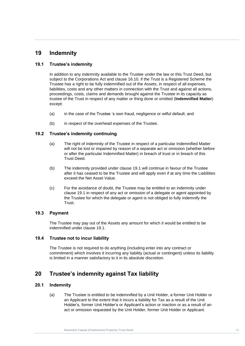## **19 Indemnity**

## <span id="page-59-0"></span>**19.1 Trustee's indemnity**

In addition to any indemnity available to the Trustee under the law or this Trust Deed, but<br>subject to the Corporations Act and clause 16.10, if the Trust is a Registered Scheme the Trustee has a right to be fully indemnified out of the Assets, in respect of all expenses,<br>liabilities, costs and any other matters in connection with the Trust and against all actions,<br>presentlings, easte alsime and deman subject to the Corporations Act and clause 16.10*,* if the Trust is a Registered Scheme the Trustee has a right to be fully indemnified out of the Assets, in respect of all expenses, proceedings, costs, claims and demands brought against the Trustee in its capacity as trustee of the Trust in respect of any matter or thing done or omitted (**Indemnified Matter**) except:

- (a) in the case of the Trustee 's own fraud, negligence or wilful default; and
- (b) in respect of the overhead expenses of the Trustee.

## **19.2 Trustee's indemnity continuing**

- (a) The right of indemnity of the Trustee in respect of a particular Indemnified Matter will not be lost or impaired by reason of a separate act or omission (whether before or after the particular Indemnified Matter) in breach of trust or in breach of this Trust Deed.
- (b) The indemnity provided under clause [19.1](#page-59-0) will continue in favour of the Trustee after it has ceased to be the Trustee and will apply even if at any time the Liabilities exceed the Net Asset Value.
- (c) For the avoidance of doubt, the Trustee may be entitled to an indemnity under clause [19.1](#page-59-0) in respect of any act or omission of a delegate or agent appointed by the Trustee for which the delegate or agent is not obliged to fully indemnify the Trust.

## **19.3 Payment**

The Trustee may pay out of the Assets any amount for which it would be entitled to be indemnified under clause [19.1.](#page-59-0)

## **19.4 Trustee not to incur liability**

The Trustee is not required to do anything (including enter into any contract or commitment) which involves it incurring any liability (actual or contingent) unless its liability is limited in a manner satisfactory to it in its absolute discretion.

## **20 Trustee's indemnity against Tax liability**

## <span id="page-59-2"></span><span id="page-59-1"></span>**20.1 Indemnity**

(a) The Trustee is entitled to be indemnified by a Unit Holder, a former Unit Holder or an Applicant to the extent that it incurs a liability for Tax as a result of the Unit Holder's, former Unit Holder's or Applicant's action or inaction or as a result of an act or omission requested by the Unit Holder, former Unit Holder or Applicant.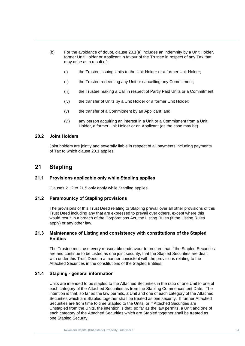- (b) For the avoidance of doubt, clause [20.1\(a\)](#page-59-1) includes an indemnity by a Unit Holder, former Unit Holder or Applicant in favour of the Trustee in respect of any Tax that may arise as a result of:
- (i) the Trustee issuing Units to the Unit Holder or a former Unit Holder;<br>(i) the Trustee is beginning a believe as a suffice or a Conseil theorie
	- (ii) the Trustee redeeming any Unit or cancelling any Commitment;
- **Trust Dee**<br> **Trust Dee**<br> **Trust Dee** Trust (iii) the Trustee making a Call in respect of Partly Paid Units or a Commitment;
	- (iv) the transfer of Units by a Unit Holder or a former Unit Holder;
	- (v) the transfer of a Commitment by an Applicant; and
	- (vi) any person acquiring an interest in a Unit or a Commitment from a Unit Holder, a former Unit Holder or an Applicant (as the case may be).

## **20.2 Joint Holders**

Joint holders are jointly and severally liable in respect of all payments including payments of Tax to which clause [20.1](#page-59-2) applies.

## **21 Stapling**

## **21.1 Provisions applicable only while Stapling applies**

Clauses [21.2](#page-60-0) to [21.5](#page-61-0) only apply while Stapling applies.

#### <span id="page-60-0"></span>**21.2 Paramountcy of Stapling provisions**

The provisions of this Trust Deed relating to Stapling prevail over all other provisions of this Trust Deed including any that are expressed to prevail over others, except where this would result in a breach of the Corporations Act, the Listing Rules (if the Listing Rules apply) or any other law.

## **21.3 Maintenance of Listing and consistency with constitutions of the Stapled Entities**

The Trustee must use every reasonable endeavour to procure that if the Stapled Securities are and continue to be Listed as one joint security, that the Stapled Securities are dealt with under this Trust Deed in a manner consistent with the provisions relating to the Attached Securities in the constitutions of the Stapled Entities.

## **21.4 Stapling - general information**

Units are intended to be stapled to the Attached Securities in the ratio of one Unit to one of each category of the Attached Securities as from the Stapling Commencement Date. The intention is that, so far as the law permits, a Unit and one of each category of the Attached Securities which are Stapled together shall be treated as one security. If further Attached Securities are from time to time Stapled to the Units, or if Attached Securities are Unstapled from the Units, the intention is that, so far as the law permits, a Unit and one of each category of the Attached Securities which are Stapled together shall be treated as one Stapled Security.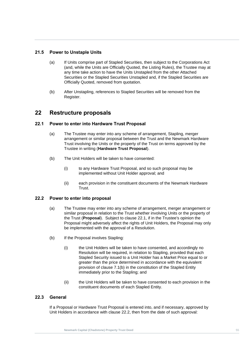## <span id="page-61-0"></span>**21.5 Power to Unstaple Units**

- any time take action to have the Units Unstapled from the other Attached<br>Securities or the Stapled Securities Unstapled and, if the Stapled Securities are (a) If Units comprise part of Stapled Securities, then subject to the Corporations Act (and, while the Units are Officially Quoted, the Listing Rules), the Trustee may at any time take action to have the Units Unstapled from the other Attached Officially Quoted, removed from quotation.
- **Trust Deed** (b) After Unstapling, references to Stapled Securities will be removed from the Register.

## <span id="page-61-4"></span>**22 Restructure proposals**

## <span id="page-61-1"></span>**22.1 Power to enter into Hardware Trust Proposal**

- (a) The Trustee may enter into any scheme of arrangement, Stapling, merger arrangement or similar proposal between the Trust and the Newmark Hardware Trust involving the Units or the property of the Trust on terms approved by the Trustee in writing (**Hardware Trust Proposal**).
- (b) The Unit Holders will be taken to have consented:
	- (i) to any Hardware Trust Proposal, and so such proposal may be implemented without Unit Holder approval; and
	- (ii) each provision in the constituent documents of the Newmark Hardware Trust.

## <span id="page-61-2"></span>**22.2 Power to enter into proposal**

- (a) The Trustee may enter into any scheme of arrangement, merger arrangement or similar proposal in relation to the Trust whether involving Units or the property of the Trust (**Proposal**). Subject to clause [22.1,](#page-61-1) if in the Trustee's opinion the Proposal might adversely affect the rights of Unit Holders, the Proposal may only be implemented with the approval of a Resolution.
- (b) If the Proposal involves Stapling:
	- (i) the Unit Holders will be taken to have consented, and accordingly no Resolution will be required, in relation to Stapling, provided that each Stapled Security issued to a Unit Holder has a Market Price equal to or greater than the price determined in accordance with the equivalent provision of clause [7.1\(b\)](#page-31-1) in the constitution of the Stapled Entity immediately prior to the Stapling; and
	- (ii) the Unit Holders will be taken to have consented to each provision in the constituent documents of each Stapled Entity.

## <span id="page-61-3"></span>**22.3 General**

If a Proposal or Hardware Trust Proposal is entered into, and if necessary, approved by Unit Holders in accordance with clause [22.2,](#page-61-2) then from the date of such approval: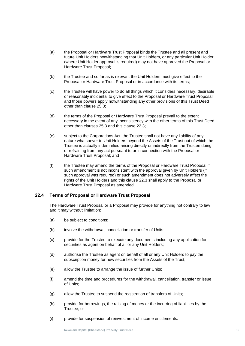- (a) the Proposal or Hardware Trust Proposal binds the Trustee and all present and future Unit Holders notwithstanding that Unit Holders, or any particular Unit Holder (where Unit Holder approval is required) may not have approved the Proposal or Hardware Trust Proposal;
- (b) the Trustee and so far as is relevant the Unit Holders must give effect to the Proposal or Hardware Trust Proposal or in accordance with its terms;
- Trust Deed Constitute the Constitute of the *International Constitute Constitute*<br>(c) the Trustee will have power to do all things which it considers necessary, desirable or reasonably incidental to give effect to the Proposal or Hardware Trust Proposal and those powers apply notwithstanding any other provisions of this Trust Deed other than clause [25.3;](#page-70-0)
	- (d) the terms of the Proposal or Hardware Trust Proposal prevail to the extent necessary in the event of any inconsistency with the other terms of this Trust Deed other than clauses [25.3](#page-70-0) and this clause [22.3;](#page-61-3)
	- (e) subject to the Corporations Act, the Trustee shall not have any liability of any nature whatsoever to Unit Holders beyond the Assets of the Trust out of which the Trustee is actually indemnified arising directly or indirectly from the Trustee doing or refraining from any act pursuant to or in connection with the Proposal or Hardware Trust Proposal; and
	- (f) the Trustee may amend the terms of the Proposal or Hardware Trust Proposal if such amendment is not inconsistent with the approval given by Unit Holders (if such approval was required) or such amendment does not adversely affect the rights of the Unit Holders and this clause [22.3](#page-61-3) shall apply to the Proposal or Hardware Trust Proposal as amended.

## **22.4 Terms of Proposal or Hardware Trust Proposal**

The Hardware Trust Proposal or a Proposal may provide for anything not contrary to law and it may without limitation:

- (a) be subject to conditions;
- (b) involve the withdrawal, cancellation or transfer of Units;
- (c) provide for the Trustee to execute any documents including any application for securities as agent on behalf of all or any Unit Holders;
- (d) authorise the Trustee as agent on behalf of all or any Unit Holders to pay the subscription money for new securities from the Assets of the Trust;
- (e) allow the Trustee to arrange the issue of further Units;
- (f) amend the time and procedures for the withdrawal, cancellation, transfer or issue of Units;
- (g) allow the Trustee to suspend the registration of transfers of Units;
- (h) provide for borrowings, the raising of money or the incurring of liabilities by the Trustee; or
- (i) provide for suspension of reinvestment of income entitlements.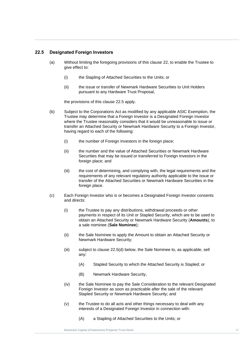## <span id="page-63-0"></span>**22.5 Designated Foreign Investors**

- (a) Without limiting the foregoing provisions of this clause [22,](#page-61-4) to enable the Trustee to give effect to:
- (i) the Stapling of Attached Securities to the Units; or
- (ii) the iss<br>pursua (ii) the issue or transfer of Newmark Hardware Securities to Unit Holders pursuant to any Hardware Trust Proposal,

the provisions of this clause [22.5](#page-63-0) apply.

- (b) Subject to the Corporations Act as modified by any applicable ASIC Exemption, the Trustee may determine that a Foreign Investor is a Designated Foreign Investor where the Trustee reasonably considers that it would be unreasonable to issue or transfer an Attached Security or Newmark Hardware Security to a Foreign Investor, having regard to each of the following:
	- (i) the number of Foreign Investors in the foreign place;
	- (ii) the number and the value of Attached Securities or Newmark Hardware Securities that may be issued or transferred to Foreign Investors in the foreign place; and
	- (iii) the cost of determining, and complying with, the legal requirements and the requirements of any relevant regulatory authority applicable to the issue or transfer of the Attached Securities or Newmark Hardware Securities in the foreign place.
- <span id="page-63-2"></span><span id="page-63-1"></span>(c) Each Foreign Investor who is or becomes a Designated Foreign Investor consents and directs:
	- (i) the Trustee to pay any distributions, withdrawal proceeds or other payments in respect of its Unit or Stapled Security, which are to be used to obtain an Attached Security or Newmark Hardware Security (**Amounts**), to a sale nominee (**Sale Nominee**);
	- (ii) the Sale Nominee to apply the Amount to obtain an Attached Security or Newmark Hardware Security;
	- (iii) subject to clause [22.5\(d\)](#page-64-0) below, the Sale Nominee to, as applicable, sell any:
		- (A) Stapled Security to which the Attached Security is Stapled; or
		- (B) Newmark Hardware Security,
	- (iv) the Sale Nominee to pay the Sale Consideration to the relevant Designated Foreign Investor as soon as practicable after the sale of the relevant Stapled Security or Newmark Hardware Security; and
	- (v) the Trustee to do all acts and other things necessary to deal with any interests of a Designated Foreign Investor in connection with:
		- (A) a Stapling of Attached Securities to the Units; or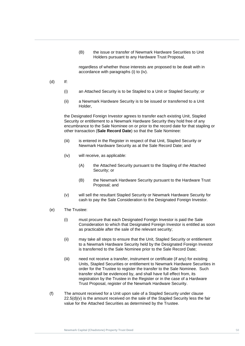(B) the issue or transfer of Newmark Hardware Securities to Unit Holders pursuant to any Hardware Trust Proposal,

**New Solution [C](#page-63-1)apital Capital Accordance with paragraphs (i) to (iv).**<br> **A**  $\mathbf{A}$   $\mathbf{B}$   $\mathbf{A}$   $\mathbf{B}$   $\mathbf{A}$   $\mathbf{B}$   $\mathbf{A}$   $\mathbf{B}$   $\mathbf{A}$   $\mathbf{B}$   $\mathbf{B}$   $\mathbf{B}$   $\mathbf{B}$   $\mathbf{B}$   $\mathbf{B}$   $\mathbf{B}$   $\$ regardless of whether those interests are proposed to be dealt with in

- (d) If:
- <span id="page-64-0"></span>ب<br>i) an Atta (i) an Attached Security is to be Stapled to a Unit or Stapled Security; or
	- (ii) a Newmark Hardware Security is to be issued or transferred to a Unit Holder,

the Designated Foreign Investor agrees to transfer each existing Unit, Stapled Security or entitlement to a Newmark Hardware Security they hold free of any encumbrance to the Sale Nominee on or prior to the record date for that stapling or other transaction (**Sale Record Date**) so that the Sale Nominee:

- (iii) is entered in the Register in respect of that Unit, Stapled Security or Newmark Hardware Security as at the Sale Record Date; and
- (iv) will receive, as applicable:
	- (A) the Attached Security pursuant to the Stapling of the Attached Security; or
	- (B) the Newmark Hardware Security pursuant to the Hardware Trust Proposal; and
- (v) will sell the resultant Stapled Security or Newmark Hardware Security for cash to pay the Sale Consideration to the Designated Foreign Investor.
- <span id="page-64-1"></span>(e) The Trustee:
	- (i) must procure that each Designated Foreign Investor is paid the Sale Consideration to which that Designated Foreign Investor is entitled as soon as practicable after the sale of the relevant security;
	- (ii) may take all steps to ensure that the Unit, Stapled Security or entitlement to a Newmark Hardware Security held by the Designated Foreign Investor is transferred to the Sale Nominee prior to the Sale Record Date;
	- (iii) need not receive a transfer, instrument or certificate (if any) for existing Units, Stapled Securities or entitlement to Newmark Hardware Securities in order for the Trustee to register the transfer to the Sale Nominee. Such transfer shall be evidenced by, and shall have full effect from, its registration by the Trustee in the Register or in the case of a Hardware Trust Proposal, register of the Newmark Hardware Security.
- (f) The amount received for a Unit upon sale of a Stapled Security under clause  $22.5(d)(v)$  is the amount received on the sale of the Stapled Security less the fair value for the Attached Securities as determined by the Trustee.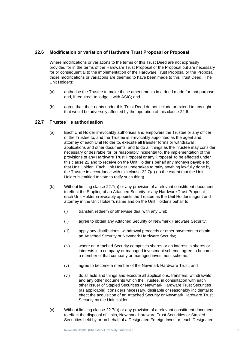## <span id="page-65-0"></span>**22.6 Modification or variation of Hardware Trust Proposal or Proposal**

for or consequential to the implementation of the Hardware Trust Proposal or the Proposal,<br>those modifications or variations are deemed to have been made to this Trust Deed. The Where modifications or variations to the terms of this Trust Deed are not expressly provided for in the terms of the Hardware Trust Proposal or the Proposal but are necessary for or consequential to the implementation of the Hardware Trust Proposal or the Proposal, Unit Holders:

- **Trust Deed** (a) authorise the Trustee to make these amendments in a deed made for that purpose and, if required, to lodge it with ASIC; and
	- (b) agree that, their rights under this Trust Deed do not include or extend to any right that would be adversely affected by the operation of this clause [22.6.](#page-65-0)

## <span id="page-65-1"></span>**22.7 Trustee**'**s authorisation**

- (a) Each Unit Holder irrevocably authorises and empowers the Trustee or any officer of the Trustee to, and the Trustee is irrevocably appointed as the agent and attorney of each Unit Holder to, execute all transfer forms or withdrawal applications and other documents, and to do all things as the Trustee may consider necessary or desirable for, or reasonably incidental to, the implementation of the provisions of any Hardware Trust Proposal or any Proposal to be effected under this clause [22](#page-61-4) and to receive on the Unit Holder's behalf any moneys payable to that Unit Holder. Each Unit Holder undertakes to ratify anything lawfully done by the Trustee in accordance with this clause [22.7\(a\)](#page-65-1) (to the extent that the Unit Holder is entitled to vote to ratify such thing).
- (b) Without limiting clause [22.7\(a\)](#page-65-1) or any provision of a relevant constituent document, to effect the Stapling of an Attached Security or any Hardware Trust Proposal, each Unit Holder irrevocably appoints the Trustee as the Unit Holder's agent and attorney in the Unit Holder's name and on the Unit Holder's behalf to:
	- (i) transfer, redeem or otherwise deal with any Unit;
	- (ii) agree to obtain any Attached Security or Newmark Hardware Security;
	- (iii) apply any distributions, withdrawal proceeds or other payments to obtain an Attached Security or Newmark Hardware Security;
	- (iv) where an Attached Security comprises shares or an interest in shares or interests in a company or managed investment scheme, agree to become a member of that company or managed investment scheme;
	- (v) agree to become a member of the Newmark Hardware Trust; and
	- (vi) do all acts and things and execute all applications, transfers, withdrawals and any other documents which the Trustee, in consultation with each other issuer of Stapled Securities or Newmark Hardware Trust Securities (as applicable), considers necessary, desirable or reasonably incidental to effect the acquisition of an Attached Security or Newmark Hardware Trust Security by the Unit Holder.
- (c) Without limiting clause [22.7\(a\)](#page-65-1) or any provision of a relevant constituent document, to effect the disposal of Units, Newmark Hardware Trust Securities or Stapled Securities held by or on behalf of a Designated Foreign Investor, each Designated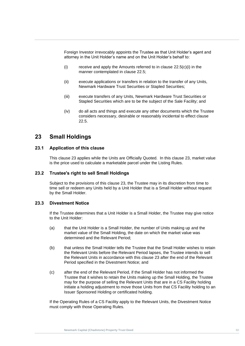Foreign Investor irrevocably appoints the Trustee as that Unit Holder's agent and attorney in the Unit Holder's name and on the Unit Holder's behalf to:

- **Manner contemplated in clause 22.5;**<br>
Second a property of the property and property of the property of the United States of the United States of the United States of the United States of the United States of the United S (i) receive and apply the Amounts referred to in clause  $22.5(c)(i)$  in the
- **Trust Deed**<br> **Trust Dewm** (ii) execute applications or transfers in relation to the transfer of any Units, Newmark Hardware Trust Securities or Stapled Securities;
	- (iii) execute transfers of any Units, Newmark Hardware Trust Securities or Stapled Securities which are to be the subject of the Sale Facility; and
	- (iv) do all acts and things and execute any other documents which the Trustee considers necessary, desirable or reasonably incidental to effect clause [22.5.](#page-63-0)

## <span id="page-66-0"></span>**23 Small Holdings**

## **23.1 Application of this clause**

This clause [23](#page-66-0) applies while the Units are Officially Quoted. In this clause [23,](#page-66-0) market value is the price used to calculate a marketable parcel under the Listing Rules.

## **23.2 Trustee's right to sell Small Holdings**

Subject to the provisions of this clause [23,](#page-66-0) the Trustee may in its discretion from time to time sell or redeem any Units held by a Unit Holder that is a Small Holder without request by the Small Holder.

## **23.3 Divestment Notice**

If the Trustee determines that a Unit Holder is a Small Holder, the Trustee may give notice to the Unit Holder:

- (a) that the Unit Holder is a Small Holder, the number of Units making up and the market value of the Small Holding, the date on which the market value was determined and the Relevant Period;
- (b) that unless the Small Holder tells the Trustee that the Small Holder wishes to retain the Relevant Units before the Relevant Period lapses, the Trustee intends to sell the Relevant Units in accordance with this clause [23](#page-66-0) after the end of the Relevant Period specified in the Divestment Notice; and
- (c) after the end of the Relevant Period, if the Small Holder has not informed the Trustee that it wishes to retain the Units making up the Small Holding, the Trustee may for the purpose of selling the Relevant Units that are in a CS Facility holding initiate a holding adjustment to move those Units from that CS Facility holding to an Issuer Sponsored Holding or certificated holding.

If the Operating Rules of a CS Facility apply to the Relevant Units, the Divestment Notice must comply with those Operating Rules.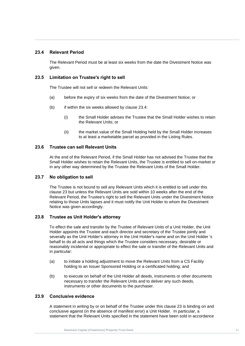## <span id="page-67-0"></span>**23.4 Relevant Period**

The Relevant Period must be at least six weeks from the date the Divestment Notice was given.

## **Newmark Capital (Chadstone) Property 23.5 Limitation on Trustee's right to sell**

The Trustee will not sell or redeem the Relevant Units:

- (a) before the expiry of six weeks from the date of the Divestment Notice; or
- $(b)$  if within the six weeks allowed by clause [23.4:](#page-67-0)
	- (i) the Small Holder advises the Trustee that the Small Holder wishes to retain the Relevant Units; or
	- (ii) the market value of the Small Holding held by the Small Holder increases to at least a marketable parcel as provided in the Listing Rules.

## **23.6 Trustee can sell Relevant Units**

At the end of the Relevant Period, if the Small Holder has not advised the Trustee that the Small Holder wishes to retain the Relevant Units, the Trustee is entitled to sell on-market or in any other way determined by the Trustee the Relevant Units of the Small Holder.

## **23.7 No obligation to sell**

The Trustee is not bound to sell any Relevant Units which it is entitled to sell under this clause [23](#page-66-0) but unless the Relevant Units are sold within 10 weeks after the end of the Relevant Period, the Trustee's right to sell the Relevant Units under the Divestment Notice relating to those Units lapses and it must notify the Unit Holder to whom the Divestment Notice was given accordingly.

## **23.8 Trustee as Unit Holder's attorney**

To effect the sale and transfer by the Trustee of Relevant Units of a Unit Holder, the Unit Holder appoints the Trustee and each director and secretary of the Trustee jointly and severally as the Unit Holder's attorney in the Unit Holder's name and on the Unit Holder 's behalf to do all acts and things which the Trustee considers necessary, desirable or reasonably incidental or appropriate to effect the sale or transfer of the Relevant Units and in particular:

- (a) to initiate a holding adjustment to move the Relevant Units from a CS Facility holding to an Issuer Sponsored Holding or a certificated holding; and
- (b) to execute on behalf of the Unit Holder all deeds, instruments or other documents necessary to transfer the Relevant Units and to deliver any such deeds, instruments or other documents to the purchaser.

## **23.9 Conclusive evidence**

A statement in writing by or on behalf of the Trustee under this clause [23](#page-66-0) is binding on and conclusive against (in the absence of manifest error) a Unit Holder. In particular, a statement that the Relevant Units specified in the statement have been sold in accordance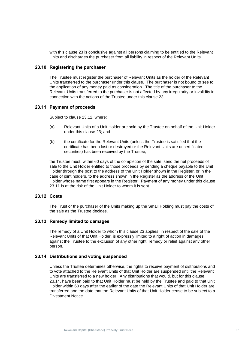with this clause [23](#page-66-0) is conclusive against all persons claiming to be entitled to the Relevant Units and discharges the purchaser from all liability in respect of the Relevant Units.

## **23.10 Registering the purchaser**

The Trustee must register the purchaser of Relevant Units as the holder of the Relevant The paistical consideration of any money paid as consideration. The title of the purchaser to the Relevant Units transferred to the purchaser is not affected by any irregularity or inval Units transferred to the purchaser under this clause. The purchaser is not bound to see to Relevant Units transferred to the purchaser is not affected by any irregularity or invalidity in connection with the actions of the Trustee under this clause [23.](#page-66-0)

## <span id="page-68-1"></span>**23.11 Payment of proceeds**

Subject to clause [23.12,](#page-68-0) where:

- (a) Relevant Units of a Unit Holder are sold by the Trustee on behalf of the Unit Holder under this clause [23;](#page-66-0) and
- (b) the certificate for the Relevant Units (unless the Trustee is satisfied that the certificate has been lost or destroyed or the Relevant Units are uncertificated securities) has been received by the Trustee,

the Trustee must, within 60 days of the completion of the sale, send the net proceeds of sale to the Unit Holder entitled to those proceeds by sending a cheque payable to the Unit Holder through the post to the address of the Unit Holder shown in the Register, or in the case of joint holders, to the address shown in the Register as the address of the Unit Holder whose name first appears in the Register. Payment of any money under this clause [23.11](#page-68-1) is at the risk of the Unit Holder to whom it is sent.

## <span id="page-68-0"></span>**23.12 Costs**

The Trust or the purchaser of the Units making up the Small Holding must pay the costs of the sale as the Trustee decides.

#### **23.13 Remedy limited to damages**

The remedy of a Unit Holder to whom this clause [23](#page-66-0) applies, in respect of the sale of the Relevant Units of that Unit Holder, is expressly limited to a right of action in damages against the Trustee to the exclusion of any other right, remedy or relief against any other person.

#### <span id="page-68-2"></span>**23.14 Distributions and voting suspended**

Unless the Trustee determines otherwise, the rights to receive payment of distributions and to vote attached to the Relevant Units of that Unit Holder are suspended until the Relevant Units are transferred to a new holder. Any distributions that would, but for this clause [23.14,](#page-68-2) have been paid to that Unit Holder must be held by the Trustee and paid to that Unit Holder within 60 days after the earlier of the date the Relevant Units of that Unit Holder are transferred and the date that the Relevant Units of that Unit Holder cease to be subject to a Divestment Notice.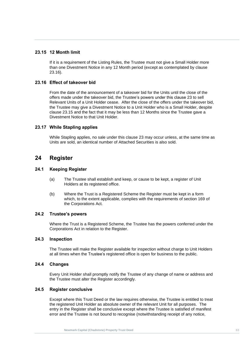## <span id="page-69-1"></span>**23.15 12 Month limit**

**23.16**). If it is a requirement of the Listing Rules, the Trustee must not give a Small Holder more than one Divestment Notice in any 12 Month period (except as contemplated by clause 23.16).

## <span id="page-69-0"></span>**23.16 Effect of takeover bid**

**Trust Deed** From the date of the announcement of a takeover bid for the Units until the close of the offers made under the takeover bid, the Trustee's powers under this clause [23](#page-66-0) to sell Relevant Units of a Unit Holder cease. After the close of the offers under the takeover bid, the Trustee may give a Divestment Notice to a Unit Holder who is a Small Holder, despite clause [23.15](#page-69-1) and the fact that it may be less than 12 Months since the Trustee gave a Divestment Notice to that Unit Holder.

## **23.17 While Stapling applies**

While Stapling applies, no sale under this clause [23](#page-66-0) may occur unless, at the same time as Units are sold, an identical number of Attached Securities is also sold.

## **24 Register**

## **24.1 Keeping Register**

- (a) The Trustee shall establish and keep, or cause to be kept, a register of Unit Holders at its registered office.
- (b) Where the Trust is a Registered Scheme the Register must be kept in a form which, to the extent applicable, complies with the requirements of section 169 of the Corporations Act*.*

## **24.2 Trustee's powers**

Where the Trust is a Registered Scheme, the Trustee has the powers conferred under the Corporations Act in relation to the Register.

## **24.3 Inspection**

The Trustee will make the Register available for inspection without charge to Unit Holders at all times when the Trustee's registered office is open for business to the public.

## **24.4 Changes**

Every Unit Holder shall promptly notify the Trustee of any change of name or address and the Trustee must alter the Register accordingly.

## **24.5 Register conclusive**

Except where this Trust Deed or the law requires otherwise, the Trustee is entitled to treat the registered Unit Holder as absolute owner of the relevant Unit for all purposes. The entry in the Register shall be conclusive except where the Trustee is satisfied of manifest error and the Trustee is not bound to recognise (notwithstanding receipt of any notice,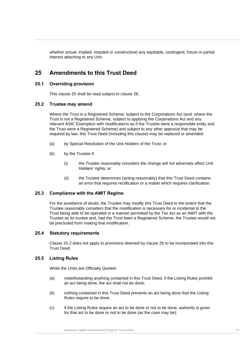whether actual, implied, imputed or constructive) any equitable, contingent, future or partial interest attaching to any Unit.

## <span id="page-70-1"></span>**Pharm Amendments to this Trust Deed**

# **Trust Deed 25.1 Overriding provision**

This clause [25](#page-70-1) shall be read subject to clause [26.](#page-71-0)

## <span id="page-70-2"></span>**25.2 Trustee may amend**

Where the Trust is a Registered Scheme, subject to the Corporations Act (and, where the Trust is not a Registered Scheme, subject to applying the Corporations Act and any relevant ASIC Exemption with modifications as if the Trustee were a responsible entity and the Trust were a Registered Scheme) and subject to any other approval that may be required by law, this Trust Deed (including this clause) may be replaced or amended:

- (a) by Special Resolution of the Unit Holders of the Trust; or
- (b) by the Trustee if:
	- (i) the Trustee reasonably considers the change will not adversely affect Unit Holders' rights; or
	- (ii) the Trustee determines (acting reasonably) that this Trust Deed contains an error that requires rectification or a matter which requires clarification.

## <span id="page-70-0"></span>**25.3 Compliance with the AMIT Regime**

For the avoidance of doubt, the Trustee may modify this Trust Deed to the extent that the Trustee reasonably considers that the modification is necessary for or incidental to the Trust being able to be operated in a manner permitted by the Tax Act as an AMIT with the Trustee as its trustee and, had the Trust been a Registered Scheme, the Trustee would not be precluded from making that modification.

## **25.4 Statutory requirements**

Clause [25.2](#page-70-2) does not apply to provisions deemed by clause [26](#page-71-0) to be incorporated into this Trust Deed.

## <span id="page-70-3"></span>**25.5 Listing Rules**

While the Units are Officially Quoted:

- (a) notwithstanding anything contained in this Trust Deed, if the Listing Rules prohibit an act being done, the act shall not be done;
- (b) nothing contained in this Trust Deed prevents an act being done that the Listing Rules require to be done;
- (c) if the Listing Rules require an act to be done or not to be done, authority is given for that act to be done or not to be done (as the case may be);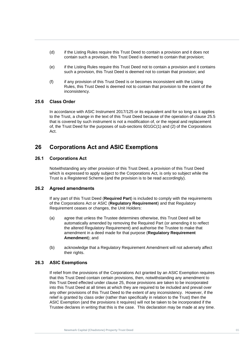- (d) if the Listing Rules require this Trust Deed to contain a provision and it does not contain such a provision, this Trust Deed is deemed to contain that provision;
- **New Such a provision, this Trust Deed is deemed not to contain that provision; and<br>(C) The strategy of this Trust Deed is not provide a consistent with the birtise** (e) if the Listing Rules require this Trust Deed not to contain a provision and it contains
- **Trust Department**<br>
Rules, this Tru<br>
inconsistency. (f) if any provision of this Trust Deed is or becomes inconsistent with the Listing Rules, this Trust Deed is deemed not to contain that provision to the extent of the

#### **25.6 Class Order**

In accordance with ASIC Instrument 2017/125 or its equivalent and for so long as it applies to the Trust, a change in the text of this Trust Deed because of the operation of clause [25.5](#page-70-3) that is covered by such instrument is not a modification of, or the repeal and replacement of, the Trust Deed for the purposes of sub-sections 601GC(1) and (2) of the Corporations Act.

## <span id="page-71-0"></span>**26 Corporations Act and ASIC Exemptions**

#### **26.1 Corporations Act**

Notwithstanding any other provision of this Trust Deed, a provision of this Trust Deed which is expressed to apply subject to the Corporations Act*,* is only so subject while the Trust is a Registered Scheme (and the provision is to be read accordingly).

## **26.2 Agreed amendments**

If any part of this Trust Deed (**Required Part**) is included to comply with the requirements of the Corporations Act or ASIC (**Regulatory Requirement**) and that Regulatory Requirement ceases or changes, the Unit Holders:

- (a) agree that unless the Trustee determines otherwise, this Trust Deed will be automatically amended by removing the Required Part (or amending it to reflect the altered Regulatory Requirement) and authorise the Trustee to make that amendment in a deed made for that purpose (**Regulatory Requirement Amendment**); and
- (b) acknowledge that a Regulatory Requirement Amendment will not adversely affect their rights.

## **26.3 ASIC Exemptions**

If relief from the provisions of the Corporations Act granted by an ASIC Exemption requires that this Trust Deed contain certain provisions, then, notwithstanding any amendment to this Trust Deed effected under clause [25,](#page-70-1) those provisions are taken to be incorporated into this Trust Deed at all times at which they are required to be included and prevail over any other provisions of this Trust Deed to the extent of any inconsistency. However, if the relief is granted by class order (rather than specifically in relation to the Trust) then the ASIC Exemption (and the provisions it requires) will not be taken to be incorporated if the Trustee declares in writing that this is the case. This declaration may be made at any time.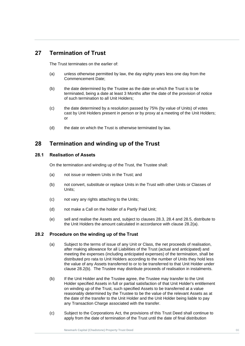## **27 Termination of Trust**

The Trust terminates on the earlier of:

- (a) unless otherwise permitted by law, the day eighty years less one day from the<br>Commencement Date; Commencement Date;
- (b) the date determined by the Trustee as the date on which the Trust is to be<br>terminated, being a date at least 3 Months after the date of the provision of terminated, being a date at least 3 Months after the date of the provision of notice of such termination to all Unit Holders;
	- (c) the date determined by a resolution passed by 75% (by value of Units) of votes cast by Unit Holders present in person or by proxy at a meeting of the Unit Holders; or
	- (d) the date on which the Trust is otherwise terminated by law.

## <span id="page-72-4"></span>**28 Termination and winding up of the Trust**

#### <span id="page-72-2"></span>**28.1 Realisation of Assets**

On the termination and winding up of the Trust, the Trustee shall:

- (a) not issue or redeem Units in the Trust; and
- (b) not convert, substitute or replace Units in the Trust with other Units or Classes of Units;
- (c) not vary any rights attaching to the Units;
- (d) not make a Call on the holder of a Partly Paid Unit;
- (e) sell and realise the Assets and, subject to clauses [28.3,](#page-73-0) [28.4](#page-73-1) and [28.5,](#page-73-2) distribute to the Unit Holders the amount calculated in accordance with clause [28.2\(a\).](#page-72-0)

#### <span id="page-72-3"></span><span id="page-72-0"></span>**28.2 Procedure on the winding up of the Trust**

- (a) Subject to the terms of issue of any Unit or Class, the net proceeds of realisation, after making allowance for all Liabilities of the Trust (actual and anticipated) and meeting the expenses (including anticipated expenses) of the termination, shall be distributed pro rata to Unit Holders according to the number of Units they hold less the value of any Assets transferred to or to be transferred to that Unit Holder under clause [28.2\(b\).](#page-72-1) The Trustee may distribute proceeds of realisation in instalments.
- <span id="page-72-1"></span>(b) If the Unit Holder and the Trustee agree, the Trustee may transfer to the Unit Holder specified Assets in full or partial satisfaction of that Unit Holder's entitlement on winding up of the Trust, such specified Assets to be transferred at a value reasonably determined by the Trustee to be the value of the relevant Assets as at the date of the transfer to the Unit Holder and the Unit Holder being liable to pay any Transaction Charge associated with the transfer.
- (c) Subject to the Corporations Act*,* the provisions of this Trust Deed shall continue to apply from the date of termination of the Trust until the date of final distribution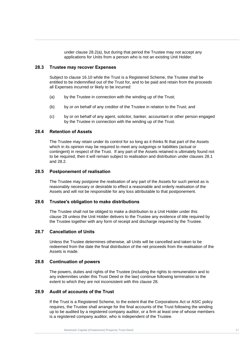under clause [28.2\(a\),](#page-72-0) but during that period the Trustee may not accept any applications for Units from a person who is not an existing Unit Holder.

#### <span id="page-73-0"></span>**28.3 Trustee may recover Expenses**

Subject to clause 16.10 while the Trust is a Registered Scheme, the Trustee shall be **Trust Deep Internal Cover on the Trust To.**<br>
all Expenses incurred or likely to be incurred: entitled to be indemnified out of the Trust for, and to be paid and retain from the proceeds

- (a) by the Trustee in connection with the winding up of the Trust;
- (b) by or on behalf of any creditor of the Trustee in relation to the Trust; and
- (c) by or on behalf of any agent, solicitor, banker, accountant or other person engaged by the Trustee in connection with the winding up of the Trust.

#### <span id="page-73-1"></span>**28.4 Retention of Assets**

The Trustee may retain under its control for so long as it thinks fit that part of the Assets which in its opinion may be required to meet any outgoings or liabilities (actual or contingent) in respect of the Trust. If any part of the Assets retained is ultimately found not to be required, then it will remain subject to realisation and distribution under clauses [28.1](#page-72-2) and [28.2.](#page-72-3)

#### <span id="page-73-2"></span>**28.5 Postponement of realisation**

The Trustee may postpone the realisation of any part of the Assets for such period as is reasonably necessary or desirable to effect a reasonable and orderly realisation of the Assets and will not be responsible for any loss attributable to that postponement.

#### **28.6 Trustee's obligation to make distributions**

The Trustee shall not be obliged to make a distribution to a Unit Holder under this clause [28](#page-72-4) unless the Unit Holder delivers to the Trustee any evidence of title required by the Trustee together with any form of receipt and discharge required by the Trustee.

#### **28.7 Cancellation of Units**

Unless the Trustee determines otherwise, all Units will be cancelled and taken to be redeemed from the date the final distribution of the net proceeds from the realisation of the Assets is made.

#### **28.8 Continuation of powers**

The powers, duties and rights of the Trustee (including the rights to remuneration and to any indemnities under this Trust Deed or the law) continue following termination to the extent to which they are not inconsistent with this clause [28.](#page-72-4)

#### **28.9 Audit of accounts of the Trust**

If the Trust is a Registered Scheme, to the extent that the Corporations Act or ASIC policy requires, the Trustee shall arrange for the final accounts of the Trust following the winding up to be audited by a registered company auditor, or a firm at least one of whose members is a registered company auditor, who is independent of the Trustee.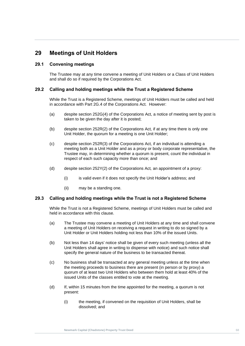## <span id="page-74-0"></span>**29 Meetings of Unit Holders**

#### **29.1 Convening meetings**

The Trustee may at any time convene a meeting of Unit Holders or a Class of Unit Holders<br>and shall do so if required by the Corporations Act*.* and shall do so if required by the Corporations Act*.*

# **Trust Deed 29.2 Calling and holding meetings while the Trust a Registered Scheme**

While the Trust is a Registered Scheme, meetings of Unit Holders must be called and held in accordance with Part 2G.4 of the Corporations Act*.* However:

- (a) despite section 252G(4) of the Corporations Act*,* a notice of meeting sent by post is taken to be given the day after it is posted;
- (b) despite section 252R(2) of the Corporations Act*,* if at any time there is only one Unit Holder, the quorum for a meeting is one Unit Holder;
- (c) despite section 252R(3) of the Corporations Act*,* if an individual is attending a meeting both as a Unit Holder and as a proxy or body corporate representative, the Trustee may, in determining whether a quorum is present, count the individual in respect of each such capacity more than once; and
- (d) despite section 252Y(2) of the Corporations Act*,* an appointment of a proxy:
	- (i) is valid even if it does not specify the Unit Holder's address; and
	- (ii) may be a standing one.

#### **29.3 Calling and holding meetings while the Trust is not a Registered Scheme**

While the Trust is not a Registered Scheme, meetings of Unit Holders must be called and held in accordance with this clause.

- (a) The Trustee may convene a meeting of Unit Holders at any time and shall convene a meeting of Unit Holders on receiving a request in writing to do so signed by a Unit Holder or Unit Holders holding not less than 10% of the issued Units.
- (b) Not less than 14 days' notice shall be given of every such meeting (unless all the Unit Holders shall agree in writing to dispense with notice) and such notice shall specify the general nature of the business to be transacted thereat.
- (c) No business shall be transacted at any general meeting unless at the time when the meeting proceeds to business there are present (in person or by proxy) a quorum of at least two Unit Holders who between them hold at least 40% of the issued Units of the classes entitled to vote at the meeting.
- (d) If, within 15 minutes from the time appointed for the meeting, a quorum is not present:
	- (i) the meeting, if convened on the requisition of Unit Holders, shall be dissolved; and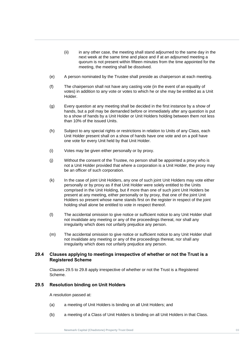- (ii) in any other case, the meeting shall stand adjourned to the same day in the next week at the same time and place and if at an adjourned meeting a quorum is not present within fifteen minutes from the time appointed for the meeting, the meeting shall be dissolved.
- (e) A person nominated by the Trustee shall preside as chairperson at each meeting.
- (f) The chairperson shall not have any casting vote (in the event of an equality of<br>votes) in addition to any vote or votes to which he or she may be entitled as a votes) in addition to any vote or votes to which he or she may be entitled as a Unit Holder.
	- (g) Every question at any meeting shall be decided in the first instance by a show of hands, but a poll may be demanded before or immediately after any question is put to a show of hands by a Unit Holder or Unit Holders holding between them not less than 10% of the issued Units.
	- (h) Subject to any special rights or restrictions in relation to Units of any Class, each Unit Holder present shall on a show of hands have one vote and on a poll have one vote for every Unit held by that Unit Holder.
	- (i) Votes may be given either personally or by proxy.
	- (j) Without the consent of the Trustee, no person shall be appointed a proxy who is not a Unit Holder provided that where a corporation is a Unit Holder, the proxy may be an officer of such corporation.
	- (k) In the case of joint Unit Holders, any one of such joint Unit Holders may vote either personally or by proxy as if that Unit Holder were solely entitled to the Units comprised in the Unit Holding, but if more than one of such joint Unit Holders be present at any meeting, either personally or by proxy, that one of the joint Unit Holders so present whose name stands first on the register in respect of the joint holding shall alone be entitled to vote in respect thereof.
	- (l) The accidental omission to give notice or sufficient notice to any Unit Holder shall not invalidate any meeting or any of the proceedings thereat, nor shall any irregularity which does not unfairly prejudice any person.
	- (m) The accidental omission to give notice or sufficient notice to any Unit Holder shall not invalidate any meeting or any of the proceedings thereat, nor shall any irregularity which does not unfairly prejudice any person.

#### **29.4 Clauses applying to meetings irrespective of whether or not the Trust is a Registered Scheme**

Clauses [29.5](#page-75-0) to [29.8](#page-76-0) apply irrespective of whether or not the Trust is a Registered Scheme.

#### <span id="page-75-0"></span>**29.5 Resolution binding on Unit Holders**

A resolution passed at:

- (a) a meeting of Unit Holders is binding on all Unit Holders; and
- (b) a meeting of a Class of Unit Holders is binding on all Unit Holders in that Class.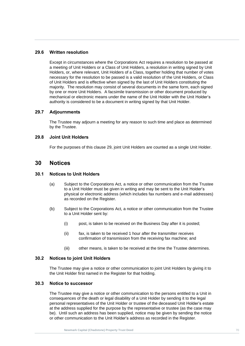#### **29.6 Written resolution**

Holders, or, where relevant, Unit Holders of a Class, together holding that number of votes<br>necessary for the resolution to be passed is a valid resolution of the Unit Holders, or Class **Trust Deep and the Shock of Michael Sylve as y the last of one frictions constituting the**<br>
majority. The resolution may consist of several documents in the same form, each sign<br>
by one or more Unit Holders. A facsimile t Except in circumstances where the Corporations Act requires a resolution to be passed at a meeting of Unit Holders or a Class of Unit Holders, a resolution in writing signed by Unit necessary for the resolution to be passed is a valid resolution of the Unit Holders, or Class of Unit Holders and is effective when signed by the last of Unit Holders constituting the majority. The resolution may consist of several documents in the same form, each signed mechanical or electronic means under the name of the Unit Holder with the Unit Holder's authority is considered to be a document in writing signed by that Unit Holder.

#### **29.7 Adjournments**

The Trustee may adjourn a meeting for any reason to such time and place as determined by the Trustee.

#### <span id="page-76-0"></span>**29.8 Joint Unit Holders**

For the purposes of this clause [29,](#page-74-0) joint Unit Holders are counted as a single Unit Holder.

#### **30 Notices**

#### **30.1 Notices to Unit Holders**

- (a) Subject to the Corporations Act*,* a notice or other communication from the Trustee to a Unit Holder must be given in writing and may be sent to the Unit Holder's physical or electronic address (which includes fax numbers and e-mail addresses) as recorded on the Register.
- (b) Subject to the Corporations Act*,* a notice or other communication from the Trustee to a Unit Holder sent by:
	- (i) post, is taken to be received on the Business Day after it is posted;
	- (ii) fax, is taken to be received 1 hour after the transmitter receives confirmation of transmission from the receiving fax machine; and
	- (iii) other means, is taken to be received at the time the Trustee determines.

#### **30.2 Notices to joint Unit Holders**

The Trustee may give a notice or other communication to joint Unit Holders by giving it to the Unit Holder first named in the Register for that holding.

#### **30.3 Notice to successor**

The Trustee may give a notice or other communication to the persons entitled to a Unit in consequences of the death or legal disability of a Unit Holder by sending it to the legal personal representatives of the Unit Holder or trustee of the deceased Unit Holder's estate at the address supplied for the purpose by the representative or trustee (as the case may be). Until such an address has been supplied, notice may be given by sending the notice or other communication to the Unit Holder's address as recorded in the Register.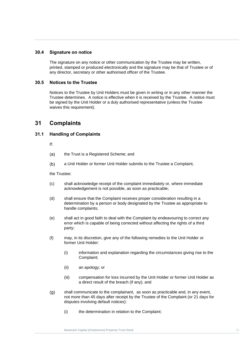#### **30.4 Signature on notice**

any director, secretary or other authorised officer of the Trustee.<br> **Angle** The signature on any notice or other communication by the Trustee may be written, printed, stamped or produced electronically and the signature may be that of Trustee or of

#### **30.5 Notices to the Trustee**

**Trust Deedices to the Trustee**<br>Notices to the Trustee by Unit Holders must be given in writing or in any other manner the Trustee determines. A notice is effective when it is received by the Trustee. A notice must be signed by the Unit Holder or a duly authorised representative (unless the Trustee waives this requirement).

## **31 Complaints**

#### <span id="page-77-0"></span>**31.1 Handling of Complaints**

If:

- $(a)$ the Trust is a Registered Scheme; and
- a Unit Holder or former Unit Holder submits to the Trustee a Complaint,  $(b)$

the Trustee:

- (c) shall acknowledge receipt of the complaint immediately or, where immediate acknowledgement is not possible, as soon as practicable;
- (d) shall ensure that the Complaint receives proper consideration resulting in a determination by a person or body designated by the Trustee as appropriate to handle complaints;
- (e) shall act in good faith to deal with the Complaint by endeavouring to correct any error which is capable of being corrected without affecting the rights of a third party;
- (f) may, in its discretion, give any of the following remedies to the Unit Holder or former Unit Holder:
	- (i) information and explanation regarding the circumstances giving rise to the Complaint;
	- (ii) an apology; or
	- (iii) compensation for loss incurred by the Unit Holder or former Unit Holder as a direct result of the breach (if any); and
- <span id="page-77-1"></span> $(g)$ shall communicate to the complainant, as soon as practicable and, in any event, not more than 45 days after receipt by the Trustee of the Complaint (or 21 days for disputes involving default notices):
	- (i) the determination in relation to the Complaint;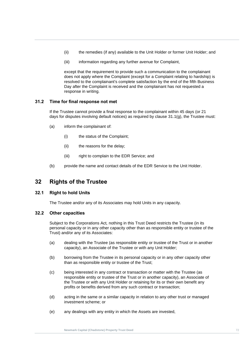- (ii) the remedies (if any) available to the Unit Holder or former Unit Holder; and
- (iii) information regarding any further avenue for Complaint,

except that the requirement to provide such a communication to the complainant<br>does not apply where the Complaint (except for a Complaint relating to hardship) is **Trust Property Day after the Comp<br>
response in writing.** except that the requirement to provide such a communication to the complainant resolved to the complainant's complete satisfaction by the end of the fifth Business Day after the Complaint is received and the complainant has not requested a

#### **31.2 Time for final response not met**

If the Trustee cannot provide a final response to the complainant within 45 days (or 21 days for disputes involving default notices) as required by clause [31.1](#page-77-0)[\(g\),](#page-77-1) the Trustee must:

- (a) inform the complainant of:
	- (i) the status of the Complaint;
	- (ii) the reasons for the delay;
	- (iii) right to complain to the EDR Service; and
- (b) provide the name and contact details of the EDR Service to the Unit Holder.

## **32 Rights of the Trustee**

#### **32.1 Right to hold Units**

The Trustee and/or any of its Associates may hold Units in any capacity.

#### **32.2 Other capacities**

Subject to the Corporations Act*,* nothing in this Trust Deed restricts the Trustee (in its personal capacity or in any other capacity other than as responsible entity or trustee of the Trust) and/or any of its Associates:

- (a) dealing with the Trustee (as responsible entity or trustee of the Trust or in another capacity), an Associate of the Trustee or with any Unit Holder;
- (b) borrowing from the Trustee in its personal capacity or in any other capacity other than as responsible entity or trustee of the Trust;
- (c) being interested in any contract or transaction or matter with the Trustee (as responsible entity or trustee of the Trust or in another capacity), an Associate of the Trustee or with any Unit Holder or retaining for its or their own benefit any profits or benefits derived from any such contract or transaction;
- (d) acting in the same or a similar capacity in relation to any other trust or managed investment scheme; or
- (e) any dealings with any entity in which the Assets are invested,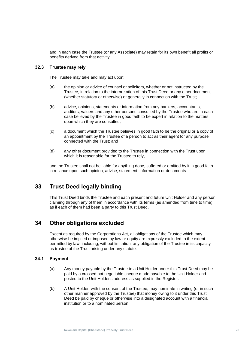and in each case the Trustee (or any Associate) may retain for its own benefit all profits or benefits derived from that activity.

#### **32.3 Trustee may rely**

The Trustee may take and may act upon:

- (a) the opinion or advice of counsel or solicitors, whether or not instructed by the<br>Trustee, in relation to the interpretation of this Trust Deed or any other document (a) the opinion or advice of counsel or solicitors, whether or not instructed by the (whether statutory or otherwise) or generally in connection with the Trust;
	- (b) advice, opinions, statements or information from any bankers, accountants, auditors, valuers and any other persons consulted by the Trustee who are in each case believed by the Trustee in good faith to be expert in relation to the matters upon which they are consulted;
	- (c) a document which the Trustee believes in good faith to be the original or a copy of an appointment by the Trustee of a person to act as their agent for any purpose connected with the Trust; and
	- (d) any other document provided to the Trustee in connection with the Trust upon which it is reasonable for the Trustee to rely,

and the Trustee shall not be liable for anything done, suffered or omitted by it in good faith in reliance upon such opinion, advice, statement, information or documents.

## **33 Trust Deed legally binding**

This Trust Deed binds the Trustee and each present and future Unit Holder and any person claiming through any of them in accordance with its terms (as amended from time to time) as if each of them had been a party to this Trust Deed.

## <span id="page-79-0"></span>**34 Other obligations excluded**

Except as required by the Corporations Act*,* all obligations of the Trustee which may otherwise be implied or imposed by law or equity are expressly excluded to the extent permitted by law, including, without limitation, any obligation of the Trustee in its capacity as trustee of the Trust arising under any statute.

#### **34.1 Payment**

- (a) Any money payable by the Trustee to a Unit Holder under this Trust Deed may be paid by a crossed not negotiable cheque made payable to the Unit Holder and posted to the Unit Holder's address as supplied in the Register.
- (b) A Unit Holder, with the consent of the Trustee, may nominate in writing (or in such other manner approved by the Trustee) that money owing to it under this Trust Deed be paid by cheque or otherwise into a designated account with a financial institution or to a nominated person.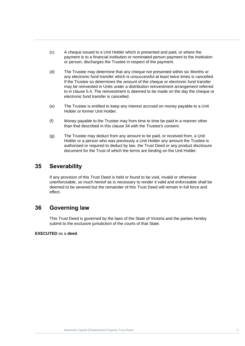- (c) A cheque issued to a Unit Holder which is presented and paid, or where the payment is to a financial institution or nominated person payment to the institution or person, discharges the Trustee in respect of the payment.
- (d) The Trustee may determine that any cheque not presented within six Months or<br>any electronic fund transfer which is unsuccessful at least twice times is cancelled. The processed in Units under a distribution reinvestment arrangement referred<br>to in clause [5.4.](#page-24-0) The reinvestment is deemed to be made on the day the cheque or (d) The Trustee may determine that any cheque not presented within six Months or If the Trustee so determines the amount of the cheque or electronic fund transfer may be reinvested in Units under a distribution reinvestment arrangement referred electronic fund transfer is cancelled.
	- (e) The Trustee is entitled to keep any interest accrued on money payable to a Unit Holder or former Unit Holder.
	- (f) Money payable to the Trustee may from time to time be paid in a manner other than that described in this clause [34](#page-79-0) with the Trustee's consent.
	- (g) The Trustee may deduct from any amount to be paid, or received from, a Unit Holder or a person who was previously a Unit Holder any amount the Trustee is authorised or required to deduct by law, the Trust Deed or any product disclosure document for the Trust of which the terms are binding on the Unit Holder.

## **35 Severability**

If any provision of this Trust Deed is held or found to be void, invalid or otherwise unenforceable, so much hereof as is necessary to render it valid and enforceable shall be deemed to be severed but the remainder of this Trust Deed will remain in full force and effect.

## **36 Governing law**

This Trust Deed is governed by the laws of the State of Victoria and the parties hereby submit to the exclusive jurisdiction of the courts of that State.

**EXECUTED** as a **deed**.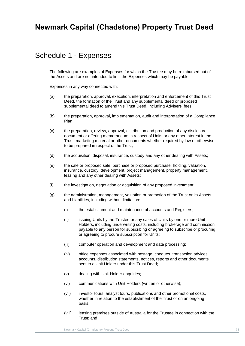## Schedule 1 - Expenses

The following are examples of Expenses for which the Trustee may be reimbursed out of the Assets and are not intended to limit the Expenses which may be payable:

Expenses in any way connected with:

- (a) the preparation, approval, execution, interpretation and enforcement of this Trust Deed, the formation of the Trust and any supplemental deed or proposed supplemental deed to amend this Trust Deed, including Advisers' fees;
- (b) the preparation, approval, implementation, audit and interpretation of a Compliance Plan;
- (c) the preparation, review, approval, distribution and production of any disclosure document or offering memorandum in respect of Units or any other interest in the Trust, marketing material or other documents whether required by law or otherwise to be prepared in respect of the Trust;
- (d) the acquisition, disposal, insurance, custody and any other dealing with Assets;
- (e) the sale or proposed sale, purchase or proposed purchase, holding, valuation, insurance, custody, development, project management, property management, leasing and any other dealing with Assets;
- (f) the investigation, negotiation or acquisition of any proposed investment;
- (g) the administration, management, valuation or promotion of the Trust or its Assets and Liabilities, including without limitation:
	- (i) the establishment and maintenance of accounts and Registers;
	- (ii) issuing Units by the Trustee or any sales of Units by one or more Unit Holders, including underwriting costs, including brokerage and commission payable to any person for subscribing or agreeing to subscribe or procuring or agreeing to procure subscription for Units;
	- (iii) computer operation and development and data processing;
	- (iv) office expenses associated with postage, cheques, transaction advices, accounts, distribution statements, notices, reports and other documents sent to a Unit Holder under this Trust Deed;
	- (v) dealing with Unit Holder enquiries;
	- (vi) communications with Unit Holders (written or otherwise);
	- (vii) investor tours, analyst tours, publications and other promotional costs, whether in relation to the establishment of the Trust or on an ongoing basis;
	- (viii) leasing premises outside of Australia for the Trustee in connection with the Trust; and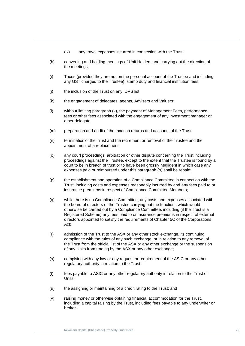- (ix) any travel expenses incurred in connection with the Trust;
- (h) convening and holding meetings of Unit Holders and carrying out the direction of the meetings;
- (i) Taxes (provided they are not on the personal account of the Trustee and including<br> **EXECUT** channel to the Trustee) starts the performation of the Trustee and including any GST charged to the Trustee), stamp duty and financial institution fees;
- (j) the inclusion of the Trust on any IDPS list;
	- (k) the engagement of delegates, agents, Advisers and Valuers;
	- (l) without limiting paragraph (k), the payment of Management Fees, performance fees or other fees associated with the engagement of any investment manager or other delegate;
	- (m) preparation and audit of the taxation returns and accounts of the Trust;
	- (n) termination of the Trust and the retirement or removal of the Trustee and the appointment of a replacement;
	- (o) any court proceedings, arbitration or other dispute concerning the Trust including proceedings against the Trustee, except to the extent that the Trustee is found by a court to be in breach of trust or to have been grossly negligent in which case any expenses paid or reimbursed under this paragraph (o) shall be repaid;
	- (p) the establishment and operation of a Compliance Committee in connection with the Trust, including costs and expenses reasonably incurred by and any fees paid to or insurance premiums in respect of Compliance Committee Members;
	- (q) while there is no Compliance Committee, any costs and expenses associated with the board of directors of the Trustee carrying out the functions which would otherwise be carried out by a Compliance Committee, including (if the Trust is a Registered Scheme) any fees paid to or insurance premiums in respect of external directors appointed to satisfy the requirements of Chapter 5C of the Corporations Act;
	- (r) admission of the Trust to the ASX or any other stock exchange, its continuing compliance with the rules of any such exchange, or in relation to any removal of the Trust from the official list of the ASX or any other exchange or the suspension of any Units from trading by the ASX or any other exchange;
	- (s) complying with any law or any request or requirement of the ASIC or any other regulatory authority in relation to the Trust;
	- (t) fees payable to ASIC or any other regulatory authority in relation to the Trust or Units;
	- (u) the assigning or maintaining of a credit rating to the Trust; and
	- (v) raising money or otherwise obtaining financial accommodation for the Trust, including a capital raising by the Trust, including fees payable to any underwriter or broker.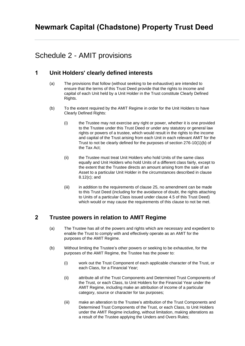## Schedule 2 - AMIT provisions

## **1 Unit Holders' clearly defined interests**

- (a) The provisions that follow (without seeking to be exhaustive) are intended to ensure that the terms of this Trust Deed provide that the rights to income and capital of each Unit held by a Unit Holder in the Trust constitute Clearly Defined Rights.
- (b) To the extent required by the AMIT Regime in order for the Unit Holders to have Clearly Defined Rights:
	- (i) the Trustee may not exercise any right or power, whether it is one provided to the Trustee under this Trust Deed or under any statutory or general law rights or powers of a trustee, which would result in the rights to the income and capital of the Trust arising from each Unit in each relevant AMIT for the Trust to not be clearly defined for the purposes of section 276-10(1)(b) of the Tax Act;
	- (ii) the Trustee must treat Unit Holders who hold Units of the same class equally and Unit Holders who hold Units of a different class fairly, except to the extent that the Trustee directs an amount arising from the sale of an Asset to a particular Unit Holder in the circumstances described in clause [8.12\(c\);](#page-39-0) and
	- (iii) in addition to the requirements of clause [25,](#page-70-0) no amendment can be made to this Trust Deed (including for the avoidance of doubt, the rights attaching to Units of a particular Class issued under clause [4.5](#page-20-0) of this Trust Deed) which would or may cause the requirements of this clause to not be met.

## **2 Trustee powers in relation to AMIT Regime**

- (a) The Trustee has all of the powers and rights which are necessary and expedient to enable the Trust to comply with and effectively operate as an AMIT for the purposes of the AMIT Regime.
- (b) Without limiting the Trustee's other powers or seeking to be exhaustive, for the purposes of the AMIT Regime, the Trustee has the power to:
	- (i) work out the Trust Component of each applicable character of the Trust, or each Class, for a Financial Year;
	- (ii) attribute all of the Trust Components and Determined Trust Components of the Trust, or each Class, to Unit Holders for the Financial Year under the AMIT Regime, including make an attribution of income of a particular category, source or character for tax purposes;
	- (iii) make an alteration to the Trustee's attribution of the Trust Components and Determined Trust Components of the Trust, or each Class, to Unit Holders under the AMIT Regime including, without limitation, making alterations as a result of the Trustee applying the Unders and Overs Rules;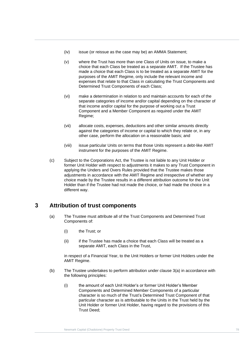- (iv) issue (or reissue as the case may be) an AMMA Statement;
- made a choice that each Class is to be treated as a separate AMIT for the<br>purposes of the AMIT Regime, only include the relevant income and<br>supersected that relate to that Class in selectating the Twat Components and **Trust Detern** (v) where the Trust has more than one Class of Units on issue, to make a choice that each Class be treated as a separate AMIT. If the Trustee has made a choice that each Class is to be treated as a separate AMIT for the expenses that relate to that Class in calculating the Trust Components and Determined Trust Components of each Class;
	- (vi) make a determination in relation to and maintain accounts for each of the separate categories of income and/or capital depending on the character of that income and/or capital for the purpose of working out a Trust Component and a Member Component as required under the AMIT Regime;
	- (vii) allocate costs, expenses, deductions and other similar amounts directly against the categories of income or capital to which they relate or, in any other case, perform the allocation on a reasonable basis; and
	- (viii) issue particular Units on terms that those Units represent a debt-like AMIT instrument for the purposes of the AMIT Regime.
	- (c) Subject to the Corporations Act, the Trustee is not liable to any Unit Holder or former Unit Holder with respect to adjustments it makes to any Trust Component in applying the Unders and Overs Rules provided that the Trustee makes those adjustments in accordance with the AMIT Regime and irrespective of whether any choice made by the Trustee results in a different attribution outcome for the Unit Holder than if the Trustee had not made the choice, or had made the choice in a different way.

## <span id="page-84-0"></span>**3 Attribution of trust components**

- (a) The Trustee must attribute all of the Trust Components and Determined Trust Components of:
	- (i) the Trust; or
	- (ii) if the Trustee has made a choice that each Class will be treated as a separate AMIT, each Class in the Trust,

in respect of a Financial Year, to the Unit Holders or former Unit Holders under the AMIT Regime.

- (b) The Trustee undertakes to perform attribution under clause [3\(a\)](#page-84-0) in accordance with the following principles:
	- (i) the amount of each Unit Holder's or former Unit Holder's Member Components and Determined Member Components of a particular character is so much of the Trust's Determined Trust Component of that particular character as is attributable to the Units in the Trust held by the Unit Holder or former Unit Holder, having regard to the provisions of this Trust Deed;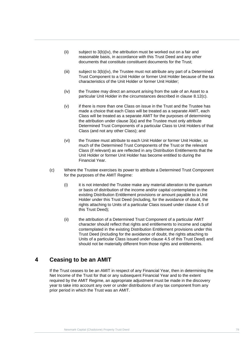- (ii) subject to [3\(b\)\(iv\),](#page-85-0) the attribution must be worked out on a fair and reasonable basis, in accordance with this Trust Deed and any other documents that constitute constituent documents for the Trust;
- (iii) subject to 3(b)(iv), the Trustee must not attribute any part of a Determined<br>Trust Component to a Unit Holder or former Unit Holder because of the tax<br>shape taristics of the Unit Holder or former Unit Holder. (iii) subject to [3\(b\)\(iv\),](#page-85-0) the Trustee must not attribute any part of a Determined characteristics of the Unit Holder or former Unit Holder;
- <span id="page-85-0"></span>(iv) the Trust **Trust In** (iv) the Trustee may direct an amount arising from the sale of an Asset to a particular Unit Holder in the circumstances described in clause [8.12\(c\).](#page-39-0)
	- (v) if there is more than one Class on issue in the Trust and the Trustee has made a choice that each Class will be treated as a separate AMIT, each Class will be treated as a separate AMIT for the purposes of determining the attribution under clause [3\(a\)](#page-18-0) and the Trustee must only attribute Determined Trust Components of a particular Class to Unit Holders of that Class (and not any other Class); and
	- (vi) the Trustee must attribute to each Unit Holder or former Unit Holder, so much of the Determined Trust Components of the Trust or the relevant Class (if relevant) as are reflected in any Distribution Entitlements that the Unit Holder or former Unit Holder has become entitled to during the Financial Year.
	- (c) Where the Trustee exercises its power to attribute a Determined Trust Component for the purposes of the AMIT Regime:
		- (i) it is not intended the Trustee make any material alteration to the quantum or basis of distribution of the income and/or capital contemplated in the existing Distribution Entitlement provisions or amount payable to a Unit Holder under this Trust Deed (including, for the avoidance of doubt, the rights attaching to Units of a particular Class issued under clause [4.5](#page-20-0) of this Trust Deed);
		- (ii) the attribution of a Determined Trust Component of a particular AMIT character should reflect that rights and entitlements to income and capital contemplated in the existing Distribution Entitlement provisions under this Trust Deed (including for the avoidance of doubt, the rights attaching to Units of a particular Class issued under clause [4.5](#page-20-0) of this Trust Deed) and should not be materially different from those rights and entitlements.

## **4 Ceasing to be an AMIT**

If the Trust ceases to be an AMIT in respect of any Financial Year, then in determining the Net Income of the Trust for that or any subsequent Financial Year and to the extent required by the AMIT Regime, an appropriate adjustment must be made in the discovery year to take into account any over or under distributions of any tax component from any prior period in which the Trust was an AMIT.